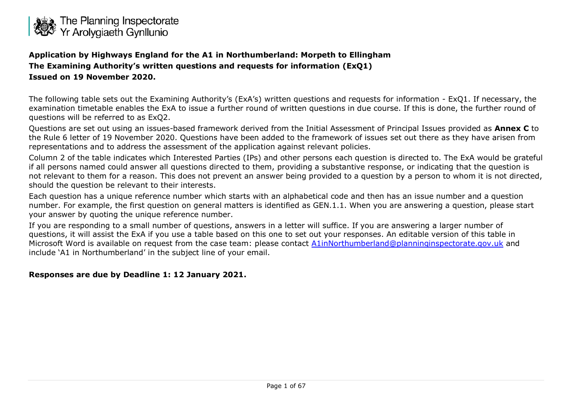

**Application by Highways England for the A1 in Northumberland: Morpeth to Ellingham The Examining Authority's written questions and requests for information (ExQ1) Issued on 19 November 2020.**

The following table sets out the Examining Authority's (ExA's) written questions and requests for information - ExQ1. If necessary, the examination timetable enables the ExA to issue a further round of written questions in due course. If this is done, the further round of questions will be referred to as ExQ2.

Questions are set out using an issues-based framework derived from the Initial Assessment of Principal Issues provided as **Annex C** to the Rule 6 letter of 19 November 2020. Questions have been added to the framework of issues set out there as they have arisen from representations and to address the assessment of the application against relevant policies.

Column 2 of the table indicates which Interested Parties (IPs) and other persons each question is directed to. The ExA would be grateful if all persons named could answer all questions directed to them, providing a substantive response, or indicating that the question is not relevant to them for a reason. This does not prevent an answer being provided to a question by a person to whom it is not directed, should the question be relevant to their interests.

Each question has a unique reference number which starts with an alphabetical code and then has an issue number and a question number. For example, the first question on general matters is identified as GEN.1.1. When you are answering a question, please start your answer by quoting the unique reference number.

If you are responding to a small number of questions, answers in a letter will suffice. If you are answering a larger number of questions, it will assist the ExA if you use a table based on this one to set out your responses. An editable version of this table in Microsoft Word is available on request from the case team: please contact [A1inNorthumberland@planninginspectorate.gov.uk](mailto:A1inNorthumberland@planninginspectorate.gov.uk) and include 'A1 in Northumberland' in the subject line of your email.

#### **Responses are due by Deadline 1: 12 January 2021.**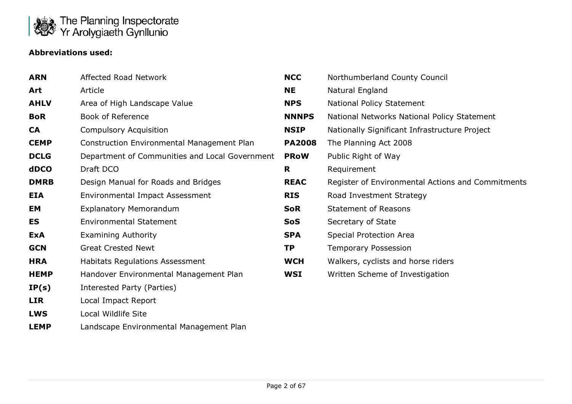

# **Abbreviations used:**

| <b>ARN</b>  | Affected Road Network                          | <b>NCC</b>    | Northumberland County Council                     |
|-------------|------------------------------------------------|---------------|---------------------------------------------------|
| Art         | Article                                        | <b>NE</b>     | Natural England                                   |
| <b>AHLV</b> | Area of High Landscape Value                   | <b>NPS</b>    | National Policy Statement                         |
| <b>BoR</b>  | <b>Book of Reference</b>                       | <b>NNNPS</b>  | National Networks National Policy Statement       |
| <b>CA</b>   | <b>Compulsory Acquisition</b>                  | <b>NSIP</b>   | Nationally Significant Infrastructure Project     |
| <b>CEMP</b> | Construction Environmental Management Plan     | <b>PA2008</b> | The Planning Act 2008                             |
| <b>DCLG</b> | Department of Communities and Local Government | <b>PRoW</b>   | Public Right of Way                               |
| dDCO        | Draft DCO                                      | R.            | Requirement                                       |
| <b>DMRB</b> | Design Manual for Roads and Bridges            | <b>REAC</b>   | Register of Environmental Actions and Commitments |
| <b>EIA</b>  | Environmental Impact Assessment                | <b>RIS</b>    | Road Investment Strategy                          |
| EM          | <b>Explanatory Memorandum</b>                  | <b>SoR</b>    | <b>Statement of Reasons</b>                       |
| ES          | <b>Environmental Statement</b>                 | <b>SoS</b>    | Secretary of State                                |
| <b>ExA</b>  | <b>Examining Authority</b>                     | <b>SPA</b>    | Special Protection Area                           |
| <b>GCN</b>  | <b>Great Crested Newt</b>                      | <b>TP</b>     | <b>Temporary Possession</b>                       |
| <b>HRA</b>  | Habitats Regulations Assessment                | <b>WCH</b>    | Walkers, cyclists and horse riders                |
| <b>HEMP</b> | Handover Environmental Management Plan         | WSI           | Written Scheme of Investigation                   |
| IP(s)       | Interested Party (Parties)                     |               |                                                   |
| <b>LIR</b>  | Local Impact Report                            |               |                                                   |
| <b>LWS</b>  | Local Wildlife Site                            |               |                                                   |

**LEMP** Landscape Environmental Management Plan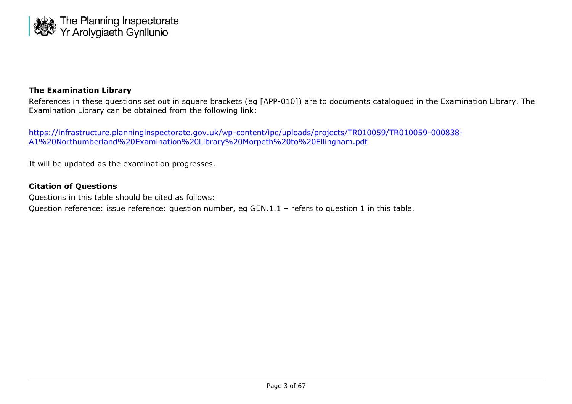

#### **The Examination Library**

References in these questions set out in square brackets (eg [APP-010]) are to documents catalogued in the Examination Library. The Examination Library can be obtained from the following link:

[https://infrastructure.planninginspectorate.gov.uk/wp-content/ipc/uploads/projects/TR010059/TR010059-000838-](https://infrastructure.planninginspectorate.gov.uk/wp-content/ipc/uploads/projects/TR010059/TR010059-000838-A1%20Northumberland%20Examination%20Library%20Morpeth%20to%20Ellingham.pdf) [A1%20Northumberland%20Examination%20Library%20Morpeth%20to%20Ellingham.pdf](https://infrastructure.planninginspectorate.gov.uk/wp-content/ipc/uploads/projects/TR010059/TR010059-000838-A1%20Northumberland%20Examination%20Library%20Morpeth%20to%20Ellingham.pdf)

It will be updated as the examination progresses.

#### **Citation of Questions**

Questions in this table should be cited as follows:

Question reference: issue reference: question number, eg GEN.1.1 – refers to question 1 in this table.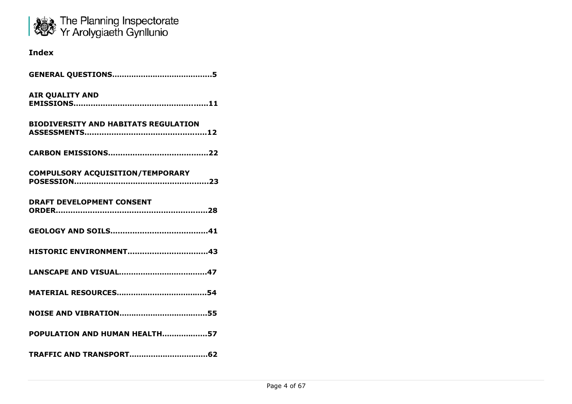

# **Index**

| <b>AIR QUALITY AND</b>                      |
|---------------------------------------------|
| <b>BIODIVERSITY AND HABITATS REGULATION</b> |
|                                             |
| COMPULSORY ACQUISITION/TEMPORARY            |
| <b>DRAFT DEVELOPMENT CONSENT</b>            |
|                                             |
|                                             |
|                                             |
|                                             |
|                                             |
| POPULATION AND HUMAN HEALTH57               |
|                                             |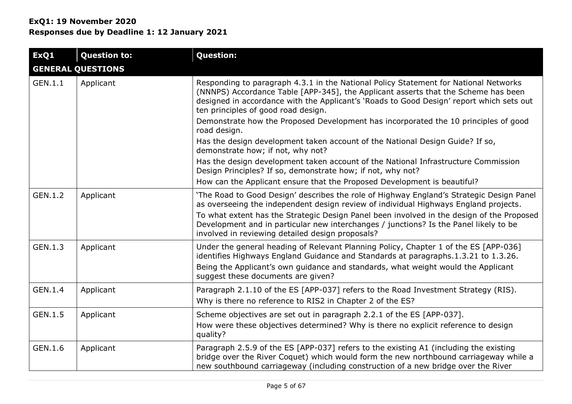| ExQ1    | <b>Question to:</b>      | <b>Question:</b>                                                                                                                                                                                                                                                                                              |  |
|---------|--------------------------|---------------------------------------------------------------------------------------------------------------------------------------------------------------------------------------------------------------------------------------------------------------------------------------------------------------|--|
|         | <b>GENERAL QUESTIONS</b> |                                                                                                                                                                                                                                                                                                               |  |
| GEN.1.1 | Applicant                | Responding to paragraph 4.3.1 in the National Policy Statement for National Networks<br>(NNNPS) Accordance Table [APP-345], the Applicant asserts that the Scheme has been<br>designed in accordance with the Applicant's 'Roads to Good Design' report which sets out<br>ten principles of good road design. |  |
|         |                          | Demonstrate how the Proposed Development has incorporated the 10 principles of good<br>road design.                                                                                                                                                                                                           |  |
|         |                          | Has the design development taken account of the National Design Guide? If so,<br>demonstrate how; if not, why not?                                                                                                                                                                                            |  |
|         |                          | Has the design development taken account of the National Infrastructure Commission<br>Design Principles? If so, demonstrate how; if not, why not?                                                                                                                                                             |  |
|         |                          | How can the Applicant ensure that the Proposed Development is beautiful?                                                                                                                                                                                                                                      |  |
| GEN.1.2 | Applicant                | 'The Road to Good Design' describes the role of Highway England's Strategic Design Panel<br>as overseeing the independent design review of individual Highways England projects.                                                                                                                              |  |
|         |                          | To what extent has the Strategic Design Panel been involved in the design of the Proposed<br>Development and in particular new interchanges / junctions? Is the Panel likely to be<br>involved in reviewing detailed design proposals?                                                                        |  |
| GEN.1.3 | Applicant                | Under the general heading of Relevant Planning Policy, Chapter 1 of the ES [APP-036]<br>identifies Highways England Guidance and Standards at paragraphs.1.3.21 to 1.3.26.                                                                                                                                    |  |
|         |                          | Being the Applicant's own guidance and standards, what weight would the Applicant<br>suggest these documents are given?                                                                                                                                                                                       |  |
| GEN.1.4 | Applicant                | Paragraph 2.1.10 of the ES [APP-037] refers to the Road Investment Strategy (RIS).<br>Why is there no reference to RIS2 in Chapter 2 of the ES?                                                                                                                                                               |  |
| GEN.1.5 | Applicant                | Scheme objectives are set out in paragraph 2.2.1 of the ES [APP-037].                                                                                                                                                                                                                                         |  |
|         |                          | How were these objectives determined? Why is there no explicit reference to design<br>quality?                                                                                                                                                                                                                |  |
| GEN.1.6 | Applicant                | Paragraph 2.5.9 of the ES [APP-037] refers to the existing A1 (including the existing<br>bridge over the River Coquet) which would form the new northbound carriageway while a<br>new southbound carriageway (including construction of a new bridge over the River                                           |  |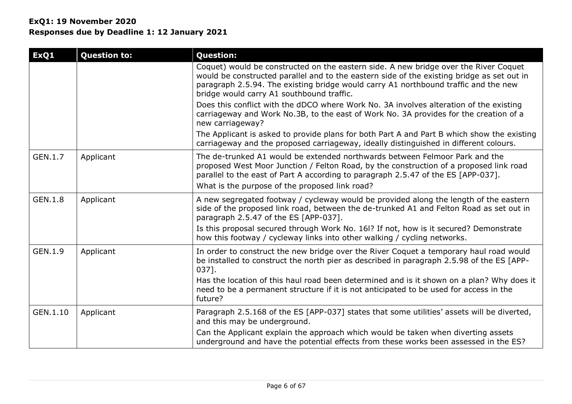# **ExQ1: 19 November 2020 Responses due by Deadline 1: 12 January 2021**

| ExQ1           | <b>Question to:</b> | <b>Question:</b>                                                                                                                                                                                                                                                                                                       |
|----------------|---------------------|------------------------------------------------------------------------------------------------------------------------------------------------------------------------------------------------------------------------------------------------------------------------------------------------------------------------|
|                |                     | Coquet) would be constructed on the eastern side. A new bridge over the River Coquet<br>would be constructed parallel and to the eastern side of the existing bridge as set out in<br>paragraph 2.5.94. The existing bridge would carry A1 northbound traffic and the new<br>bridge would carry A1 southbound traffic. |
|                |                     | Does this conflict with the dDCO where Work No. 3A involves alteration of the existing<br>carriageway and Work No.3B, to the east of Work No. 3A provides for the creation of a<br>new carriageway?                                                                                                                    |
|                |                     | The Applicant is asked to provide plans for both Part A and Part B which show the existing<br>carriageway and the proposed carriageway, ideally distinguished in different colours.                                                                                                                                    |
| GEN.1.7        | Applicant           | The de-trunked A1 would be extended northwards between Felmoor Park and the<br>proposed West Moor Junction / Felton Road, by the construction of a proposed link road<br>parallel to the east of Part A according to paragraph 2.5.47 of the ES [APP-037].<br>What is the purpose of the proposed link road?           |
| <b>GEN.1.8</b> | Applicant           | A new segregated footway / cycleway would be provided along the length of the eastern<br>side of the proposed link road, between the de-trunked A1 and Felton Road as set out in<br>paragraph 2.5.47 of the ES [APP-037].                                                                                              |
|                |                     | Is this proposal secured through Work No. 161? If not, how is it secured? Demonstrate<br>how this footway / cycleway links into other walking / cycling networks.                                                                                                                                                      |
| GEN.1.9        | Applicant           | In order to construct the new bridge over the River Coquet a temporary haul road would<br>be installed to construct the north pier as described in paragraph 2.5.98 of the ES [APP-<br>$037$ ].                                                                                                                        |
|                |                     | Has the location of this haul road been determined and is it shown on a plan? Why does it<br>need to be a permanent structure if it is not anticipated to be used for access in the<br>future?                                                                                                                         |
| GEN.1.10       | Applicant           | Paragraph 2.5.168 of the ES [APP-037] states that some utilities' assets will be diverted,<br>and this may be underground.                                                                                                                                                                                             |
|                |                     | Can the Applicant explain the approach which would be taken when diverting assets<br>underground and have the potential effects from these works been assessed in the ES?                                                                                                                                              |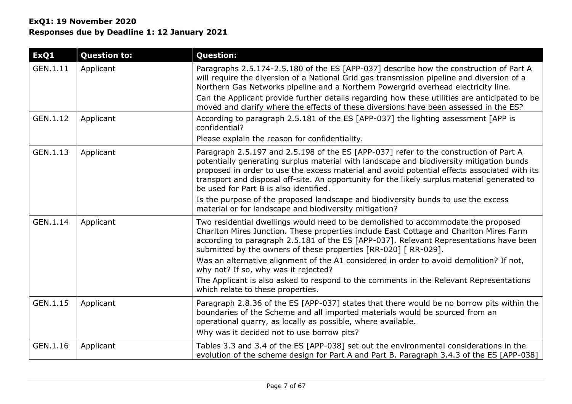| ExQ1     | <b>Question to:</b> | <b>Question:</b>                                                                                                                                                                                                                                                                                                                                                                                                                    |
|----------|---------------------|-------------------------------------------------------------------------------------------------------------------------------------------------------------------------------------------------------------------------------------------------------------------------------------------------------------------------------------------------------------------------------------------------------------------------------------|
| GEN.1.11 | Applicant           | Paragraphs 2.5.174-2.5.180 of the ES [APP-037] describe how the construction of Part A<br>will require the diversion of a National Grid gas transmission pipeline and diversion of a<br>Northern Gas Networks pipeline and a Northern Powergrid overhead electricity line.<br>Can the Applicant provide further details regarding how these utilities are anticipated to be                                                         |
| GEN.1.12 | Applicant           | moved and clarify where the effects of these diversions have been assessed in the ES?<br>According to paragraph 2.5.181 of the ES [APP-037] the lighting assessment [APP is                                                                                                                                                                                                                                                         |
|          |                     | confidential?                                                                                                                                                                                                                                                                                                                                                                                                                       |
|          |                     | Please explain the reason for confidentiality.                                                                                                                                                                                                                                                                                                                                                                                      |
| GEN.1.13 | Applicant           | Paragraph 2.5.197 and 2.5.198 of the ES [APP-037] refer to the construction of Part A<br>potentially generating surplus material with landscape and biodiversity mitigation bunds<br>proposed in order to use the excess material and avoid potential effects associated with its<br>transport and disposal off-site. An opportunity for the likely surplus material generated to<br>be used for Part B is also identified.         |
|          |                     | Is the purpose of the proposed landscape and biodiversity bunds to use the excess<br>material or for landscape and biodiversity mitigation?                                                                                                                                                                                                                                                                                         |
| GEN.1.14 | Applicant           | Two residential dwellings would need to be demolished to accommodate the proposed<br>Charlton Mires Junction. These properties include East Cottage and Charlton Mires Farm<br>according to paragraph 2.5.181 of the ES [APP-037]. Relevant Representations have been<br>submitted by the owners of these properties [RR-020] [ RR-029].<br>Was an alternative alignment of the A1 considered in order to avoid demolition? If not, |
|          |                     | why not? If so, why was it rejected?                                                                                                                                                                                                                                                                                                                                                                                                |
|          |                     | The Applicant is also asked to respond to the comments in the Relevant Representations<br>which relate to these properties.                                                                                                                                                                                                                                                                                                         |
| GEN.1.15 | Applicant           | Paragraph 2.8.36 of the ES [APP-037] states that there would be no borrow pits within the<br>boundaries of the Scheme and all imported materials would be sourced from an<br>operational quarry, as locally as possible, where available.<br>Why was it decided not to use borrow pits?                                                                                                                                             |
| GEN.1.16 | Applicant           | Tables 3.3 and 3.4 of the ES [APP-038] set out the environmental considerations in the<br>evolution of the scheme design for Part A and Part B. Paragraph 3.4.3 of the ES [APP-038]                                                                                                                                                                                                                                                 |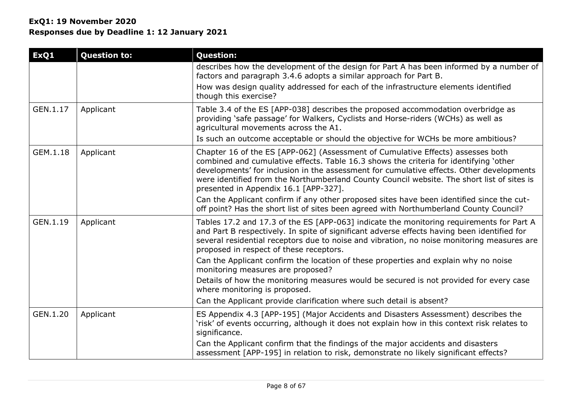| ExQ1     | <b>Question to:</b> | <b>Question:</b>                                                                                                                                                                                                                                                                                                                                                                                            |
|----------|---------------------|-------------------------------------------------------------------------------------------------------------------------------------------------------------------------------------------------------------------------------------------------------------------------------------------------------------------------------------------------------------------------------------------------------------|
|          |                     | describes how the development of the design for Part A has been informed by a number of<br>factors and paragraph 3.4.6 adopts a similar approach for Part B.                                                                                                                                                                                                                                                |
|          |                     | How was design quality addressed for each of the infrastructure elements identified<br>though this exercise?                                                                                                                                                                                                                                                                                                |
| GEN.1.17 | Applicant           | Table 3.4 of the ES [APP-038] describes the proposed accommodation overbridge as<br>providing 'safe passage' for Walkers, Cyclists and Horse-riders (WCHs) as well as<br>agricultural movements across the A1.                                                                                                                                                                                              |
|          |                     | Is such an outcome acceptable or should the objective for WCHs be more ambitious?                                                                                                                                                                                                                                                                                                                           |
| GEM.1.18 | Applicant           | Chapter 16 of the ES [APP-062] (Assessment of Cumulative Effects) assesses both<br>combined and cumulative effects. Table 16.3 shows the criteria for identifying 'other<br>developments' for inclusion in the assessment for cumulative effects. Other developments<br>were identified from the Northumberland County Council website. The short list of sites is<br>presented in Appendix 16.1 [APP-327]. |
|          |                     | Can the Applicant confirm if any other proposed sites have been identified since the cut-<br>off point? Has the short list of sites been agreed with Northumberland County Council?                                                                                                                                                                                                                         |
| GEN.1.19 | Applicant           | Tables 17.2 and 17.3 of the ES [APP-063] indicate the monitoring requirements for Part A<br>and Part B respectively. In spite of significant adverse effects having been identified for<br>several residential receptors due to noise and vibration, no noise monitoring measures are<br>proposed in respect of these receptors.                                                                            |
|          |                     | Can the Applicant confirm the location of these properties and explain why no noise<br>monitoring measures are proposed?                                                                                                                                                                                                                                                                                    |
|          |                     | Details of how the monitoring measures would be secured is not provided for every case<br>where monitoring is proposed.                                                                                                                                                                                                                                                                                     |
|          |                     | Can the Applicant provide clarification where such detail is absent?                                                                                                                                                                                                                                                                                                                                        |
| GEN.1.20 | Applicant           | ES Appendix 4.3 [APP-195] (Major Accidents and Disasters Assessment) describes the<br>'risk' of events occurring, although it does not explain how in this context risk relates to<br>significance.                                                                                                                                                                                                         |
|          |                     | Can the Applicant confirm that the findings of the major accidents and disasters<br>assessment [APP-195] in relation to risk, demonstrate no likely significant effects?                                                                                                                                                                                                                                    |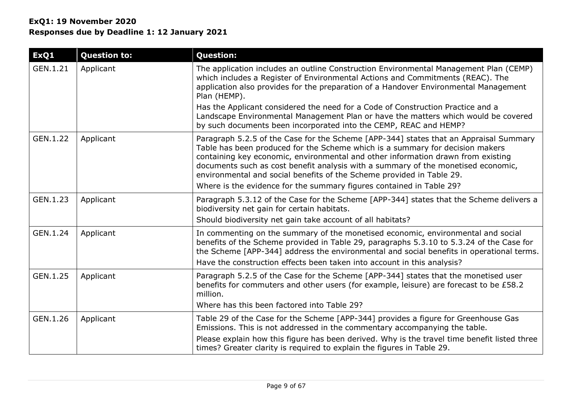| ExQ1     | <b>Question to:</b> | <b>Question:</b>                                                                                                                                                                                                                                                                                                                                                                                                                                                                                 |
|----------|---------------------|--------------------------------------------------------------------------------------------------------------------------------------------------------------------------------------------------------------------------------------------------------------------------------------------------------------------------------------------------------------------------------------------------------------------------------------------------------------------------------------------------|
| GEN.1.21 | Applicant           | The application includes an outline Construction Environmental Management Plan (CEMP)<br>which includes a Register of Environmental Actions and Commitments (REAC). The<br>application also provides for the preparation of a Handover Environmental Management<br>Plan (HEMP).                                                                                                                                                                                                                  |
|          |                     | Has the Applicant considered the need for a Code of Construction Practice and a<br>Landscape Environmental Management Plan or have the matters which would be covered<br>by such documents been incorporated into the CEMP, REAC and HEMP?                                                                                                                                                                                                                                                       |
| GEN.1.22 | Applicant           | Paragraph 5.2.5 of the Case for the Scheme [APP-344] states that an Appraisal Summary<br>Table has been produced for the Scheme which is a summary for decision makers<br>containing key economic, environmental and other information drawn from existing<br>documents such as cost benefit analysis with a summary of the monetised economic,<br>environmental and social benefits of the Scheme provided in Table 29.<br>Where is the evidence for the summary figures contained in Table 29? |
| GEN.1.23 | Applicant           | Paragraph 5.3.12 of the Case for the Scheme [APP-344] states that the Scheme delivers a<br>biodiversity net gain for certain habitats.<br>Should biodiversity net gain take account of all habitats?                                                                                                                                                                                                                                                                                             |
| GEN.1.24 | Applicant           | In commenting on the summary of the monetised economic, environmental and social<br>benefits of the Scheme provided in Table 29, paragraphs 5.3.10 to 5.3.24 of the Case for<br>the Scheme [APP-344] address the environmental and social benefits in operational terms.<br>Have the construction effects been taken into account in this analysis?                                                                                                                                              |
| GEN.1.25 | Applicant           | Paragraph 5.2.5 of the Case for the Scheme [APP-344] states that the monetised user<br>benefits for commuters and other users (for example, leisure) are forecast to be £58.2<br>million.<br>Where has this been factored into Table 29?                                                                                                                                                                                                                                                         |
| GEN.1.26 | Applicant           | Table 29 of the Case for the Scheme [APP-344] provides a figure for Greenhouse Gas<br>Emissions. This is not addressed in the commentary accompanying the table.<br>Please explain how this figure has been derived. Why is the travel time benefit listed three<br>times? Greater clarity is required to explain the figures in Table 29.                                                                                                                                                       |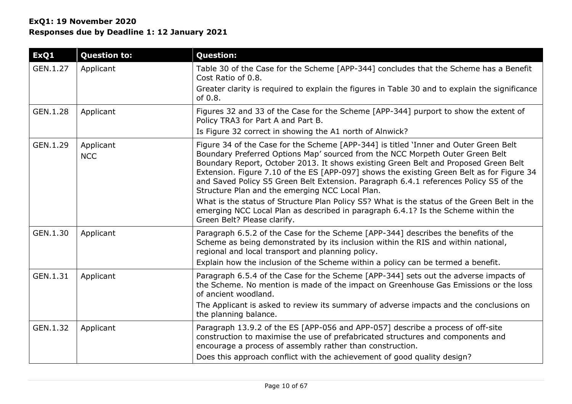| ExQ1     | <b>Question to:</b>     | <b>Question:</b>                                                                                                                                                                                                                                                                                                                                                                                                                                                                                      |
|----------|-------------------------|-------------------------------------------------------------------------------------------------------------------------------------------------------------------------------------------------------------------------------------------------------------------------------------------------------------------------------------------------------------------------------------------------------------------------------------------------------------------------------------------------------|
| GEN.1.27 | Applicant               | Table 30 of the Case for the Scheme [APP-344] concludes that the Scheme has a Benefit<br>Cost Ratio of 0.8.                                                                                                                                                                                                                                                                                                                                                                                           |
|          |                         | Greater clarity is required to explain the figures in Table 30 and to explain the significance<br>of $0.8$ .                                                                                                                                                                                                                                                                                                                                                                                          |
| GEN.1.28 | Applicant               | Figures 32 and 33 of the Case for the Scheme [APP-344] purport to show the extent of<br>Policy TRA3 for Part A and Part B.                                                                                                                                                                                                                                                                                                                                                                            |
|          |                         | Is Figure 32 correct in showing the A1 north of Alnwick?                                                                                                                                                                                                                                                                                                                                                                                                                                              |
| GEN.1.29 | Applicant<br><b>NCC</b> | Figure 34 of the Case for the Scheme [APP-344] is titled 'Inner and Outer Green Belt<br>Boundary Preferred Options Map' sourced from the NCC Morpeth Outer Green Belt<br>Boundary Report, October 2013. It shows existing Green Belt and Proposed Green Belt<br>Extension. Figure 7.10 of the ES [APP-097] shows the existing Green Belt as for Figure 34<br>and Saved Policy S5 Green Belt Extension. Paragraph 6.4.1 references Policy S5 of the<br>Structure Plan and the emerging NCC Local Plan. |
|          |                         | What is the status of Structure Plan Policy S5? What is the status of the Green Belt in the<br>emerging NCC Local Plan as described in paragraph 6.4.1? Is the Scheme within the<br>Green Belt? Please clarify.                                                                                                                                                                                                                                                                                       |
| GEN.1.30 | Applicant               | Paragraph 6.5.2 of the Case for the Scheme [APP-344] describes the benefits of the<br>Scheme as being demonstrated by its inclusion within the RIS and within national,<br>regional and local transport and planning policy.                                                                                                                                                                                                                                                                          |
|          |                         | Explain how the inclusion of the Scheme within a policy can be termed a benefit.                                                                                                                                                                                                                                                                                                                                                                                                                      |
| GEN.1.31 | Applicant               | Paragraph 6.5.4 of the Case for the Scheme [APP-344] sets out the adverse impacts of<br>the Scheme. No mention is made of the impact on Greenhouse Gas Emissions or the loss<br>of ancient woodland.                                                                                                                                                                                                                                                                                                  |
|          |                         | The Applicant is asked to review its summary of adverse impacts and the conclusions on<br>the planning balance.                                                                                                                                                                                                                                                                                                                                                                                       |
| GEN.1.32 | Applicant               | Paragraph 13.9.2 of the ES [APP-056 and APP-057] describe a process of off-site<br>construction to maximise the use of prefabricated structures and components and<br>encourage a process of assembly rather than construction.                                                                                                                                                                                                                                                                       |
|          |                         | Does this approach conflict with the achievement of good quality design?                                                                                                                                                                                                                                                                                                                                                                                                                              |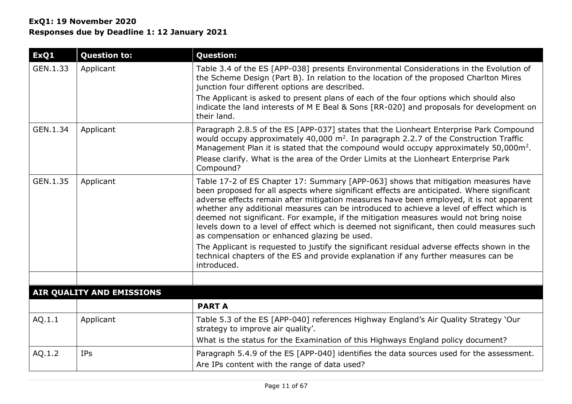| ExQ1     | <b>Question to:</b>       | <b>Question:</b>                                                                                                                                                                                                                                                                                                                                                                                                                                                                                                                                                                                                                                                                                                                                                                                                   |
|----------|---------------------------|--------------------------------------------------------------------------------------------------------------------------------------------------------------------------------------------------------------------------------------------------------------------------------------------------------------------------------------------------------------------------------------------------------------------------------------------------------------------------------------------------------------------------------------------------------------------------------------------------------------------------------------------------------------------------------------------------------------------------------------------------------------------------------------------------------------------|
| GEN.1.33 | Applicant                 | Table 3.4 of the ES [APP-038] presents Environmental Considerations in the Evolution of<br>the Scheme Design (Part B). In relation to the location of the proposed Charlton Mires<br>junction four different options are described.                                                                                                                                                                                                                                                                                                                                                                                                                                                                                                                                                                                |
|          |                           | The Applicant is asked to present plans of each of the four options which should also<br>indicate the land interests of M E Beal & Sons [RR-020] and proposals for development on<br>their land.                                                                                                                                                                                                                                                                                                                                                                                                                                                                                                                                                                                                                   |
| GEN.1.34 | Applicant                 | Paragraph 2.8.5 of the ES [APP-037] states that the Lionheart Enterprise Park Compound<br>would occupy approximately 40,000 m <sup>2</sup> . In paragraph 2.2.7 of the Construction Traffic<br>Management Plan it is stated that the compound would occupy approximately 50,000m <sup>2</sup> .<br>Please clarify. What is the area of the Order Limits at the Lionheart Enterprise Park<br>Compound?                                                                                                                                                                                                                                                                                                                                                                                                              |
| GEN.1.35 | Applicant                 | Table 17-2 of ES Chapter 17: Summary [APP-063] shows that mitigation measures have<br>been proposed for all aspects where significant effects are anticipated. Where significant<br>adverse effects remain after mitigation measures have been employed, it is not apparent<br>whether any additional measures can be introduced to achieve a level of effect which is<br>deemed not significant. For example, if the mitigation measures would not bring noise<br>levels down to a level of effect which is deemed not significant, then could measures such<br>as compensation or enhanced glazing be used.<br>The Applicant is requested to justify the significant residual adverse effects shown in the<br>technical chapters of the ES and provide explanation if any further measures can be<br>introduced. |
|          |                           |                                                                                                                                                                                                                                                                                                                                                                                                                                                                                                                                                                                                                                                                                                                                                                                                                    |
|          | AIR QUALITY AND EMISSIONS |                                                                                                                                                                                                                                                                                                                                                                                                                                                                                                                                                                                                                                                                                                                                                                                                                    |
|          |                           | <b>PART A</b>                                                                                                                                                                                                                                                                                                                                                                                                                                                                                                                                                                                                                                                                                                                                                                                                      |
| AQ.1.1   | Applicant                 | Table 5.3 of the ES [APP-040] references Highway England's Air Quality Strategy 'Our<br>strategy to improve air quality'.                                                                                                                                                                                                                                                                                                                                                                                                                                                                                                                                                                                                                                                                                          |
|          |                           | What is the status for the Examination of this Highways England policy document?                                                                                                                                                                                                                                                                                                                                                                                                                                                                                                                                                                                                                                                                                                                                   |
| AQ.1.2   | <b>IPs</b>                | Paragraph 5.4.9 of the ES [APP-040] identifies the data sources used for the assessment.<br>Are IPs content with the range of data used?                                                                                                                                                                                                                                                                                                                                                                                                                                                                                                                                                                                                                                                                           |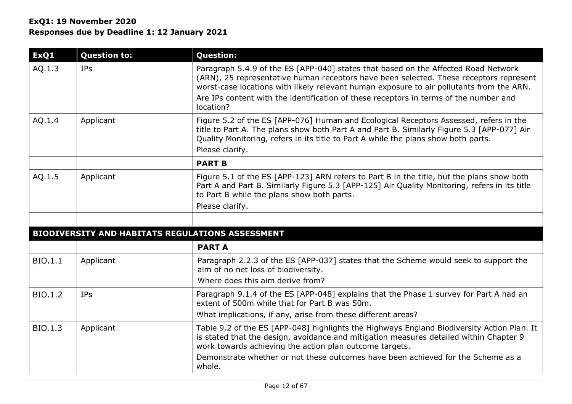| ExQ1           | <b>Question to:</b>                                     | <b>Question:</b>                                                                                                                                                                                                                                                                                                                                                               |
|----------------|---------------------------------------------------------|--------------------------------------------------------------------------------------------------------------------------------------------------------------------------------------------------------------------------------------------------------------------------------------------------------------------------------------------------------------------------------|
| AQ.1.3         | <b>IPs</b>                                              | Paragraph 5.4.9 of the ES [APP-040] states that based on the Affected Road Network<br>(ARN), 25 representative human receptors have been selected. These receptors represent<br>worst-case locations with likely relevant human exposure to air pollutants from the ARN.<br>Are IPs content with the identification of these receptors in terms of the number and<br>location? |
| AQ.1.4         | Applicant                                               | Figure 5.2 of the ES [APP-076] Human and Ecological Receptors Assessed, refers in the<br>title to Part A. The plans show both Part A and Part B. Similarly Figure 5.3 [APP-077] Air<br>Quality Monitoring, refers in its title to Part A while the plans show both parts.<br>Please clarify.                                                                                   |
|                |                                                         | <b>PART B</b>                                                                                                                                                                                                                                                                                                                                                                  |
| AQ.1.5         | Applicant                                               | Figure 5.1 of the ES [APP-123] ARN refers to Part B in the title, but the plans show both<br>Part A and Part B. Similarly Figure 5.3 [APP-125] Air Quality Monitoring, refers in its title<br>to Part B while the plans show both parts.<br>Please clarify.                                                                                                                    |
|                |                                                         |                                                                                                                                                                                                                                                                                                                                                                                |
|                | <b>BIODIVERSITY AND HABITATS REGULATIONS ASSESSMENT</b> |                                                                                                                                                                                                                                                                                                                                                                                |
|                |                                                         | <b>PART A</b>                                                                                                                                                                                                                                                                                                                                                                  |
| BIO.1.1        | Applicant                                               | Paragraph 2.2.3 of the ES [APP-037] states that the Scheme would seek to support the<br>aim of no net loss of biodiversity.<br>Where does this aim derive from?                                                                                                                                                                                                                |
| <b>BIO.1.2</b> | <b>IPs</b>                                              | Paragraph 9.1.4 of the ES [APP-048] explains that the Phase 1 survey for Part A had an<br>extent of 500m while that for Part B was 50m.<br>What implications, if any, arise from these different areas?                                                                                                                                                                        |
| BIO.1.3        | Applicant                                               | Table 9.2 of the ES [APP-048] highlights the Highways England Biodiversity Action Plan. It<br>is stated that the design, avoidance and mitigation measures detailed within Chapter 9<br>work towards achieving the action plan outcome targets.                                                                                                                                |
|                |                                                         | Demonstrate whether or not these outcomes have been achieved for the Scheme as a<br>whole.                                                                                                                                                                                                                                                                                     |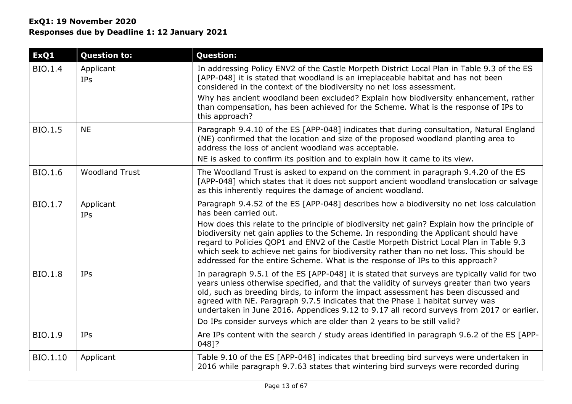| ExQ1           | <b>Question to:</b>     | <b>Question:</b>                                                                                                                                                                                                                                                                                                                                                                                                                                               |
|----------------|-------------------------|----------------------------------------------------------------------------------------------------------------------------------------------------------------------------------------------------------------------------------------------------------------------------------------------------------------------------------------------------------------------------------------------------------------------------------------------------------------|
| BIO.1.4        | Applicant<br>IPs        | In addressing Policy ENV2 of the Castle Morpeth District Local Plan in Table 9.3 of the ES<br>[APP-048] it is stated that woodland is an irreplaceable habitat and has not been<br>considered in the context of the biodiversity no net loss assessment.                                                                                                                                                                                                       |
|                |                         | Why has ancient woodland been excluded? Explain how biodiversity enhancement, rather<br>than compensation, has been achieved for the Scheme. What is the response of IPs to<br>this approach?                                                                                                                                                                                                                                                                  |
| BIO.1.5        | <b>NE</b>               | Paragraph 9.4.10 of the ES [APP-048] indicates that during consultation, Natural England<br>(NE) confirmed that the location and size of the proposed woodland planting area to<br>address the loss of ancient woodland was acceptable.                                                                                                                                                                                                                        |
|                |                         | NE is asked to confirm its position and to explain how it came to its view.                                                                                                                                                                                                                                                                                                                                                                                    |
| BIO.1.6        | <b>Woodland Trust</b>   | The Woodland Trust is asked to expand on the comment in paragraph 9.4.20 of the ES<br>[APP-048] which states that it does not support ancient woodland translocation or salvage<br>as this inherently requires the damage of ancient woodland.                                                                                                                                                                                                                 |
| BIO.1.7        | Applicant<br><b>IPs</b> | Paragraph 9.4.52 of the ES [APP-048] describes how a biodiversity no net loss calculation<br>has been carried out.                                                                                                                                                                                                                                                                                                                                             |
|                |                         | How does this relate to the principle of biodiversity net gain? Explain how the principle of<br>biodiversity net gain applies to the Scheme. In responding the Applicant should have<br>regard to Policies QOP1 and ENV2 of the Castle Morpeth District Local Plan in Table 9.3<br>which seek to achieve net gains for biodiversity rather than no net loss. This should be<br>addressed for the entire Scheme. What is the response of IPs to this approach?  |
| <b>BIO.1.8</b> | IPs                     | In paragraph 9.5.1 of the ES [APP-048] it is stated that surveys are typically valid for two<br>years unless otherwise specified, and that the validity of surveys greater than two years<br>old, such as breeding birds, to inform the impact assessment has been discussed and<br>agreed with NE. Paragraph 9.7.5 indicates that the Phase 1 habitat survey was<br>undertaken in June 2016. Appendices 9.12 to 9.17 all record surveys from 2017 or earlier. |
|                |                         | Do IPs consider surveys which are older than 2 years to be still valid?                                                                                                                                                                                                                                                                                                                                                                                        |
| BIO.1.9        | <b>IPs</b>              | Are IPs content with the search / study areas identified in paragraph 9.6.2 of the ES [APP-<br>048]?                                                                                                                                                                                                                                                                                                                                                           |
| BIO.1.10       | Applicant               | Table 9.10 of the ES [APP-048] indicates that breeding bird surveys were undertaken in<br>2016 while paragraph 9.7.63 states that wintering bird surveys were recorded during                                                                                                                                                                                                                                                                                  |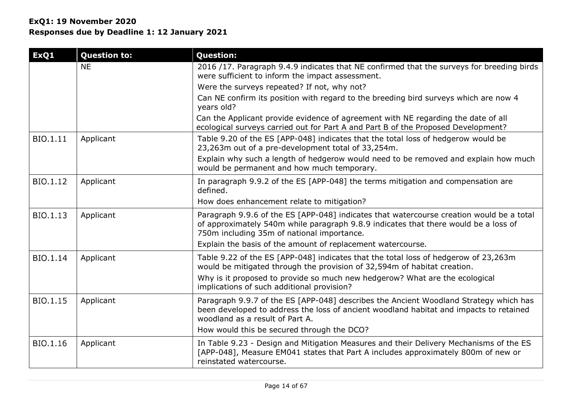| ExQ1     | <b>Question to:</b> | <b>Question:</b>                                                                                                                                                                                                              |
|----------|---------------------|-------------------------------------------------------------------------------------------------------------------------------------------------------------------------------------------------------------------------------|
|          | <b>NE</b>           | 2016 /17. Paragraph 9.4.9 indicates that NE confirmed that the surveys for breeding birds                                                                                                                                     |
|          |                     | were sufficient to inform the impact assessment.                                                                                                                                                                              |
|          |                     | Were the surveys repeated? If not, why not?                                                                                                                                                                                   |
|          |                     | Can NE confirm its position with regard to the breeding bird surveys which are now 4<br>years old?                                                                                                                            |
|          |                     | Can the Applicant provide evidence of agreement with NE regarding the date of all<br>ecological surveys carried out for Part A and Part B of the Proposed Development?                                                        |
| BIO.1.11 | Applicant           | Table 9.20 of the ES [APP-048] indicates that the total loss of hedgerow would be<br>23,263m out of a pre-development total of 33,254m.                                                                                       |
|          |                     | Explain why such a length of hedgerow would need to be removed and explain how much<br>would be permanent and how much temporary.                                                                                             |
| BIO.1.12 | Applicant           | In paragraph 9.9.2 of the ES [APP-048] the terms mitigation and compensation are<br>defined.                                                                                                                                  |
|          |                     | How does enhancement relate to mitigation?                                                                                                                                                                                    |
| BIO.1.13 | Applicant           | Paragraph 9.9.6 of the ES [APP-048] indicates that watercourse creation would be a total<br>of approximately 540m while paragraph 9.8.9 indicates that there would be a loss of<br>750m including 35m of national importance. |
|          |                     | Explain the basis of the amount of replacement watercourse.                                                                                                                                                                   |
| BIO.1.14 | Applicant           | Table 9.22 of the ES [APP-048] indicates that the total loss of hedgerow of 23,263m<br>would be mitigated through the provision of 32,594m of habitat creation.                                                               |
|          |                     | Why is it proposed to provide so much new hedgerow? What are the ecological<br>implications of such additional provision?                                                                                                     |
| BIO.1.15 | Applicant           | Paragraph 9.9.7 of the ES [APP-048] describes the Ancient Woodland Strategy which has<br>been developed to address the loss of ancient woodland habitat and impacts to retained<br>woodland as a result of Part A.            |
|          |                     | How would this be secured through the DCO?                                                                                                                                                                                    |
| BIO.1.16 | Applicant           | In Table 9.23 - Design and Mitigation Measures and their Delivery Mechanisms of the ES<br>[APP-048], Measure EM041 states that Part A includes approximately 800m of new or<br>reinstated watercourse.                        |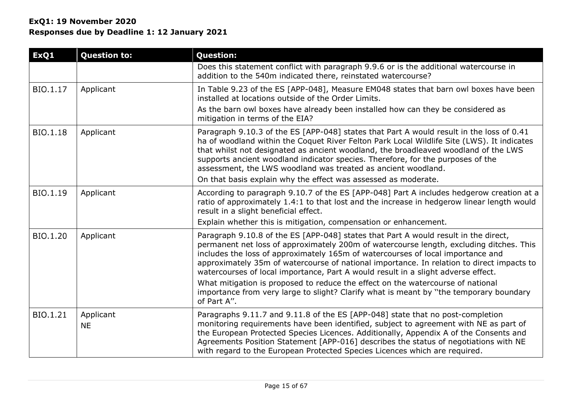| ExQ1     | <b>Question to:</b>    | <b>Question:</b>                                                                                                                                                                                                                                                                                                                                                                                                                                                                                                                       |
|----------|------------------------|----------------------------------------------------------------------------------------------------------------------------------------------------------------------------------------------------------------------------------------------------------------------------------------------------------------------------------------------------------------------------------------------------------------------------------------------------------------------------------------------------------------------------------------|
|          |                        | Does this statement conflict with paragraph 9.9.6 or is the additional watercourse in<br>addition to the 540m indicated there, reinstated watercourse?                                                                                                                                                                                                                                                                                                                                                                                 |
| BIO.1.17 | Applicant              | In Table 9.23 of the ES [APP-048], Measure EM048 states that barn owl boxes have been<br>installed at locations outside of the Order Limits.                                                                                                                                                                                                                                                                                                                                                                                           |
|          |                        | As the barn owl boxes have already been installed how can they be considered as<br>mitigation in terms of the EIA?                                                                                                                                                                                                                                                                                                                                                                                                                     |
| BIO.1.18 | Applicant              | Paragraph 9.10.3 of the ES [APP-048] states that Part A would result in the loss of 0.41<br>ha of woodland within the Coquet River Felton Park Local Wildlife Site (LWS). It indicates<br>that whilst not designated as ancient woodland, the broadleaved woodland of the LWS<br>supports ancient woodland indicator species. Therefore, for the purposes of the<br>assessment, the LWS woodland was treated as ancient woodland.<br>On that basis explain why the effect was assessed as moderate.                                    |
| BIO.1.19 | Applicant              | According to paragraph 9.10.7 of the ES [APP-048] Part A includes hedgerow creation at a<br>ratio of approximately 1.4:1 to that lost and the increase in hedgerow linear length would<br>result in a slight beneficial effect.                                                                                                                                                                                                                                                                                                        |
|          |                        | Explain whether this is mitigation, compensation or enhancement.                                                                                                                                                                                                                                                                                                                                                                                                                                                                       |
| BIO.1.20 | Applicant              | Paragraph 9.10.8 of the ES [APP-048] states that Part A would result in the direct,<br>permanent net loss of approximately 200m of watercourse length, excluding ditches. This<br>includes the loss of approximately 165m of watercourses of local importance and<br>approximately 35m of watercourse of national importance. In relation to direct impacts to<br>watercourses of local importance, Part A would result in a slight adverse effect.<br>What mitigation is proposed to reduce the effect on the watercourse of national |
|          |                        | importance from very large to slight? Clarify what is meant by "the temporary boundary<br>of Part A".                                                                                                                                                                                                                                                                                                                                                                                                                                  |
| BIO.1.21 | Applicant<br><b>NE</b> | Paragraphs 9.11.7 and 9.11.8 of the ES [APP-048] state that no post-completion<br>monitoring requirements have been identified, subject to agreement with NE as part of<br>the European Protected Species Licences. Additionally, Appendix A of the Consents and<br>Agreements Position Statement [APP-016] describes the status of negotiations with NE<br>with regard to the European Protected Species Licences which are required.                                                                                                 |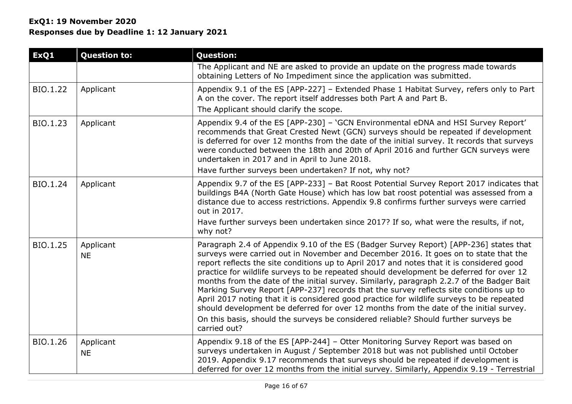| ExQ1            | <b>Question to:</b>    | <b>Question:</b>                                                                                                                                                                                                                                                                                                                                                                                                                                                                                                                                                                                                                                                                                                                                                                                                                                           |
|-----------------|------------------------|------------------------------------------------------------------------------------------------------------------------------------------------------------------------------------------------------------------------------------------------------------------------------------------------------------------------------------------------------------------------------------------------------------------------------------------------------------------------------------------------------------------------------------------------------------------------------------------------------------------------------------------------------------------------------------------------------------------------------------------------------------------------------------------------------------------------------------------------------------|
|                 |                        | The Applicant and NE are asked to provide an update on the progress made towards<br>obtaining Letters of No Impediment since the application was submitted.                                                                                                                                                                                                                                                                                                                                                                                                                                                                                                                                                                                                                                                                                                |
| BIO.1.22        | Applicant              | Appendix 9.1 of the ES [APP-227] - Extended Phase 1 Habitat Survey, refers only to Part<br>A on the cover. The report itself addresses both Part A and Part B.<br>The Applicant should clarify the scope.                                                                                                                                                                                                                                                                                                                                                                                                                                                                                                                                                                                                                                                  |
| BIO.1.23        | Applicant              | Appendix 9.4 of the ES [APP-230] - 'GCN Environmental eDNA and HSI Survey Report'<br>recommends that Great Crested Newt (GCN) surveys should be repeated if development<br>is deferred for over 12 months from the date of the initial survey. It records that surveys<br>were conducted between the 18th and 20th of April 2016 and further GCN surveys were<br>undertaken in 2017 and in April to June 2018.<br>Have further surveys been undertaken? If not, why not?                                                                                                                                                                                                                                                                                                                                                                                   |
| BIO.1.24        | Applicant              | Appendix 9.7 of the ES [APP-233] - Bat Roost Potential Survey Report 2017 indicates that<br>buildings B4A (North Gate House) which has low bat roost potential was assessed from a<br>distance due to access restrictions. Appendix 9.8 confirms further surveys were carried<br>out in 2017.<br>Have further surveys been undertaken since 2017? If so, what were the results, if not,<br>why not?                                                                                                                                                                                                                                                                                                                                                                                                                                                        |
| <b>BIO.1.25</b> | Applicant<br><b>NE</b> | Paragraph 2.4 of Appendix 9.10 of the ES (Badger Survey Report) [APP-236] states that<br>surveys were carried out in November and December 2016. It goes on to state that the<br>report reflects the site conditions up to April 2017 and notes that it is considered good<br>practice for wildlife surveys to be repeated should development be deferred for over 12<br>months from the date of the initial survey. Similarly, paragraph 2.2.7 of the Badger Bait<br>Marking Survey Report [APP-237] records that the survey reflects site conditions up to<br>April 2017 noting that it is considered good practice for wildlife surveys to be repeated<br>should development be deferred for over 12 months from the date of the initial survey.<br>On this basis, should the surveys be considered reliable? Should further surveys be<br>carried out? |
| BIO.1.26        | Applicant<br><b>NE</b> | Appendix 9.18 of the ES [APP-244] - Otter Monitoring Survey Report was based on<br>surveys undertaken in August / September 2018 but was not published until October<br>2019. Appendix 9.17 recommends that surveys should be repeated if development is<br>deferred for over 12 months from the initial survey. Similarly, Appendix 9.19 - Terrestrial                                                                                                                                                                                                                                                                                                                                                                                                                                                                                                    |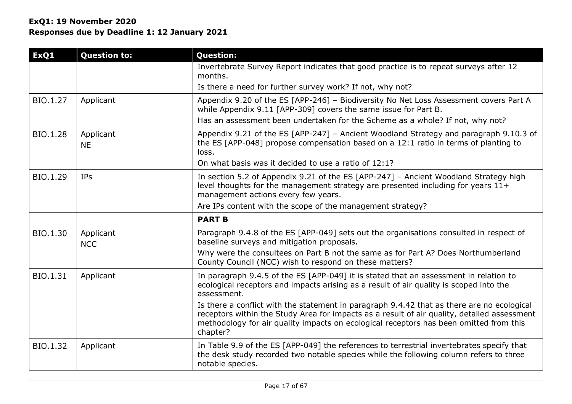| <b>Question to:</b>     | <b>Question:</b>                                                                                                                                                                                                                                                                                |
|-------------------------|-------------------------------------------------------------------------------------------------------------------------------------------------------------------------------------------------------------------------------------------------------------------------------------------------|
|                         | Invertebrate Survey Report indicates that good practice is to repeat surveys after 12<br>months.                                                                                                                                                                                                |
|                         | Is there a need for further survey work? If not, why not?                                                                                                                                                                                                                                       |
| Applicant               | Appendix 9.20 of the ES [APP-246] - Biodiversity No Net Loss Assessment covers Part A<br>while Appendix 9.11 [APP-309] covers the same issue for Part B.                                                                                                                                        |
|                         | Has an assessment been undertaken for the Scheme as a whole? If not, why not?                                                                                                                                                                                                                   |
| Applicant<br><b>NE</b>  | Appendix 9.21 of the ES [APP-247] - Ancient Woodland Strategy and paragraph 9.10.3 of<br>the ES [APP-048] propose compensation based on a 12:1 ratio in terms of planting to<br>loss.                                                                                                           |
|                         | On what basis was it decided to use a ratio of 12:1?                                                                                                                                                                                                                                            |
| <b>IPs</b>              | In section 5.2 of Appendix 9.21 of the ES [APP-247] - Ancient Woodland Strategy high<br>level thoughts for the management strategy are presented including for years $11+$<br>management actions every few years.                                                                               |
|                         | Are IPs content with the scope of the management strategy?                                                                                                                                                                                                                                      |
|                         | <b>PART B</b>                                                                                                                                                                                                                                                                                   |
| Applicant<br><b>NCC</b> | Paragraph 9.4.8 of the ES [APP-049] sets out the organisations consulted in respect of<br>baseline surveys and mitigation proposals.                                                                                                                                                            |
|                         | Why were the consultees on Part B not the same as for Part A? Does Northumberland<br>County Council (NCC) wish to respond on these matters?                                                                                                                                                     |
| Applicant               | In paragraph 9.4.5 of the ES [APP-049] it is stated that an assessment in relation to<br>ecological receptors and impacts arising as a result of air quality is scoped into the<br>assessment.                                                                                                  |
|                         | Is there a conflict with the statement in paragraph 9.4.42 that as there are no ecological<br>receptors within the Study Area for impacts as a result of air quality, detailed assessment<br>methodology for air quality impacts on ecological receptors has been omitted from this<br>chapter? |
| Applicant               | In Table 9.9 of the ES [APP-049] the references to terrestrial invertebrates specify that<br>the desk study recorded two notable species while the following column refers to three<br>notable species.                                                                                         |
|                         |                                                                                                                                                                                                                                                                                                 |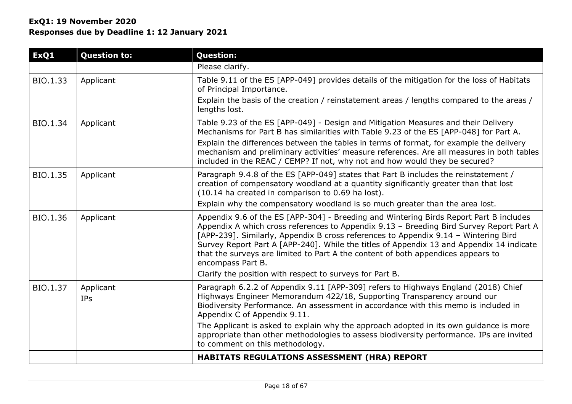| ExQ1     | <b>Question to:</b>     | <b>Question:</b>                                                                                                                                                                                                                                                                                                                                                                                                                                                                                                                          |
|----------|-------------------------|-------------------------------------------------------------------------------------------------------------------------------------------------------------------------------------------------------------------------------------------------------------------------------------------------------------------------------------------------------------------------------------------------------------------------------------------------------------------------------------------------------------------------------------------|
|          |                         | Please clarify.                                                                                                                                                                                                                                                                                                                                                                                                                                                                                                                           |
| BIO.1.33 | Applicant               | Table 9.11 of the ES [APP-049] provides details of the mitigation for the loss of Habitats<br>of Principal Importance.<br>Explain the basis of the creation / reinstatement areas / lengths compared to the areas /<br>lengths lost.                                                                                                                                                                                                                                                                                                      |
| BIO.1.34 | Applicant               | Table 9.23 of the ES [APP-049] - Design and Mitigation Measures and their Delivery<br>Mechanisms for Part B has similarities with Table 9.23 of the ES [APP-048] for Part A.<br>Explain the differences between the tables in terms of format, for example the delivery<br>mechanism and preliminary activities' measure references. Are all measures in both tables<br>included in the REAC / CEMP? If not, why not and how would they be secured?                                                                                       |
| BIO.1.35 | Applicant               | Paragraph 9.4.8 of the ES [APP-049] states that Part B includes the reinstatement /<br>creation of compensatory woodland at a quantity significantly greater than that lost<br>(10.14 ha created in comparison to 0.69 ha lost).<br>Explain why the compensatory woodland is so much greater than the area lost.                                                                                                                                                                                                                          |
| BIO.1.36 | Applicant               | Appendix 9.6 of the ES [APP-304] - Breeding and Wintering Birds Report Part B includes<br>Appendix A which cross references to Appendix 9.13 - Breeding Bird Survey Report Part A<br>[APP-239]. Similarly, Appendix B cross references to Appendix 9.14 - Wintering Bird<br>Survey Report Part A [APP-240]. While the titles of Appendix 13 and Appendix 14 indicate<br>that the surveys are limited to Part A the content of both appendices appears to<br>encompass Part B.<br>Clarify the position with respect to surveys for Part B. |
| BIO.1.37 | Applicant<br><b>IPs</b> | Paragraph 6.2.2 of Appendix 9.11 [APP-309] refers to Highways England (2018) Chief<br>Highways Engineer Memorandum 422/18, Supporting Transparency around our<br>Biodiversity Performance. An assessment in accordance with this memo is included in<br>Appendix C of Appendix 9.11.<br>The Applicant is asked to explain why the approach adopted in its own guidance is more<br>appropriate than other methodologies to assess biodiversity performance. IPs are invited<br>to comment on this methodology.                             |
|          |                         | HABITATS REGULATIONS ASSESSMENT (HRA) REPORT                                                                                                                                                                                                                                                                                                                                                                                                                                                                                              |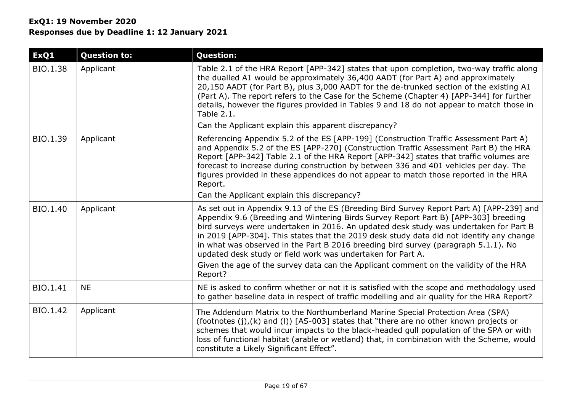| ExQ1     | <b>Question to:</b> | <b>Question:</b>                                                                                                                                                                                                                                                                                                                                                                                                                                                                                                                                                                                                              |
|----------|---------------------|-------------------------------------------------------------------------------------------------------------------------------------------------------------------------------------------------------------------------------------------------------------------------------------------------------------------------------------------------------------------------------------------------------------------------------------------------------------------------------------------------------------------------------------------------------------------------------------------------------------------------------|
| BIO.1.38 | Applicant           | Table 2.1 of the HRA Report [APP-342] states that upon completion, two-way traffic along<br>the dualled A1 would be approximately 36,400 AADT (for Part A) and approximately<br>20,150 AADT (for Part B), plus 3,000 AADT for the de-trunked section of the existing A1<br>(Part A). The report refers to the Case for the Scheme (Chapter 4) [APP-344] for further<br>details, however the figures provided in Tables 9 and 18 do not appear to match those in<br>Table 2.1.                                                                                                                                                 |
|          |                     | Can the Applicant explain this apparent discrepancy?                                                                                                                                                                                                                                                                                                                                                                                                                                                                                                                                                                          |
| BIO.1.39 | Applicant           | Referencing Appendix 5.2 of the ES [APP-199] (Construction Traffic Assessment Part A)<br>and Appendix 5.2 of the ES [APP-270] (Construction Traffic Assessment Part B) the HRA<br>Report [APP-342] Table 2.1 of the HRA Report [APP-342] states that traffic volumes are<br>forecast to increase during construction by between 336 and 401 vehicles per day. The<br>figures provided in these appendices do not appear to match those reported in the HRA<br>Report.<br>Can the Applicant explain this discrepancy?                                                                                                          |
| BIO.1.40 | Applicant           | As set out in Appendix 9.13 of the ES (Breeding Bird Survey Report Part A) [APP-239] and<br>Appendix 9.6 (Breeding and Wintering Birds Survey Report Part B) [APP-303] breeding<br>bird surveys were undertaken in 2016. An updated desk study was undertaken for Part B<br>in 2019 [APP-304]. This states that the 2019 desk study data did not identify any change<br>in what was observed in the Part B 2016 breeding bird survey (paragraph 5.1.1). No<br>updated desk study or field work was undertaken for Part A.<br>Given the age of the survey data can the Applicant comment on the validity of the HRA<br>Report? |
| BIO.1.41 | <b>NE</b>           | NE is asked to confirm whether or not it is satisfied with the scope and methodology used<br>to gather baseline data in respect of traffic modelling and air quality for the HRA Report?                                                                                                                                                                                                                                                                                                                                                                                                                                      |
| BIO.1.42 | Applicant           | The Addendum Matrix to the Northumberland Marine Special Protection Area (SPA)<br>(footnotes $(j)$ , $(k)$ and $(l)$ ) [AS-003] states that "there are no other known projects or<br>schemes that would incur impacts to the black-headed gull population of the SPA or with<br>loss of functional habitat (arable or wetland) that, in combination with the Scheme, would<br>constitute a Likely Significant Effect".                                                                                                                                                                                                        |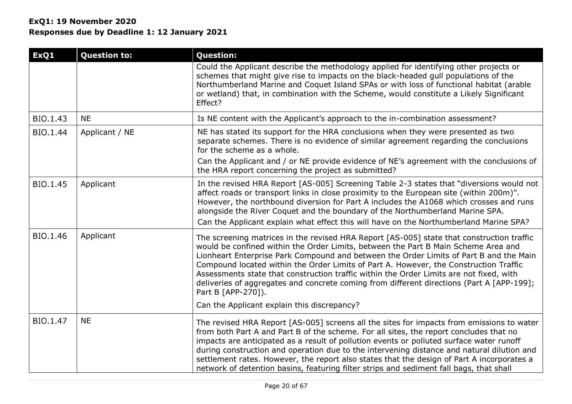| ExQ1     | <b>Question to:</b> | <b>Question:</b>                                                                                                                                                                                                                                                                                                                                                                                                                                                                                                                                                                 |
|----------|---------------------|----------------------------------------------------------------------------------------------------------------------------------------------------------------------------------------------------------------------------------------------------------------------------------------------------------------------------------------------------------------------------------------------------------------------------------------------------------------------------------------------------------------------------------------------------------------------------------|
|          |                     | Could the Applicant describe the methodology applied for identifying other projects or<br>schemes that might give rise to impacts on the black-headed gull populations of the<br>Northumberland Marine and Coquet Island SPAs or with loss of functional habitat (arable<br>or wetland) that, in combination with the Scheme, would constitute a Likely Significant<br>Effect?                                                                                                                                                                                                   |
| BIO.1.43 | <b>NE</b>           | Is NE content with the Applicant's approach to the in-combination assessment?                                                                                                                                                                                                                                                                                                                                                                                                                                                                                                    |
| BIO.1.44 | Applicant / NE      | NE has stated its support for the HRA conclusions when they were presented as two<br>separate schemes. There is no evidence of similar agreement regarding the conclusions<br>for the scheme as a whole.<br>Can the Applicant and / or NE provide evidence of NE's agreement with the conclusions of<br>the HRA report concerning the project as submitted?                                                                                                                                                                                                                      |
| BIO.1.45 | Applicant           | In the revised HRA Report [AS-005] Screening Table 2-3 states that "diversions would not<br>affect roads or transport links in close proximity to the European site (within 200m)".<br>However, the northbound diversion for Part A includes the A1068 which crosses and runs<br>alongside the River Coquet and the boundary of the Northumberland Marine SPA.<br>Can the Applicant explain what effect this will have on the Northumberland Marine SPA?                                                                                                                         |
| BIO.1.46 | Applicant           | The screening matrices in the revised HRA Report [AS-005] state that construction traffic<br>would be confined within the Order Limits, between the Part B Main Scheme Area and<br>Lionheart Enterprise Park Compound and between the Order Limits of Part B and the Main<br>Compound located within the Order Limits of Part A. However, the Construction Traffic<br>Assessments state that construction traffic within the Order Limits are not fixed, with<br>deliveries of aggregates and concrete coming from different directions (Part A [APP-199];<br>Part B [APP-270]). |
|          |                     | Can the Applicant explain this discrepancy?                                                                                                                                                                                                                                                                                                                                                                                                                                                                                                                                      |
| BIO.1.47 | <b>NE</b>           | The revised HRA Report [AS-005] screens all the sites for impacts from emissions to water<br>from both Part A and Part B of the scheme. For all sites, the report concludes that no<br>impacts are anticipated as a result of pollution events or polluted surface water runoff<br>during construction and operation due to the intervening distance and natural dilution and<br>settlement rates. However, the report also states that the design of Part A incorporates a<br>network of detention basins, featuring filter strips and sediment fall bags, that shall           |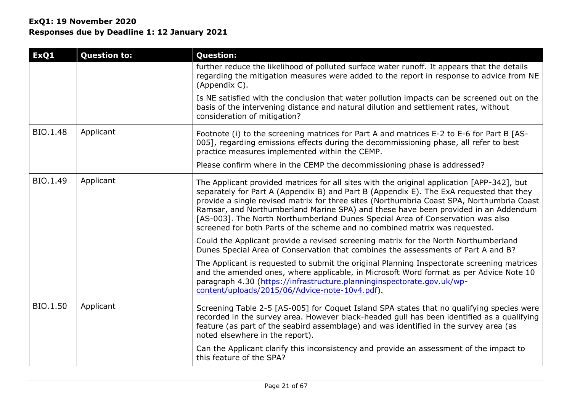| ExQ1     | <b>Question to:</b> | <b>Question:</b>                                                                                                                                                                                                                                                                                                                                                                                                                                                                                                                          |
|----------|---------------------|-------------------------------------------------------------------------------------------------------------------------------------------------------------------------------------------------------------------------------------------------------------------------------------------------------------------------------------------------------------------------------------------------------------------------------------------------------------------------------------------------------------------------------------------|
|          |                     | further reduce the likelihood of polluted surface water runoff. It appears that the details<br>regarding the mitigation measures were added to the report in response to advice from NE<br>(Appendix C).                                                                                                                                                                                                                                                                                                                                  |
|          |                     | Is NE satisfied with the conclusion that water pollution impacts can be screened out on the<br>basis of the intervening distance and natural dilution and settlement rates, without<br>consideration of mitigation?                                                                                                                                                                                                                                                                                                                       |
| BIO.1.48 | Applicant           | Footnote (i) to the screening matrices for Part A and matrices E-2 to E-6 for Part B [AS-<br>005], regarding emissions effects during the decommissioning phase, all refer to best<br>practice measures implemented within the CEMP.                                                                                                                                                                                                                                                                                                      |
|          |                     | Please confirm where in the CEMP the decommissioning phase is addressed?                                                                                                                                                                                                                                                                                                                                                                                                                                                                  |
| BIO.1.49 | Applicant           | The Applicant provided matrices for all sites with the original application [APP-342], but<br>separately for Part A (Appendix B) and Part B (Appendix E). The ExA requested that they<br>provide a single revised matrix for three sites (Northumbria Coast SPA, Northumbria Coast<br>Ramsar, and Northumberland Marine SPA) and these have been provided in an Addendum<br>[AS-003]. The North Northumberland Dunes Special Area of Conservation was also<br>screened for both Parts of the scheme and no combined matrix was requested. |
|          |                     | Could the Applicant provide a revised screening matrix for the North Northumberland<br>Dunes Special Area of Conservation that combines the assessments of Part A and B?                                                                                                                                                                                                                                                                                                                                                                  |
|          |                     | The Applicant is requested to submit the original Planning Inspectorate screening matrices<br>and the amended ones, where applicable, in Microsoft Word format as per Advice Note 10<br>paragraph 4.30 (https://infrastructure.planninginspectorate.gov.uk/wp-<br>content/uploads/2015/06/Advice-note-10v4.pdf).                                                                                                                                                                                                                          |
| BIO.1.50 | Applicant           | Screening Table 2-5 [AS-005] for Coquet Island SPA states that no qualifying species were<br>recorded in the survey area. However black-headed gull has been identified as a qualifying<br>feature (as part of the seabird assemblage) and was identified in the survey area (as<br>noted elsewhere in the report).                                                                                                                                                                                                                       |
|          |                     | Can the Applicant clarify this inconsistency and provide an assessment of the impact to<br>this feature of the SPA?                                                                                                                                                                                                                                                                                                                                                                                                                       |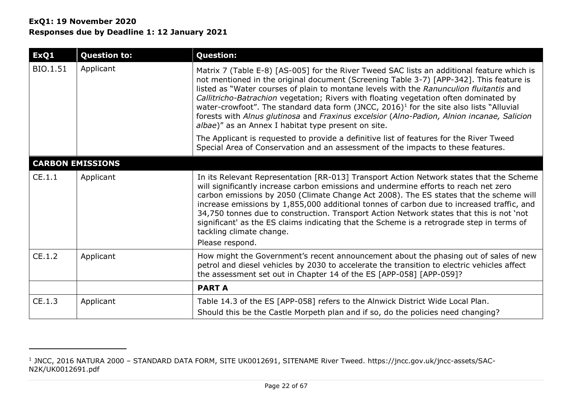# **ExQ1: 19 November 2020 Responses due by Deadline 1: 12 January 2021**

| ExQ1     | <b>Question to:</b>     | <b>Question:</b>                                                                                                                                                                                                                                                                                                                                                                                                                                                                                                                                                                                                                      |  |  |
|----------|-------------------------|---------------------------------------------------------------------------------------------------------------------------------------------------------------------------------------------------------------------------------------------------------------------------------------------------------------------------------------------------------------------------------------------------------------------------------------------------------------------------------------------------------------------------------------------------------------------------------------------------------------------------------------|--|--|
| BIO.1.51 | Applicant               | Matrix 7 (Table E-8) [AS-005] for the River Tweed SAC lists an additional feature which is<br>not mentioned in the original document (Screening Table 3-7) [APP-342]. This feature is<br>listed as "Water courses of plain to montane levels with the Ranunculion fluitantis and<br>Callitricho-Batrachion vegetation; Rivers with floating vegetation often dominated by<br>water-crowfoot". The standard data form (JNCC, 2016) <sup>1</sup> for the site also lists "Alluvial<br>forests with Alnus glutinosa and Fraxinus excelsior (Alno-Padion, Alnion incanae, Salicion<br>albae)" as an Annex I habitat type present on site. |  |  |
|          |                         | The Applicant is requested to provide a definitive list of features for the River Tweed<br>Special Area of Conservation and an assessment of the impacts to these features.                                                                                                                                                                                                                                                                                                                                                                                                                                                           |  |  |
|          | <b>CARBON EMISSIONS</b> |                                                                                                                                                                                                                                                                                                                                                                                                                                                                                                                                                                                                                                       |  |  |
| CE.1.1   | Applicant               | In its Relevant Representation [RR-013] Transport Action Network states that the Scheme<br>will significantly increase carbon emissions and undermine efforts to reach net zero<br>carbon emissions by 2050 (Climate Change Act 2008). The ES states that the scheme will<br>increase emissions by 1,855,000 additional tonnes of carbon due to increased traffic, and<br>34,750 tonnes due to construction. Transport Action Network states that this is not 'not<br>significant' as the ES claims indicating that the Scheme is a retrograde step in terms of<br>tackling climate change.<br>Please respond.                        |  |  |
| CE.1.2   | Applicant               | How might the Government's recent announcement about the phasing out of sales of new<br>petrol and diesel vehicles by 2030 to accelerate the transition to electric vehicles affect<br>the assessment set out in Chapter 14 of the ES [APP-058] [APP-059]?                                                                                                                                                                                                                                                                                                                                                                            |  |  |
|          |                         | <b>PART A</b>                                                                                                                                                                                                                                                                                                                                                                                                                                                                                                                                                                                                                         |  |  |
| CE.1.3   | Applicant               | Table 14.3 of the ES [APP-058] refers to the Alnwick District Wide Local Plan.<br>Should this be the Castle Morpeth plan and if so, do the policies need changing?                                                                                                                                                                                                                                                                                                                                                                                                                                                                    |  |  |

<sup>1</sup> JNCC, 2016 NATURA 2000 – STANDARD DATA FORM, SITE UK0012691, SITENAME River Tweed. https://jncc.gov.uk/jncc-assets/SAC-N2K/UK0012691.pdf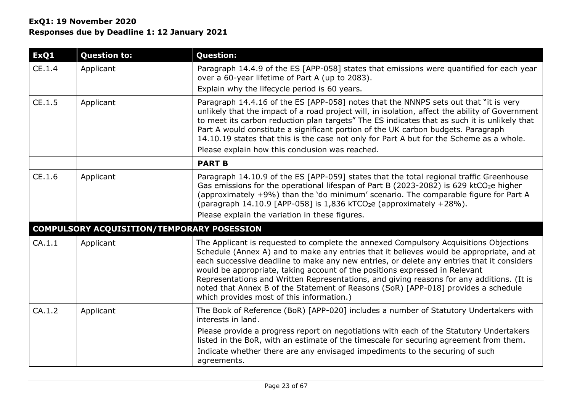| ExQ1   | <b>Question to:</b>                        | <b>Question:</b>                                                                                                                                                                                                                                                                                                                                                                                                                                                                                                                                                                              |
|--------|--------------------------------------------|-----------------------------------------------------------------------------------------------------------------------------------------------------------------------------------------------------------------------------------------------------------------------------------------------------------------------------------------------------------------------------------------------------------------------------------------------------------------------------------------------------------------------------------------------------------------------------------------------|
| CE.1.4 | Applicant                                  | Paragraph 14.4.9 of the ES [APP-058] states that emissions were quantified for each year<br>over a 60-year lifetime of Part A (up to 2083).                                                                                                                                                                                                                                                                                                                                                                                                                                                   |
|        |                                            | Explain why the lifecycle period is 60 years.                                                                                                                                                                                                                                                                                                                                                                                                                                                                                                                                                 |
| CE.1.5 | Applicant                                  | Paragraph 14.4.16 of the ES [APP-058] notes that the NNNPS sets out that "it is very<br>unlikely that the impact of a road project will, in isolation, affect the ability of Government<br>to meet its carbon reduction plan targets" The ES indicates that as such it is unlikely that<br>Part A would constitute a significant portion of the UK carbon budgets. Paragraph<br>14.10.19 states that this is the case not only for Part A but for the Scheme as a whole.<br>Please explain how this conclusion was reached.                                                                   |
|        |                                            | <b>PART B</b>                                                                                                                                                                                                                                                                                                                                                                                                                                                                                                                                                                                 |
| CE.1.6 | Applicant                                  | Paragraph 14.10.9 of the ES [APP-059] states that the total regional traffic Greenhouse<br>Gas emissions for the operational lifespan of Part B (2023-2082) is 629 ktCO <sub>2</sub> e higher<br>(approximately +9%) than the 'do minimum' scenario. The comparable figure for Part A<br>(paragraph 14.10.9 [APP-058] is $1,836$ kTCO <sub>2</sub> e (approximately +28%).<br>Please explain the variation in these figures.                                                                                                                                                                  |
|        | COMPULSORY ACQUISITION/TEMPORARY POSESSION |                                                                                                                                                                                                                                                                                                                                                                                                                                                                                                                                                                                               |
| CA.1.1 | Applicant                                  | The Applicant is requested to complete the annexed Compulsory Acquisitions Objections<br>Schedule (Annex A) and to make any entries that it believes would be appropriate, and at<br>each successive deadline to make any new entries, or delete any entries that it considers<br>would be appropriate, taking account of the positions expressed in Relevant<br>Representations and Written Representations, and giving reasons for any additions. (It is<br>noted that Annex B of the Statement of Reasons (SoR) [APP-018] provides a schedule<br>which provides most of this information.) |
| CA.1.2 | Applicant                                  | The Book of Reference (BoR) [APP-020] includes a number of Statutory Undertakers with<br>interests in land.                                                                                                                                                                                                                                                                                                                                                                                                                                                                                   |
|        |                                            | Please provide a progress report on negotiations with each of the Statutory Undertakers<br>listed in the BoR, with an estimate of the timescale for securing agreement from them.                                                                                                                                                                                                                                                                                                                                                                                                             |
|        |                                            | Indicate whether there are any envisaged impediments to the securing of such<br>agreements.                                                                                                                                                                                                                                                                                                                                                                                                                                                                                                   |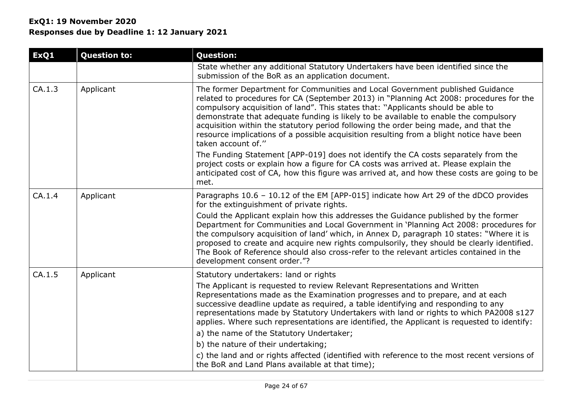| ExQ1   | <b>Question to:</b> | <b>Question:</b>                                                                                                                                                                                                                                                                                                                                                                                                                                                                                                                                               |
|--------|---------------------|----------------------------------------------------------------------------------------------------------------------------------------------------------------------------------------------------------------------------------------------------------------------------------------------------------------------------------------------------------------------------------------------------------------------------------------------------------------------------------------------------------------------------------------------------------------|
|        |                     | State whether any additional Statutory Undertakers have been identified since the<br>submission of the BoR as an application document.                                                                                                                                                                                                                                                                                                                                                                                                                         |
| CA.1.3 | Applicant           | The former Department for Communities and Local Government published Guidance<br>related to procedures for CA (September 2013) in "Planning Act 2008: procedures for the<br>compulsory acquisition of land". This states that: "Applicants should be able to<br>demonstrate that adequate funding is likely to be available to enable the compulsory<br>acquisition within the statutory period following the order being made, and that the<br>resource implications of a possible acquisition resulting from a blight notice have been<br>taken account of." |
|        |                     | The Funding Statement [APP-019] does not identify the CA costs separately from the<br>project costs or explain how a figure for CA costs was arrived at. Please explain the<br>anticipated cost of CA, how this figure was arrived at, and how these costs are going to be<br>met.                                                                                                                                                                                                                                                                             |
| CA.1.4 | Applicant           | Paragraphs 10.6 - 10.12 of the EM [APP-015] indicate how Art 29 of the dDCO provides<br>for the extinguishment of private rights.                                                                                                                                                                                                                                                                                                                                                                                                                              |
|        |                     | Could the Applicant explain how this addresses the Guidance published by the former<br>Department for Communities and Local Government in 'Planning Act 2008: procedures for<br>the compulsory acquisition of land' which, in Annex D, paragraph 10 states: "Where it is<br>proposed to create and acquire new rights compulsorily, they should be clearly identified.<br>The Book of Reference should also cross-refer to the relevant articles contained in the<br>development consent order."?                                                              |
| CA.1.5 | Applicant           | Statutory undertakers: land or rights                                                                                                                                                                                                                                                                                                                                                                                                                                                                                                                          |
|        |                     | The Applicant is requested to review Relevant Representations and Written<br>Representations made as the Examination progresses and to prepare, and at each<br>successive deadline update as required, a table identifying and responding to any<br>representations made by Statutory Undertakers with land or rights to which PA2008 s127<br>applies. Where such representations are identified, the Applicant is requested to identify:                                                                                                                      |
|        |                     | a) the name of the Statutory Undertaker;                                                                                                                                                                                                                                                                                                                                                                                                                                                                                                                       |
|        |                     | b) the nature of their undertaking;                                                                                                                                                                                                                                                                                                                                                                                                                                                                                                                            |
|        |                     | c) the land and or rights affected (identified with reference to the most recent versions of<br>the BoR and Land Plans available at that time);                                                                                                                                                                                                                                                                                                                                                                                                                |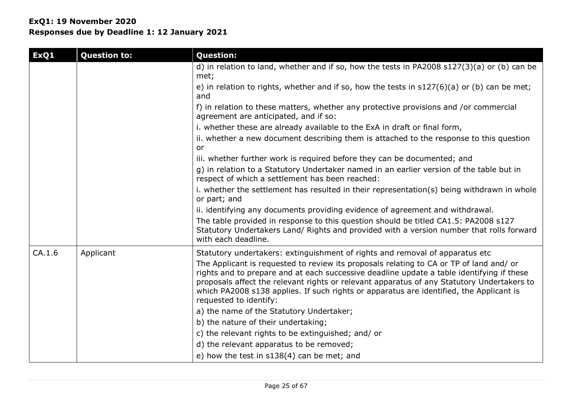# **ExQ1: 19 November 2020 Responses due by Deadline 1: 12 January 2021**

| ExQ1   | <b>Question to:</b> | <b>Question:</b>                                                                                                                                                                                                                                                                                                                                                                                        |
|--------|---------------------|---------------------------------------------------------------------------------------------------------------------------------------------------------------------------------------------------------------------------------------------------------------------------------------------------------------------------------------------------------------------------------------------------------|
|        |                     | d) in relation to land, whether and if so, how the tests in PA2008 s127(3)(a) or (b) can be<br>met;                                                                                                                                                                                                                                                                                                     |
|        |                     | e) in relation to rights, whether and if so, how the tests in $s127(6)(a)$ or (b) can be met;<br>and                                                                                                                                                                                                                                                                                                    |
|        |                     | f) in relation to these matters, whether any protective provisions and /or commercial<br>agreement are anticipated, and if so:                                                                                                                                                                                                                                                                          |
|        |                     | i. whether these are already available to the ExA in draft or final form,                                                                                                                                                                                                                                                                                                                               |
|        |                     | ii. whether a new document describing them is attached to the response to this question<br>or                                                                                                                                                                                                                                                                                                           |
|        |                     | iii. whether further work is required before they can be documented; and                                                                                                                                                                                                                                                                                                                                |
|        |                     | g) in relation to a Statutory Undertaker named in an earlier version of the table but in<br>respect of which a settlement has been reached:                                                                                                                                                                                                                                                             |
|        |                     | i. whether the settlement has resulted in their representation(s) being withdrawn in whole<br>or part; and                                                                                                                                                                                                                                                                                              |
|        |                     | ii. identifying any documents providing evidence of agreement and withdrawal.                                                                                                                                                                                                                                                                                                                           |
|        |                     | The table provided in response to this question should be titled CA1.5: PA2008 s127<br>Statutory Undertakers Land/ Rights and provided with a version number that rolls forward<br>with each deadline.                                                                                                                                                                                                  |
| CA.1.6 | Applicant           | Statutory undertakers: extinguishment of rights and removal of apparatus etc                                                                                                                                                                                                                                                                                                                            |
|        |                     | The Applicant is requested to review its proposals relating to CA or TP of land and/ or<br>rights and to prepare and at each successive deadline update a table identifying if these<br>proposals affect the relevant rights or relevant apparatus of any Statutory Undertakers to<br>which PA2008 s138 applies. If such rights or apparatus are identified, the Applicant is<br>requested to identify: |
|        |                     | a) the name of the Statutory Undertaker;                                                                                                                                                                                                                                                                                                                                                                |
|        |                     | b) the nature of their undertaking;                                                                                                                                                                                                                                                                                                                                                                     |
|        |                     | c) the relevant rights to be extinguished; and/ or                                                                                                                                                                                                                                                                                                                                                      |
|        |                     | d) the relevant apparatus to be removed;                                                                                                                                                                                                                                                                                                                                                                |
|        |                     | e) how the test in s138(4) can be met; and                                                                                                                                                                                                                                                                                                                                                              |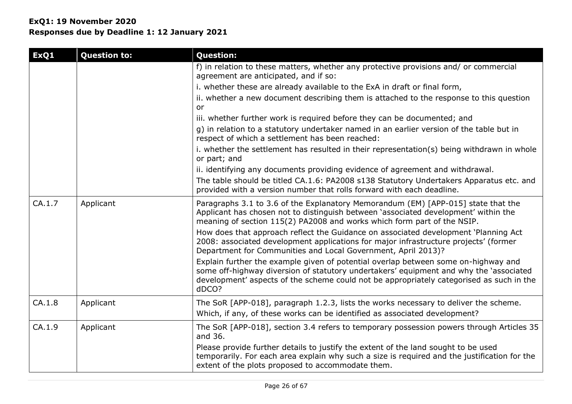# **ExQ1: 19 November 2020 Responses due by Deadline 1: 12 January 2021**

| ExQ1   | <b>Question to:</b> | <b>Question:</b>                                                                                                                                                                                                                                                                  |
|--------|---------------------|-----------------------------------------------------------------------------------------------------------------------------------------------------------------------------------------------------------------------------------------------------------------------------------|
|        |                     | f) in relation to these matters, whether any protective provisions and/ or commercial<br>agreement are anticipated, and if so:                                                                                                                                                    |
|        |                     | i. whether these are already available to the ExA in draft or final form,                                                                                                                                                                                                         |
|        |                     | ii. whether a new document describing them is attached to the response to this question                                                                                                                                                                                           |
|        |                     | or                                                                                                                                                                                                                                                                                |
|        |                     | iii. whether further work is required before they can be documented; and                                                                                                                                                                                                          |
|        |                     | g) in relation to a statutory undertaker named in an earlier version of the table but in<br>respect of which a settlement has been reached:                                                                                                                                       |
|        |                     | i. whether the settlement has resulted in their representation(s) being withdrawn in whole<br>or part; and                                                                                                                                                                        |
|        |                     | ii. identifying any documents providing evidence of agreement and withdrawal.                                                                                                                                                                                                     |
|        |                     | The table should be titled CA.1.6: PA2008 s138 Statutory Undertakers Apparatus etc. and<br>provided with a version number that rolls forward with each deadline.                                                                                                                  |
| CA.1.7 | Applicant           | Paragraphs 3.1 to 3.6 of the Explanatory Memorandum (EM) [APP-015] state that the<br>Applicant has chosen not to distinguish between 'associated development' within the<br>meaning of section 115(2) PA2008 and works which form part of the NSIP.                               |
|        |                     | How does that approach reflect the Guidance on associated development 'Planning Act<br>2008: associated development applications for major infrastructure projects' (former<br>Department for Communities and Local Government, April 2013)?                                      |
|        |                     | Explain further the example given of potential overlap between some on-highway and<br>some off-highway diversion of statutory undertakers' equipment and why the 'associated<br>development' aspects of the scheme could not be appropriately categorised as such in the<br>dDCO? |
| CA.1.8 | Applicant           | The SoR [APP-018], paragraph 1.2.3, lists the works necessary to deliver the scheme.                                                                                                                                                                                              |
|        |                     | Which, if any, of these works can be identified as associated development?                                                                                                                                                                                                        |
| CA.1.9 | Applicant           | The SoR [APP-018], section 3.4 refers to temporary possession powers through Articles 35<br>and 36.                                                                                                                                                                               |
|        |                     | Please provide further details to justify the extent of the land sought to be used<br>temporarily. For each area explain why such a size is required and the justification for the<br>extent of the plots proposed to accommodate them.                                           |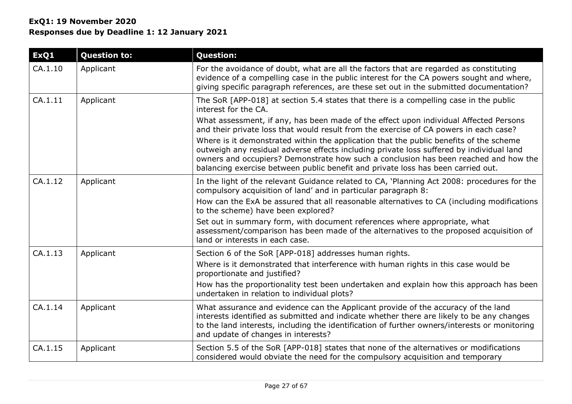| ExQ1    | <b>Question to:</b> | <b>Question:</b>                                                                                                                                                                                                                                                                                                                                               |
|---------|---------------------|----------------------------------------------------------------------------------------------------------------------------------------------------------------------------------------------------------------------------------------------------------------------------------------------------------------------------------------------------------------|
| CA.1.10 | Applicant           | For the avoidance of doubt, what are all the factors that are regarded as constituting<br>evidence of a compelling case in the public interest for the CA powers sought and where,<br>giving specific paragraph references, are these set out in the submitted documentation?                                                                                  |
| CA.1.11 | Applicant           | The SoR [APP-018] at section 5.4 states that there is a compelling case in the public<br>interest for the CA.                                                                                                                                                                                                                                                  |
|         |                     | What assessment, if any, has been made of the effect upon individual Affected Persons<br>and their private loss that would result from the exercise of CA powers in each case?                                                                                                                                                                                 |
|         |                     | Where is it demonstrated within the application that the public benefits of the scheme<br>outweigh any residual adverse effects including private loss suffered by individual land<br>owners and occupiers? Demonstrate how such a conclusion has been reached and how the<br>balancing exercise between public benefit and private loss has been carried out. |
| CA.1.12 | Applicant           | In the light of the relevant Guidance related to CA, 'Planning Act 2008: procedures for the<br>compulsory acquisition of land' and in particular paragraph 8:                                                                                                                                                                                                  |
|         |                     | How can the ExA be assured that all reasonable alternatives to CA (including modifications<br>to the scheme) have been explored?                                                                                                                                                                                                                               |
|         |                     | Set out in summary form, with document references where appropriate, what<br>assessment/comparison has been made of the alternatives to the proposed acquisition of<br>land or interests in each case.                                                                                                                                                         |
| CA.1.13 | Applicant           | Section 6 of the SoR [APP-018] addresses human rights.                                                                                                                                                                                                                                                                                                         |
|         |                     | Where is it demonstrated that interference with human rights in this case would be<br>proportionate and justified?                                                                                                                                                                                                                                             |
|         |                     | How has the proportionality test been undertaken and explain how this approach has been<br>undertaken in relation to individual plots?                                                                                                                                                                                                                         |
| CA.1.14 | Applicant           | What assurance and evidence can the Applicant provide of the accuracy of the land<br>interests identified as submitted and indicate whether there are likely to be any changes<br>to the land interests, including the identification of further owners/interests or monitoring<br>and update of changes in interests?                                         |
| CA.1.15 | Applicant           | Section 5.5 of the SoR [APP-018] states that none of the alternatives or modifications<br>considered would obviate the need for the compulsory acquisition and temporary                                                                                                                                                                                       |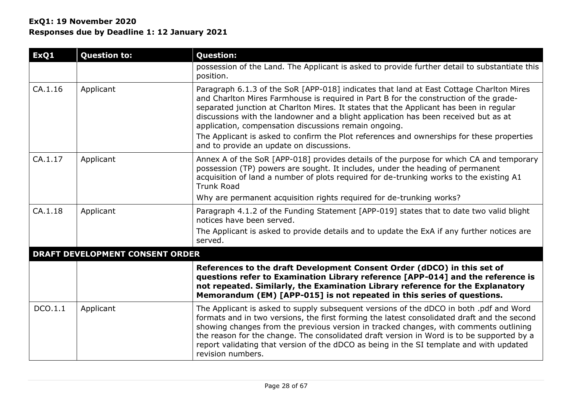| ExQ1    | <b>Question to:</b>                    | <b>Question:</b>                                                                                                                                                                                                                                                                                                                                                                                                                                                                                                                                                    |
|---------|----------------------------------------|---------------------------------------------------------------------------------------------------------------------------------------------------------------------------------------------------------------------------------------------------------------------------------------------------------------------------------------------------------------------------------------------------------------------------------------------------------------------------------------------------------------------------------------------------------------------|
|         |                                        | possession of the Land. The Applicant is asked to provide further detail to substantiate this<br>position.                                                                                                                                                                                                                                                                                                                                                                                                                                                          |
| CA.1.16 | Applicant                              | Paragraph 6.1.3 of the SoR [APP-018] indicates that land at East Cottage Charlton Mires<br>and Charlton Mires Farmhouse is required in Part B for the construction of the grade-<br>separated junction at Charlton Mires. It states that the Applicant has been in regular<br>discussions with the landowner and a blight application has been received but as at<br>application, compensation discussions remain ongoing.<br>The Applicant is asked to confirm the Plot references and ownerships for these properties<br>and to provide an update on discussions. |
| CA.1.17 | Applicant                              | Annex A of the SoR [APP-018] provides details of the purpose for which CA and temporary<br>possession (TP) powers are sought. It includes, under the heading of permanent<br>acquisition of land a number of plots required for de-trunking works to the existing A1<br><b>Trunk Road</b><br>Why are permanent acquisition rights required for de-trunking works?                                                                                                                                                                                                   |
|         |                                        |                                                                                                                                                                                                                                                                                                                                                                                                                                                                                                                                                                     |
| CA.1.18 | Applicant                              | Paragraph 4.1.2 of the Funding Statement [APP-019] states that to date two valid blight<br>notices have been served.<br>The Applicant is asked to provide details and to update the ExA if any further notices are<br>served.                                                                                                                                                                                                                                                                                                                                       |
|         | <b>DRAFT DEVELOPMENT CONSENT ORDER</b> |                                                                                                                                                                                                                                                                                                                                                                                                                                                                                                                                                                     |
|         |                                        | References to the draft Development Consent Order (dDCO) in this set of<br>questions refer to Examination Library reference [APP-014] and the reference is<br>not repeated. Similarly, the Examination Library reference for the Explanatory<br>Memorandum (EM) [APP-015] is not repeated in this series of questions.                                                                                                                                                                                                                                              |
| DCO.1.1 | Applicant                              | The Applicant is asked to supply subsequent versions of the dDCO in both .pdf and Word<br>formats and in two versions, the first forming the latest consolidated draft and the second<br>showing changes from the previous version in tracked changes, with comments outlining<br>the reason for the change. The consolidated draft version in Word is to be supported by a<br>report validating that version of the dDCO as being in the SI template and with updated<br>revision numbers.                                                                         |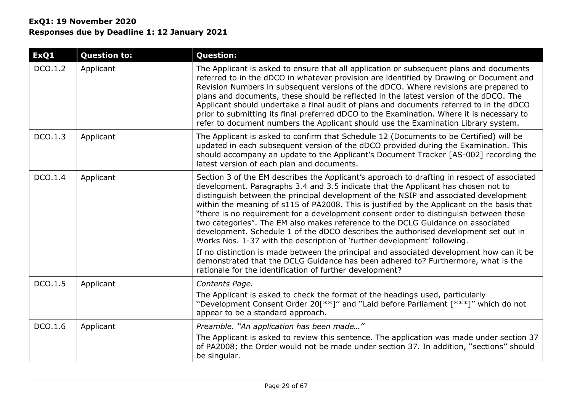# **ExQ1: 19 November 2020 Responses due by Deadline 1: 12 January 2021**

| ExQ1    | <b>Question to:</b> | <b>Question:</b>                                                                                                                                                                                                                                                                                                                                                                                                                                                                                                                                                                                                                                                                                                                                                                                                                                                                                                                                                   |
|---------|---------------------|--------------------------------------------------------------------------------------------------------------------------------------------------------------------------------------------------------------------------------------------------------------------------------------------------------------------------------------------------------------------------------------------------------------------------------------------------------------------------------------------------------------------------------------------------------------------------------------------------------------------------------------------------------------------------------------------------------------------------------------------------------------------------------------------------------------------------------------------------------------------------------------------------------------------------------------------------------------------|
| DCO.1.2 | Applicant           | The Applicant is asked to ensure that all application or subsequent plans and documents<br>referred to in the dDCO in whatever provision are identified by Drawing or Document and<br>Revision Numbers in subsequent versions of the dDCO. Where revisions are prepared to<br>plans and documents, these should be reflected in the latest version of the dDCO. The<br>Applicant should undertake a final audit of plans and documents referred to in the dDCO<br>prior to submitting its final preferred dDCO to the Examination. Where it is necessary to<br>refer to document numbers the Applicant should use the Examination Library system.                                                                                                                                                                                                                                                                                                                  |
| DCO.1.3 | Applicant           | The Applicant is asked to confirm that Schedule 12 (Documents to be Certified) will be<br>updated in each subsequent version of the dDCO provided during the Examination. This<br>should accompany an update to the Applicant's Document Tracker [AS-002] recording the<br>latest version of each plan and documents.                                                                                                                                                                                                                                                                                                                                                                                                                                                                                                                                                                                                                                              |
| DCO.1.4 | Applicant           | Section 3 of the EM describes the Applicant's approach to drafting in respect of associated<br>development. Paragraphs 3.4 and 3.5 indicate that the Applicant has chosen not to<br>distinguish between the principal development of the NSIP and associated development<br>within the meaning of s115 of PA2008. This is justified by the Applicant on the basis that<br>"there is no requirement for a development consent order to distinguish between these<br>two categories". The EM also makes reference to the DCLG Guidance on associated<br>development. Schedule 1 of the dDCO describes the authorised development set out in<br>Works Nos. 1-37 with the description of 'further development' following.<br>If no distinction is made between the principal and associated development how can it be<br>demonstrated that the DCLG Guidance has been adhered to? Furthermore, what is the<br>rationale for the identification of further development? |
| DCO.1.5 | Applicant           | Contents Page.<br>The Applicant is asked to check the format of the headings used, particularly<br>"Development Consent Order 20[**]" and "Laid before Parliament [***]" which do not<br>appear to be a standard approach.                                                                                                                                                                                                                                                                                                                                                                                                                                                                                                                                                                                                                                                                                                                                         |
| DCO.1.6 | Applicant           | Preamble. "An application has been made"<br>The Applicant is asked to review this sentence. The application was made under section 37<br>of PA2008; the Order would not be made under section 37. In addition, "sections" should<br>be singular.                                                                                                                                                                                                                                                                                                                                                                                                                                                                                                                                                                                                                                                                                                                   |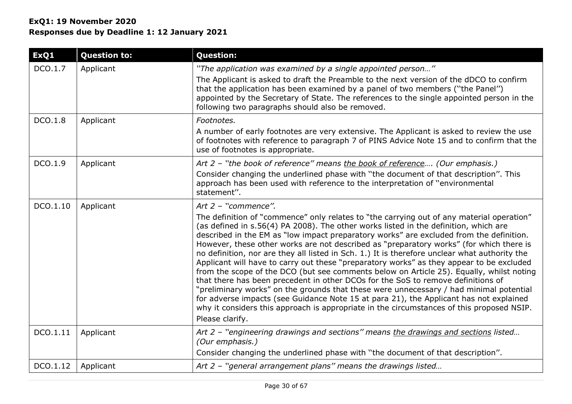| ExQ1     | <b>Question to:</b> | <b>Question:</b>                                                                                                                                                                                                                                                                                                                                                                                                                                                                                                                                                                                                                                                                                                                                                                                                                                                                                                                                                                                                                                                                |
|----------|---------------------|---------------------------------------------------------------------------------------------------------------------------------------------------------------------------------------------------------------------------------------------------------------------------------------------------------------------------------------------------------------------------------------------------------------------------------------------------------------------------------------------------------------------------------------------------------------------------------------------------------------------------------------------------------------------------------------------------------------------------------------------------------------------------------------------------------------------------------------------------------------------------------------------------------------------------------------------------------------------------------------------------------------------------------------------------------------------------------|
| DCO.1.7  | Applicant           | "The application was examined by a single appointed person"<br>The Applicant is asked to draft the Preamble to the next version of the dDCO to confirm<br>that the application has been examined by a panel of two members ("the Panel")<br>appointed by the Secretary of State. The references to the single appointed person in the<br>following two paragraphs should also be removed.                                                                                                                                                                                                                                                                                                                                                                                                                                                                                                                                                                                                                                                                                       |
| DCO.1.8  | Applicant           | Footnotes.<br>A number of early footnotes are very extensive. The Applicant is asked to review the use<br>of footnotes with reference to paragraph 7 of PINS Advice Note 15 and to confirm that the<br>use of footnotes is appropriate.                                                                                                                                                                                                                                                                                                                                                                                                                                                                                                                                                                                                                                                                                                                                                                                                                                         |
| DCO.1.9  | Applicant           | Art 2 - "the book of reference" means the book of reference (Our emphasis.)<br>Consider changing the underlined phase with "the document of that description". This<br>approach has been used with reference to the interpretation of "environmental<br>statement".                                                                                                                                                                                                                                                                                                                                                                                                                                                                                                                                                                                                                                                                                                                                                                                                             |
| DCO.1.10 | Applicant           | Art 2 - "commence".<br>The definition of "commence" only relates to "the carrying out of any material operation"<br>(as defined in s.56(4) PA 2008). The other works listed in the definition, which are<br>described in the EM as "low impact preparatory works" are excluded from the definition.<br>However, these other works are not described as "preparatory works" (for which there is<br>no definition, nor are they all listed in Sch. 1.) It is therefore unclear what authority the<br>Applicant will have to carry out these "preparatory works" as they appear to be excluded<br>from the scope of the DCO (but see comments below on Article 25). Equally, whilst noting<br>that there has been precedent in other DCOs for the SoS to remove definitions of<br>"preliminary works" on the grounds that these were unnecessary / had minimal potential<br>for adverse impacts (see Guidance Note 15 at para 21), the Applicant has not explained<br>why it considers this approach is appropriate in the circumstances of this proposed NSIP.<br>Please clarify. |
| DCO.1.11 | Applicant           | Art 2 - "engineering drawings and sections" means the drawings and sections listed<br>(Our emphasis.)<br>Consider changing the underlined phase with "the document of that description".                                                                                                                                                                                                                                                                                                                                                                                                                                                                                                                                                                                                                                                                                                                                                                                                                                                                                        |
| DCO.1.12 | Applicant           | Art 2 - "general arrangement plans" means the drawings listed                                                                                                                                                                                                                                                                                                                                                                                                                                                                                                                                                                                                                                                                                                                                                                                                                                                                                                                                                                                                                   |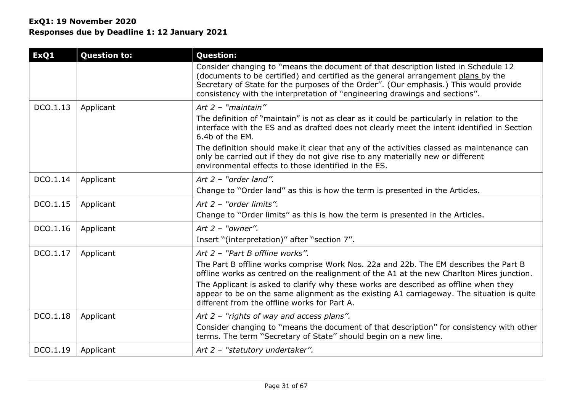| ExQ1     | <b>Question to:</b> | <b>Question:</b>                                                                                                                                                                                                                                                                                                                                                                                                                                                              |
|----------|---------------------|-------------------------------------------------------------------------------------------------------------------------------------------------------------------------------------------------------------------------------------------------------------------------------------------------------------------------------------------------------------------------------------------------------------------------------------------------------------------------------|
|          |                     | Consider changing to "means the document of that description listed in Schedule 12<br>(documents to be certified) and certified as the general arrangement plans by the<br>Secretary of State for the purposes of the Order". (Our emphasis.) This would provide<br>consistency with the interpretation of "engineering drawings and sections".                                                                                                                               |
| DCO.1.13 | Applicant           | Art $2$ - "maintain"<br>The definition of "maintain" is not as clear as it could be particularly in relation to the<br>interface with the ES and as drafted does not clearly meet the intent identified in Section<br>6.4b of the EM.<br>The definition should make it clear that any of the activities classed as maintenance can<br>only be carried out if they do not give rise to any materially new or different<br>environmental effects to those identified in the ES. |
| DCO.1.14 | Applicant           | Art $2$ - "order land".<br>Change to "Order land" as this is how the term is presented in the Articles.                                                                                                                                                                                                                                                                                                                                                                       |
| DCO.1.15 | Applicant           | Art 2 - "order limits".<br>Change to "Order limits" as this is how the term is presented in the Articles.                                                                                                                                                                                                                                                                                                                                                                     |
| DCO.1.16 | Applicant           | Art $2$ - "owner".<br>Insert "(interpretation)" after "section 7".                                                                                                                                                                                                                                                                                                                                                                                                            |
| DCO.1.17 | Applicant           | Art 2 - "Part B offline works".<br>The Part B offline works comprise Work Nos. 22a and 22b. The EM describes the Part B<br>offline works as centred on the realignment of the A1 at the new Charlton Mires junction.<br>The Applicant is asked to clarify why these works are described as offline when they<br>appear to be on the same alignment as the existing A1 carriageway. The situation is quite<br>different from the offline works for Part A.                     |
| DCO.1.18 | Applicant           | Art $2$ - "rights of way and access plans".<br>Consider changing to "means the document of that description" for consistency with other<br>terms. The term "Secretary of State" should begin on a new line.                                                                                                                                                                                                                                                                   |
| DCO.1.19 | Applicant           | Art 2 - "statutory undertaker".                                                                                                                                                                                                                                                                                                                                                                                                                                               |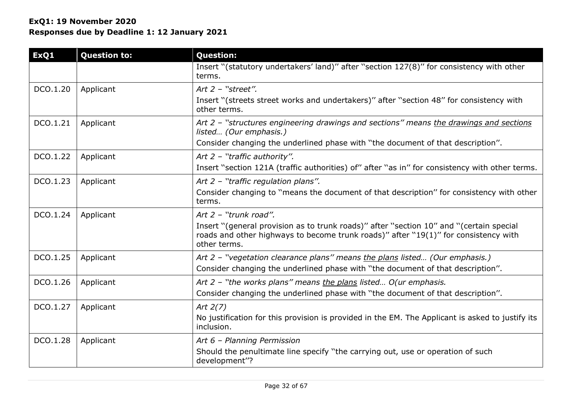| ExQ1     | <b>Question to:</b> | <b>Question:</b>                                                                                                                                                                                                        |
|----------|---------------------|-------------------------------------------------------------------------------------------------------------------------------------------------------------------------------------------------------------------------|
|          |                     | Insert "(statutory undertakers' land)" after "section 127(8)" for consistency with other<br>terms.                                                                                                                      |
| DCO.1.20 | Applicant           | Art $2$ - "street".<br>Insert "(streets street works and undertakers)" after "section 48" for consistency with<br>other terms.                                                                                          |
| DCO.1.21 | Applicant           | Art 2 - "structures engineering drawings and sections" means the drawings and sections<br>listed (Our emphasis.)<br>Consider changing the underlined phase with "the document of that description".                     |
| DCO.1.22 | Applicant           | Art $2$ - "traffic authority".<br>Insert "section 121A (traffic authorities) of" after "as in" for consistency with other terms.                                                                                        |
| DCO.1.23 | Applicant           | Art 2 - "traffic regulation plans".<br>Consider changing to "means the document of that description" for consistency with other<br>terms.                                                                               |
| DCO.1.24 | Applicant           | Art 2 - "trunk road".<br>Insert "(general provision as to trunk roads)" after "section 10" and "(certain special<br>roads and other highways to become trunk roads)" after "19(1)" for consistency with<br>other terms. |
| DCO.1.25 | Applicant           | Art 2 - "vegetation clearance plans" means the plans listed (Our emphasis.)<br>Consider changing the underlined phase with "the document of that description".                                                          |
| DCO.1.26 | Applicant           | Art $2$ – "the works plans" means the plans listed O(ur emphasis.<br>Consider changing the underlined phase with "the document of that description".                                                                    |
| DCO.1.27 | Applicant           | Art $2(7)$<br>No justification for this provision is provided in the EM. The Applicant is asked to justify its<br>inclusion.                                                                                            |
| DCO.1.28 | Applicant           | Art 6 - Planning Permission<br>Should the penultimate line specify "the carrying out, use or operation of such<br>development"?                                                                                         |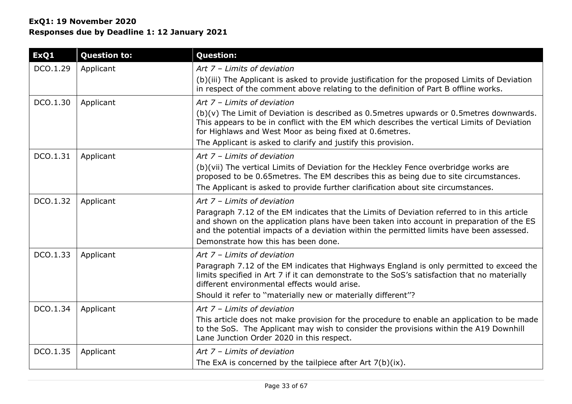| ExQ1     | <b>Question to:</b> | <b>Question:</b>                                                                                                                                                                                                                                                                                                                                            |
|----------|---------------------|-------------------------------------------------------------------------------------------------------------------------------------------------------------------------------------------------------------------------------------------------------------------------------------------------------------------------------------------------------------|
| DCO.1.29 | Applicant           | Art 7 - Limits of deviation<br>(b)(iii) The Applicant is asked to provide justification for the proposed Limits of Deviation<br>in respect of the comment above relating to the definition of Part B offline works.                                                                                                                                         |
| DCO.1.30 | Applicant           | Art $7$ - Limits of deviation<br>$(b)(v)$ The Limit of Deviation is described as 0.5 metres upwards or 0.5 metres downwards.<br>This appears to be in conflict with the EM which describes the vertical Limits of Deviation<br>for Highlaws and West Moor as being fixed at 0.6metres.<br>The Applicant is asked to clarify and justify this provision.     |
| DCO.1.31 | Applicant           | Art 7 - Limits of deviation<br>(b)(vii) The vertical Limits of Deviation for the Heckley Fence overbridge works are<br>proposed to be 0.65 metres. The EM describes this as being due to site circumstances.<br>The Applicant is asked to provide further clarification about site circumstances.                                                           |
| DCO.1.32 | Applicant           | Art $7$ - Limits of deviation<br>Paragraph 7.12 of the EM indicates that the Limits of Deviation referred to in this article<br>and shown on the application plans have been taken into account in preparation of the ES<br>and the potential impacts of a deviation within the permitted limits have been assessed.<br>Demonstrate how this has been done. |
| DCO.1.33 | Applicant           | Art 7 - Limits of deviation<br>Paragraph 7.12 of the EM indicates that Highways England is only permitted to exceed the<br>limits specified in Art 7 if it can demonstrate to the SoS's satisfaction that no materially<br>different environmental effects would arise.<br>Should it refer to "materially new or materially different"?                     |
| DCO.1.34 | Applicant           | Art 7 - Limits of deviation<br>This article does not make provision for the procedure to enable an application to be made<br>to the SoS. The Applicant may wish to consider the provisions within the A19 Downhill<br>Lane Junction Order 2020 in this respect.                                                                                             |
| DCO.1.35 | Applicant           | Art $7$ - Limits of deviation<br>The ExA is concerned by the tailpiece after Art $7(b)(ix)$ .                                                                                                                                                                                                                                                               |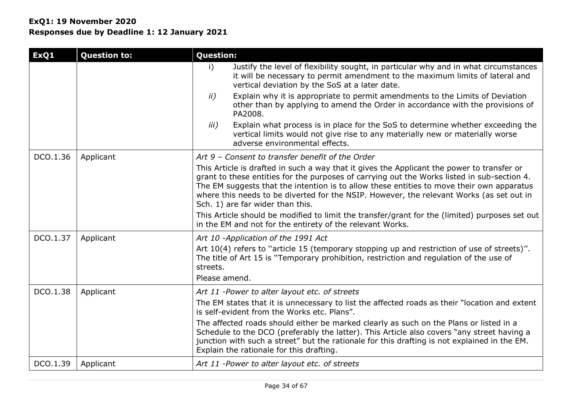| ExQ1     | <b>Question to:</b> | <b>Question:</b>                                                                                                                                                                                                                                                                                                                                                                                                       |
|----------|---------------------|------------------------------------------------------------------------------------------------------------------------------------------------------------------------------------------------------------------------------------------------------------------------------------------------------------------------------------------------------------------------------------------------------------------------|
|          |                     | Justify the level of flexibility sought, in particular why and in what circumstances<br>i)<br>it will be necessary to permit amendment to the maximum limits of lateral and<br>vertical deviation by the SoS at a later date.                                                                                                                                                                                          |
|          |                     | Explain why it is appropriate to permit amendments to the Limits of Deviation<br>ii)<br>other than by applying to amend the Order in accordance with the provisions of<br>PA2008.                                                                                                                                                                                                                                      |
|          |                     | Explain what process is in place for the SoS to determine whether exceeding the<br>iii)<br>vertical limits would not give rise to any materially new or materially worse<br>adverse environmental effects.                                                                                                                                                                                                             |
| DCO.1.36 | Applicant           | Art 9 - Consent to transfer benefit of the Order                                                                                                                                                                                                                                                                                                                                                                       |
|          |                     | This Article is drafted in such a way that it gives the Applicant the power to transfer or<br>grant to these entities for the purposes of carrying out the Works listed in sub-section 4.<br>The EM suggests that the intention is to allow these entities to move their own apparatus<br>where this needs to be diverted for the NSIP. However, the relevant Works (as set out in<br>Sch. 1) are far wider than this. |
|          |                     | This Article should be modified to limit the transfer/grant for the (limited) purposes set out<br>in the EM and not for the entirety of the relevant Works.                                                                                                                                                                                                                                                            |
| DCO.1.37 | Applicant           | Art 10 -Application of the 1991 Act<br>Art 10(4) refers to "article 15 (temporary stopping up and restriction of use of streets)".<br>The title of Art 15 is "Temporary prohibition, restriction and regulation of the use of<br>streets.<br>Please amend.                                                                                                                                                             |
| DCO.1.38 | Applicant           | Art 11 -Power to alter layout etc. of streets                                                                                                                                                                                                                                                                                                                                                                          |
|          |                     | The EM states that it is unnecessary to list the affected roads as their "location and extent<br>is self-evident from the Works etc. Plans".                                                                                                                                                                                                                                                                           |
|          |                     | The affected roads should either be marked clearly as such on the Plans or listed in a<br>Schedule to the DCO (preferably the latter). This Article also covers "any street having a<br>junction with such a street" but the rationale for this drafting is not explained in the EM.<br>Explain the rationale for this drafting.                                                                                       |
| DCO.1.39 | Applicant           | Art 11 -Power to alter layout etc. of streets                                                                                                                                                                                                                                                                                                                                                                          |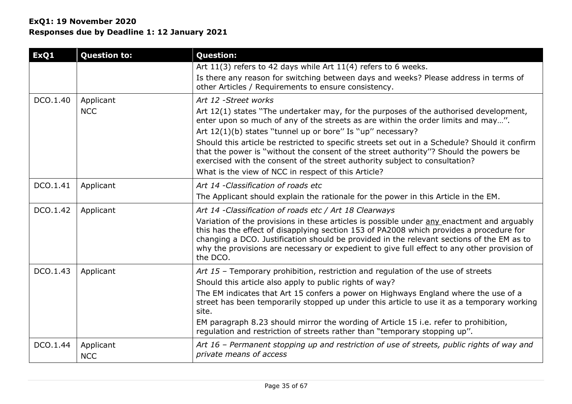| ExQ1     | <b>Question to:</b>     | <b>Question:</b>                                                                                                                                                                                                                                                                                                                                                                              |
|----------|-------------------------|-----------------------------------------------------------------------------------------------------------------------------------------------------------------------------------------------------------------------------------------------------------------------------------------------------------------------------------------------------------------------------------------------|
|          |                         | Art 11(3) refers to 42 days while Art 11(4) refers to 6 weeks.                                                                                                                                                                                                                                                                                                                                |
|          |                         | Is there any reason for switching between days and weeks? Please address in terms of<br>other Articles / Requirements to ensure consistency.                                                                                                                                                                                                                                                  |
| DCO.1.40 | Applicant               | Art 12 - Street works                                                                                                                                                                                                                                                                                                                                                                         |
|          | <b>NCC</b>              | Art 12(1) states "The undertaker may, for the purposes of the authorised development,<br>enter upon so much of any of the streets as are within the order limits and may".                                                                                                                                                                                                                    |
|          |                         | Art 12(1)(b) states "tunnel up or bore" Is "up" necessary?                                                                                                                                                                                                                                                                                                                                    |
|          |                         | Should this article be restricted to specific streets set out in a Schedule? Should it confirm<br>that the power is "without the consent of the street authority"? Should the powers be<br>exercised with the consent of the street authority subject to consultation?                                                                                                                        |
|          |                         | What is the view of NCC in respect of this Article?                                                                                                                                                                                                                                                                                                                                           |
| DCO.1.41 | Applicant               | Art 14 - Classification of roads etc                                                                                                                                                                                                                                                                                                                                                          |
|          |                         | The Applicant should explain the rationale for the power in this Article in the EM.                                                                                                                                                                                                                                                                                                           |
| DCO.1.42 | Applicant               | Art 14 -Classification of roads etc / Art 18 Clearways                                                                                                                                                                                                                                                                                                                                        |
|          |                         | Variation of the provisions in these articles is possible under any enactment and arguably<br>this has the effect of disapplying section 153 of PA2008 which provides a procedure for<br>changing a DCO. Justification should be provided in the relevant sections of the EM as to<br>why the provisions are necessary or expedient to give full effect to any other provision of<br>the DCO. |
| DCO.1.43 | Applicant               | Art 15 - Temporary prohibition, restriction and regulation of the use of streets<br>Should this article also apply to public rights of way?                                                                                                                                                                                                                                                   |
|          |                         | The EM indicates that Art 15 confers a power on Highways England where the use of a<br>street has been temporarily stopped up under this article to use it as a temporary working<br>site.                                                                                                                                                                                                    |
|          |                         | EM paragraph 8.23 should mirror the wording of Article 15 i.e. refer to prohibition,<br>regulation and restriction of streets rather than "temporary stopping up".                                                                                                                                                                                                                            |
| DCO.1.44 | Applicant<br><b>NCC</b> | Art 16 - Permanent stopping up and restriction of use of streets, public rights of way and<br>private means of access                                                                                                                                                                                                                                                                         |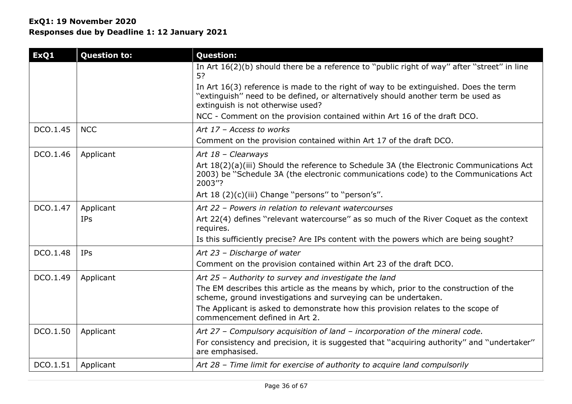| ExQ1     | <b>Question to:</b> | <b>Question:</b>                                                                                                                                                                                                                                                                                                                       |
|----------|---------------------|----------------------------------------------------------------------------------------------------------------------------------------------------------------------------------------------------------------------------------------------------------------------------------------------------------------------------------------|
|          |                     | In Art 16(2)(b) should there be a reference to "public right of way" after "street" in line<br>5?                                                                                                                                                                                                                                      |
|          |                     | In Art 16(3) reference is made to the right of way to be extinguished. Does the term<br>"extinguish" need to be defined, or alternatively should another term be used as<br>extinguish is not otherwise used?                                                                                                                          |
|          |                     | NCC - Comment on the provision contained within Art 16 of the draft DCO.                                                                                                                                                                                                                                                               |
| DCO.1.45 | <b>NCC</b>          | Art 17 - Access to works                                                                                                                                                                                                                                                                                                               |
|          |                     | Comment on the provision contained within Art 17 of the draft DCO.                                                                                                                                                                                                                                                                     |
| DCO.1.46 | Applicant           | Art 18 - Clearways<br>Art 18(2)(a)(iii) Should the reference to Schedule 3A (the Electronic Communications Act<br>2003) be "Schedule 3A (the electronic communications code) to the Communications Act<br>2003"?                                                                                                                       |
|          |                     | Art 18 (2)(c)(iii) Change "persons" to "person's".                                                                                                                                                                                                                                                                                     |
| DCO.1.47 | Applicant<br>IPs    | Art 22 - Powers in relation to relevant watercourses<br>Art 22(4) defines "relevant watercourse" as so much of the River Coquet as the context<br>requires.<br>Is this sufficiently precise? Are IPs content with the powers which are being sought?                                                                                   |
|          |                     |                                                                                                                                                                                                                                                                                                                                        |
| DCO.1.48 | <b>IPs</b>          | Art 23 - Discharge of water<br>Comment on the provision contained within Art 23 of the draft DCO.                                                                                                                                                                                                                                      |
| DCO.1.49 | Applicant           | Art 25 - Authority to survey and investigate the land<br>The EM describes this article as the means by which, prior to the construction of the<br>scheme, ground investigations and surveying can be undertaken.<br>The Applicant is asked to demonstrate how this provision relates to the scope of<br>commencement defined in Art 2. |
| DCO.1.50 | Applicant           | Art 27 - Compulsory acquisition of land - incorporation of the mineral code.                                                                                                                                                                                                                                                           |
|          |                     | For consistency and precision, it is suggested that "acquiring authority" and "undertaker"<br>are emphasised.                                                                                                                                                                                                                          |
| DCO.1.51 | Applicant           | Art 28 - Time limit for exercise of authority to acquire land compulsorily                                                                                                                                                                                                                                                             |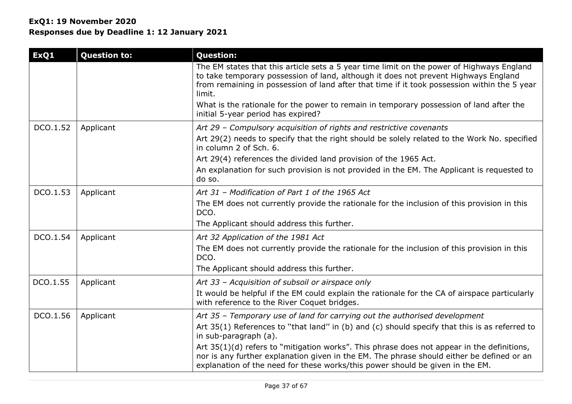| ExQ1     | <b>Question to:</b> | <b>Question:</b>                                                                                                                                                                                                                                                                           |
|----------|---------------------|--------------------------------------------------------------------------------------------------------------------------------------------------------------------------------------------------------------------------------------------------------------------------------------------|
|          |                     | The EM states that this article sets a 5 year time limit on the power of Highways England<br>to take temporary possession of land, although it does not prevent Highways England<br>from remaining in possession of land after that time if it took possession within the 5 year<br>limit. |
|          |                     | What is the rationale for the power to remain in temporary possession of land after the<br>initial 5-year period has expired?                                                                                                                                                              |
| DCO.1.52 | Applicant           | Art 29 - Compulsory acquisition of rights and restrictive covenants                                                                                                                                                                                                                        |
|          |                     | Art 29(2) needs to specify that the right should be solely related to the Work No. specified<br>in column 2 of Sch. 6.                                                                                                                                                                     |
|          |                     | Art 29(4) references the divided land provision of the 1965 Act.                                                                                                                                                                                                                           |
|          |                     | An explanation for such provision is not provided in the EM. The Applicant is requested to<br>do so.                                                                                                                                                                                       |
| DCO.1.53 | Applicant           | Art 31 - Modification of Part 1 of the 1965 Act                                                                                                                                                                                                                                            |
|          |                     | The EM does not currently provide the rationale for the inclusion of this provision in this<br>DCO.                                                                                                                                                                                        |
|          |                     | The Applicant should address this further.                                                                                                                                                                                                                                                 |
| DCO.1.54 | Applicant           | Art 32 Application of the 1981 Act                                                                                                                                                                                                                                                         |
|          |                     | The EM does not currently provide the rationale for the inclusion of this provision in this<br>DCO.                                                                                                                                                                                        |
|          |                     | The Applicant should address this further.                                                                                                                                                                                                                                                 |
| DCO.1.55 | Applicant           | Art 33 - Acquisition of subsoil or airspace only                                                                                                                                                                                                                                           |
|          |                     | It would be helpful if the EM could explain the rationale for the CA of airspace particularly<br>with reference to the River Coquet bridges.                                                                                                                                               |
| DCO.1.56 | Applicant           | Art 35 - Temporary use of land for carrying out the authorised development                                                                                                                                                                                                                 |
|          |                     | Art 35(1) References to "that land" in (b) and (c) should specify that this is as referred to<br>in sub-paragraph (a).                                                                                                                                                                     |
|          |                     | Art 35(1)(d) refers to "mitigation works". This phrase does not appear in the definitions,<br>nor is any further explanation given in the EM. The phrase should either be defined or an<br>explanation of the need for these works/this power should be given in the EM.                   |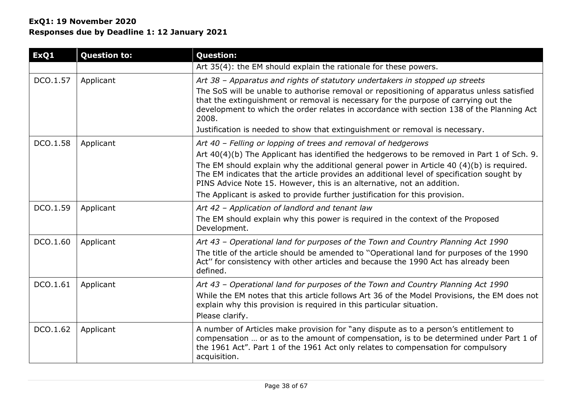| ExQ1     | <b>Question to:</b> | <b>Question:</b>                                                                                                                                                                                                                                                                                                                                                                                                                                                                                              |
|----------|---------------------|---------------------------------------------------------------------------------------------------------------------------------------------------------------------------------------------------------------------------------------------------------------------------------------------------------------------------------------------------------------------------------------------------------------------------------------------------------------------------------------------------------------|
|          |                     | Art 35(4): the EM should explain the rationale for these powers.                                                                                                                                                                                                                                                                                                                                                                                                                                              |
| DCO.1.57 | Applicant           | Art 38 - Apparatus and rights of statutory undertakers in stopped up streets<br>The SoS will be unable to authorise removal or repositioning of apparatus unless satisfied<br>that the extinguishment or removal is necessary for the purpose of carrying out the<br>development to which the order relates in accordance with section 138 of the Planning Act<br>2008.<br>Justification is needed to show that extinguishment or removal is necessary.                                                       |
| DCO.1.58 | Applicant           | Art 40 - Felling or lopping of trees and removal of hedgerows<br>Art 40(4)(b) The Applicant has identified the hedgerows to be removed in Part 1 of Sch. 9.<br>The EM should explain why the additional general power in Article 40 (4)(b) is required.<br>The EM indicates that the article provides an additional level of specification sought by<br>PINS Advice Note 15. However, this is an alternative, not an addition.<br>The Applicant is asked to provide further justification for this provision. |
| DCO.1.59 | Applicant           | Art 42 - Application of landlord and tenant law<br>The EM should explain why this power is required in the context of the Proposed<br>Development.                                                                                                                                                                                                                                                                                                                                                            |
| DCO.1.60 | Applicant           | Art 43 - Operational land for purposes of the Town and Country Planning Act 1990<br>The title of the article should be amended to "Operational land for purposes of the 1990<br>Act" for consistency with other articles and because the 1990 Act has already been<br>defined.                                                                                                                                                                                                                                |
| DCO.1.61 | Applicant           | Art 43 - Operational land for purposes of the Town and Country Planning Act 1990<br>While the EM notes that this article follows Art 36 of the Model Provisions, the EM does not<br>explain why this provision is required in this particular situation.<br>Please clarify.                                                                                                                                                                                                                                   |
| DCO.1.62 | Applicant           | A number of Articles make provision for "any dispute as to a person's entitlement to<br>compensation  or as to the amount of compensation, is to be determined under Part 1 of<br>the 1961 Act". Part 1 of the 1961 Act only relates to compensation for compulsory<br>acquisition.                                                                                                                                                                                                                           |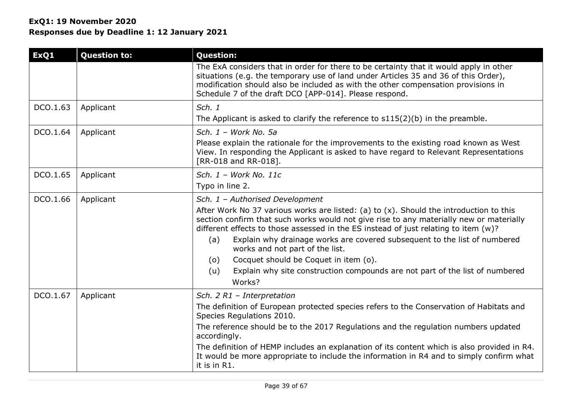| ExQ1     | <b>Question to:</b> | <b>Question:</b>                                                                                                                                                                                                                                                                                                                                                                                                                                                                                                                                                                          |
|----------|---------------------|-------------------------------------------------------------------------------------------------------------------------------------------------------------------------------------------------------------------------------------------------------------------------------------------------------------------------------------------------------------------------------------------------------------------------------------------------------------------------------------------------------------------------------------------------------------------------------------------|
|          |                     | The ExA considers that in order for there to be certainty that it would apply in other<br>situations (e.g. the temporary use of land under Articles 35 and 36 of this Order),<br>modification should also be included as with the other compensation provisions in<br>Schedule 7 of the draft DCO [APP-014]. Please respond.                                                                                                                                                                                                                                                              |
| DCO.1.63 | Applicant           | Sch. 1<br>The Applicant is asked to clarify the reference to $s115(2)(b)$ in the preamble.                                                                                                                                                                                                                                                                                                                                                                                                                                                                                                |
| DCO.1.64 | Applicant           | Sch. $1 - Work No. 5a$<br>Please explain the rationale for the improvements to the existing road known as West<br>View. In responding the Applicant is asked to have regard to Relevant Representations<br>[RR-018 and RR-018].                                                                                                                                                                                                                                                                                                                                                           |
| DCO.1.65 | Applicant           | Sch. $1$ - Work No. 11c<br>Typo in line 2.                                                                                                                                                                                                                                                                                                                                                                                                                                                                                                                                                |
| DCO.1.66 | Applicant           | Sch. 1 - Authorised Development<br>After Work No 37 various works are listed: (a) to $(x)$ . Should the introduction to this<br>section confirm that such works would not give rise to any materially new or materially<br>different effects to those assessed in the ES instead of just relating to item $(w)$ ?<br>Explain why drainage works are covered subsequent to the list of numbered<br>(a)<br>works and not part of the list.<br>Cocquet should be Coquet in item (o).<br>(o)<br>Explain why site construction compounds are not part of the list of numbered<br>(u)<br>Works? |
| DCO.1.67 | Applicant           | Sch. 2 R1 - Interpretation<br>The definition of European protected species refers to the Conservation of Habitats and<br>Species Regulations 2010.<br>The reference should be to the 2017 Regulations and the regulation numbers updated<br>accordingly.<br>The definition of HEMP includes an explanation of its content which is also provided in R4.<br>It would be more appropriate to include the information in R4 and to simply confirm what<br>it is in R1.                                                                                                                       |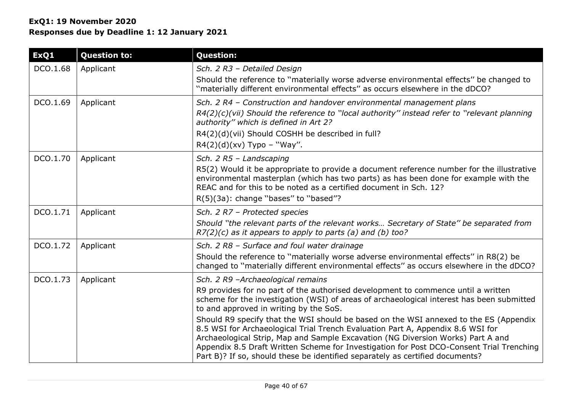| ExQ1     | <b>Question to:</b> | <b>Question:</b>                                                                                                                                                                                                                                                                                                                                                                                                                                                                                                                                                                                                                                                                                          |
|----------|---------------------|-----------------------------------------------------------------------------------------------------------------------------------------------------------------------------------------------------------------------------------------------------------------------------------------------------------------------------------------------------------------------------------------------------------------------------------------------------------------------------------------------------------------------------------------------------------------------------------------------------------------------------------------------------------------------------------------------------------|
| DCO.1.68 | Applicant           | Sch. 2 R3 - Detailed Design<br>Should the reference to "materially worse adverse environmental effects" be changed to<br>"materially different environmental effects" as occurs elsewhere in the dDCO?                                                                                                                                                                                                                                                                                                                                                                                                                                                                                                    |
| DCO.1.69 | Applicant           | Sch. 2 R4 - Construction and handover environmental management plans<br>R4(2)(c)(vii) Should the reference to "local authority" instead refer to "relevant planning<br>authority" which is defined in Art 2?<br>R4(2)(d)(vii) Should COSHH be described in full?<br>$R4(2)(d)(xv)$ Typo - "Way".                                                                                                                                                                                                                                                                                                                                                                                                          |
| DCO.1.70 | Applicant           | Sch. 2 R5 - Landscaping<br>R5(2) Would it be appropriate to provide a document reference number for the illustrative<br>environmental masterplan (which has two parts) as has been done for example with the<br>REAC and for this to be noted as a certified document in Sch. 12?<br>R(5)(3a): change "bases" to "based"?                                                                                                                                                                                                                                                                                                                                                                                 |
| DCO.1.71 | Applicant           | Sch. 2 R7 - Protected species<br>Should "the relevant parts of the relevant works Secretary of State" be separated from<br>$R7(2)(c)$ as it appears to apply to parts (a) and (b) too?                                                                                                                                                                                                                                                                                                                                                                                                                                                                                                                    |
| DCO.1.72 | Applicant           | Sch. 2 R8 - Surface and foul water drainage<br>Should the reference to "materially worse adverse environmental effects" in R8(2) be<br>changed to "materially different environmental effects" as occurs elsewhere in the dDCO?                                                                                                                                                                                                                                                                                                                                                                                                                                                                           |
| DCO.1.73 | Applicant           | Sch. 2 R9 -Archaeological remains<br>R9 provides for no part of the authorised development to commence until a written<br>scheme for the investigation (WSI) of areas of archaeological interest has been submitted<br>to and approved in writing by the SoS.<br>Should R9 specify that the WSI should be based on the WSI annexed to the ES (Appendix<br>8.5 WSI for Archaeological Trial Trench Evaluation Part A, Appendix 8.6 WSI for<br>Archaeological Strip, Map and Sample Excavation (NG Diversion Works) Part A and<br>Appendix 8.5 Draft Written Scheme for Investigation for Post DCO-Consent Trial Trenching<br>Part B)? If so, should these be identified separately as certified documents? |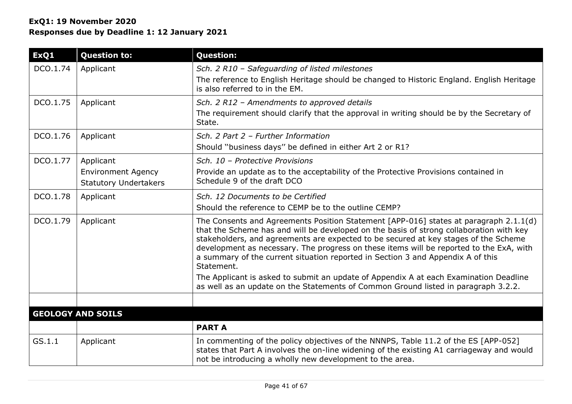| ExQ1     | <b>Question to:</b>                                                    | <b>Question:</b>                                                                                                                                                                                                                                                                                                                                                                                                                                                                                                                                             |
|----------|------------------------------------------------------------------------|--------------------------------------------------------------------------------------------------------------------------------------------------------------------------------------------------------------------------------------------------------------------------------------------------------------------------------------------------------------------------------------------------------------------------------------------------------------------------------------------------------------------------------------------------------------|
| DCO.1.74 | Applicant                                                              | Sch. 2 R10 - Safeguarding of listed milestones<br>The reference to English Heritage should be changed to Historic England. English Heritage<br>is also referred to in the EM.                                                                                                                                                                                                                                                                                                                                                                                |
| DCO.1.75 | Applicant                                                              | Sch. 2 R12 - Amendments to approved details<br>The requirement should clarify that the approval in writing should be by the Secretary of<br>State.                                                                                                                                                                                                                                                                                                                                                                                                           |
| DCO.1.76 | Applicant                                                              | Sch. 2 Part 2 - Further Information<br>Should "business days" be defined in either Art 2 or R1?                                                                                                                                                                                                                                                                                                                                                                                                                                                              |
| DCO.1.77 | Applicant<br><b>Environment Agency</b><br><b>Statutory Undertakers</b> | Sch. 10 - Protective Provisions<br>Provide an update as to the acceptability of the Protective Provisions contained in<br>Schedule 9 of the draft DCO                                                                                                                                                                                                                                                                                                                                                                                                        |
| DCO.1.78 | Applicant                                                              | Sch. 12 Documents to be Certified<br>Should the reference to CEMP be to the outline CEMP?                                                                                                                                                                                                                                                                                                                                                                                                                                                                    |
| DCO.1.79 | Applicant                                                              | The Consents and Agreements Position Statement [APP-016] states at paragraph 2.1.1(d)<br>that the Scheme has and will be developed on the basis of strong collaboration with key<br>stakeholders, and agreements are expected to be secured at key stages of the Scheme<br>development as necessary. The progress on these items will be reported to the ExA, with<br>a summary of the current situation reported in Section 3 and Appendix A of this<br>Statement.<br>The Applicant is asked to submit an update of Appendix A at each Examination Deadline |
|          |                                                                        | as well as an update on the Statements of Common Ground listed in paragraph 3.2.2.                                                                                                                                                                                                                                                                                                                                                                                                                                                                           |
|          | <b>GEOLOGY AND SOILS</b>                                               |                                                                                                                                                                                                                                                                                                                                                                                                                                                                                                                                                              |
|          |                                                                        | <b>PART A</b>                                                                                                                                                                                                                                                                                                                                                                                                                                                                                                                                                |
| GS.1.1   | Applicant                                                              | In commenting of the policy objectives of the NNNPS, Table 11.2 of the ES [APP-052]<br>states that Part A involves the on-line widening of the existing A1 carriageway and would<br>not be introducing a wholly new development to the area.                                                                                                                                                                                                                                                                                                                 |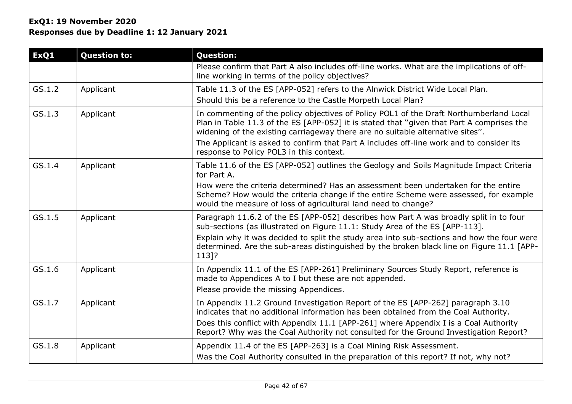| ExQ1   | <b>Question to:</b> | <b>Question:</b>                                                                                                                                                                                                                                                                                                                                                                                               |
|--------|---------------------|----------------------------------------------------------------------------------------------------------------------------------------------------------------------------------------------------------------------------------------------------------------------------------------------------------------------------------------------------------------------------------------------------------------|
|        |                     | Please confirm that Part A also includes off-line works. What are the implications of off-<br>line working in terms of the policy objectives?                                                                                                                                                                                                                                                                  |
| GS.1.2 | Applicant           | Table 11.3 of the ES [APP-052] refers to the Alnwick District Wide Local Plan.<br>Should this be a reference to the Castle Morpeth Local Plan?                                                                                                                                                                                                                                                                 |
| GS.1.3 | Applicant           | In commenting of the policy objectives of Policy POL1 of the Draft Northumberland Local<br>Plan in Table 11.3 of the ES [APP-052] it is stated that "given that Part A comprises the<br>widening of the existing carriageway there are no suitable alternative sites".<br>The Applicant is asked to confirm that Part A includes off-line work and to consider its<br>response to Policy POL3 in this context. |
| GS.1.4 | Applicant           | Table 11.6 of the ES [APP-052] outlines the Geology and Soils Magnitude Impact Criteria<br>for Part A.<br>How were the criteria determined? Has an assessment been undertaken for the entire<br>Scheme? How would the criteria change if the entire Scheme were assessed, for example<br>would the measure of loss of agricultural land need to change?                                                        |
| GS.1.5 | Applicant           | Paragraph 11.6.2 of the ES [APP-052] describes how Part A was broadly split in to four<br>sub-sections (as illustrated on Figure 11.1: Study Area of the ES [APP-113].<br>Explain why it was decided to split the study area into sub-sections and how the four were<br>determined. Are the sub-areas distinguished by the broken black line on Figure 11.1 [APP-<br>113]?                                     |
| GS.1.6 | Applicant           | In Appendix 11.1 of the ES [APP-261] Preliminary Sources Study Report, reference is<br>made to Appendices A to I but these are not appended.<br>Please provide the missing Appendices.                                                                                                                                                                                                                         |
| GS.1.7 | Applicant           | In Appendix 11.2 Ground Investigation Report of the ES [APP-262] paragraph 3.10<br>indicates that no additional information has been obtained from the Coal Authority.<br>Does this conflict with Appendix 11.1 [APP-261] where Appendix I is a Coal Authority<br>Report? Why was the Coal Authority not consulted for the Ground Investigation Report?                                                        |
| GS.1.8 | Applicant           | Appendix 11.4 of the ES [APP-263] is a Coal Mining Risk Assessment.<br>Was the Coal Authority consulted in the preparation of this report? If not, why not?                                                                                                                                                                                                                                                    |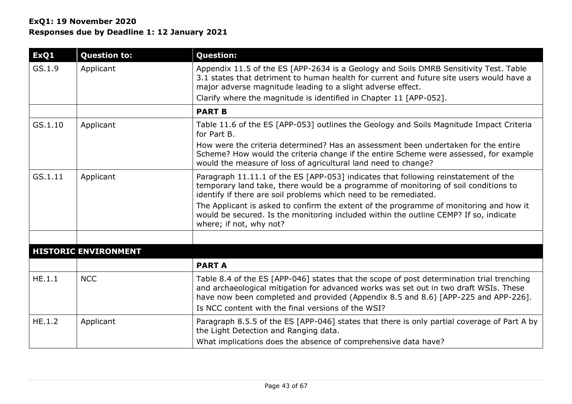| ExQ1    | <b>Question to:</b>         | <b>Question:</b>                                                                                                                                                                                                                                                                                                               |
|---------|-----------------------------|--------------------------------------------------------------------------------------------------------------------------------------------------------------------------------------------------------------------------------------------------------------------------------------------------------------------------------|
| GS.1.9  | Applicant                   | Appendix 11.5 of the ES [APP-2634 is a Geology and Soils DMRB Sensitivity Test. Table<br>3.1 states that detriment to human health for current and future site users would have a<br>major adverse magnitude leading to a slight adverse effect.<br>Clarify where the magnitude is identified in Chapter 11 [APP-052].         |
|         |                             | <b>PART B</b>                                                                                                                                                                                                                                                                                                                  |
| GS.1.10 | Applicant                   | Table 11.6 of the ES [APP-053] outlines the Geology and Soils Magnitude Impact Criteria<br>for Part B.                                                                                                                                                                                                                         |
|         |                             | How were the criteria determined? Has an assessment been undertaken for the entire<br>Scheme? How would the criteria change if the entire Scheme were assessed, for example<br>would the measure of loss of agricultural land need to change?                                                                                  |
| GS.1.11 | Applicant                   | Paragraph 11.11.1 of the ES [APP-053] indicates that following reinstatement of the<br>temporary land take, there would be a programme of monitoring of soil conditions to<br>identify if there are soil problems which need to be remediated.                                                                                 |
|         |                             | The Applicant is asked to confirm the extent of the programme of monitoring and how it<br>would be secured. Is the monitoring included within the outline CEMP? If so, indicate<br>where; if not, why not?                                                                                                                     |
|         |                             |                                                                                                                                                                                                                                                                                                                                |
|         | <b>HISTORIC ENVIRONMENT</b> |                                                                                                                                                                                                                                                                                                                                |
|         |                             | <b>PARTA</b>                                                                                                                                                                                                                                                                                                                   |
| HE.1.1  | <b>NCC</b>                  | Table 8.4 of the ES [APP-046] states that the scope of post determination trial trenching<br>and archaeological mitigation for advanced works was set out in two draft WSIs. These<br>have now been completed and provided (Appendix 8.5 and 8.6) [APP-225 and APP-226].<br>Is NCC content with the final versions of the WSI? |
| HE.1.2  | Applicant                   | Paragraph 8.5.5 of the ES [APP-046] states that there is only partial coverage of Part A by<br>the Light Detection and Ranging data.<br>What implications does the absence of comprehensive data have?                                                                                                                         |
|         |                             |                                                                                                                                                                                                                                                                                                                                |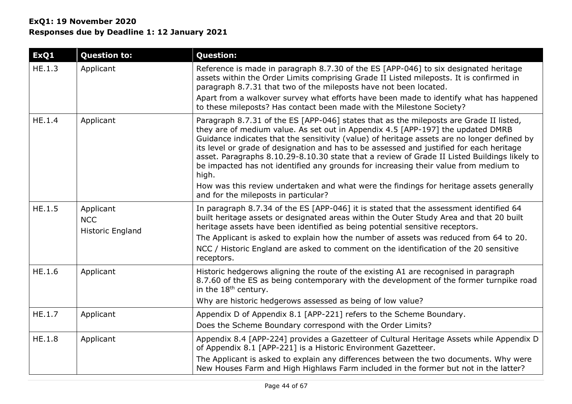# **ExQ1: 19 November 2020 Responses due by Deadline 1: 12 January 2021**

| ExQ1   | <b>Question to:</b>                                | <b>Question:</b>                                                                                                                                                                                                                                                                                                                                                                                                                                                                                                                                                      |
|--------|----------------------------------------------------|-----------------------------------------------------------------------------------------------------------------------------------------------------------------------------------------------------------------------------------------------------------------------------------------------------------------------------------------------------------------------------------------------------------------------------------------------------------------------------------------------------------------------------------------------------------------------|
| HE.1.3 | Applicant                                          | Reference is made in paragraph 8.7.30 of the ES [APP-046] to six designated heritage<br>assets within the Order Limits comprising Grade II Listed mileposts. It is confirmed in<br>paragraph 8.7.31 that two of the mileposts have not been located.                                                                                                                                                                                                                                                                                                                  |
|        |                                                    | Apart from a walkover survey what efforts have been made to identify what has happened<br>to these mileposts? Has contact been made with the Milestone Society?                                                                                                                                                                                                                                                                                                                                                                                                       |
| HE.1.4 | Applicant                                          | Paragraph 8.7.31 of the ES [APP-046] states that as the mileposts are Grade II listed,<br>they are of medium value. As set out in Appendix 4.5 [APP-197] the updated DMRB<br>Guidance indicates that the sensitivity (value) of heritage assets are no longer defined by<br>its level or grade of designation and has to be assessed and justified for each heritage<br>asset. Paragraphs 8.10.29-8.10.30 state that a review of Grade II Listed Buildings likely to<br>be impacted has not identified any grounds for increasing their value from medium to<br>high. |
|        |                                                    | How was this review undertaken and what were the findings for heritage assets generally<br>and for the mileposts in particular?                                                                                                                                                                                                                                                                                                                                                                                                                                       |
| HE.1.5 | Applicant<br><b>NCC</b><br><b>Historic England</b> | In paragraph 8.7.34 of the ES [APP-046] it is stated that the assessment identified 64<br>built heritage assets or designated areas within the Outer Study Area and that 20 built<br>heritage assets have been identified as being potential sensitive receptors.                                                                                                                                                                                                                                                                                                     |
|        |                                                    | The Applicant is asked to explain how the number of assets was reduced from 64 to 20.<br>NCC / Historic England are asked to comment on the identification of the 20 sensitive<br>receptors.                                                                                                                                                                                                                                                                                                                                                                          |
| HE.1.6 | Applicant                                          | Historic hedgerows aligning the route of the existing A1 are recognised in paragraph<br>8.7.60 of the ES as being contemporary with the development of the former turnpike road<br>in the 18 <sup>th</sup> century.<br>Why are historic hedgerows assessed as being of low value?                                                                                                                                                                                                                                                                                     |
| HE.1.7 | Applicant                                          | Appendix D of Appendix 8.1 [APP-221] refers to the Scheme Boundary.                                                                                                                                                                                                                                                                                                                                                                                                                                                                                                   |
|        |                                                    | Does the Scheme Boundary correspond with the Order Limits?                                                                                                                                                                                                                                                                                                                                                                                                                                                                                                            |
| HE.1.8 | Applicant                                          | Appendix 8.4 [APP-224] provides a Gazetteer of Cultural Heritage Assets while Appendix D<br>of Appendix 8.1 [APP-221] is a Historic Environment Gazetteer.                                                                                                                                                                                                                                                                                                                                                                                                            |
|        |                                                    | The Applicant is asked to explain any differences between the two documents. Why were<br>New Houses Farm and High Highlaws Farm included in the former but not in the latter?                                                                                                                                                                                                                                                                                                                                                                                         |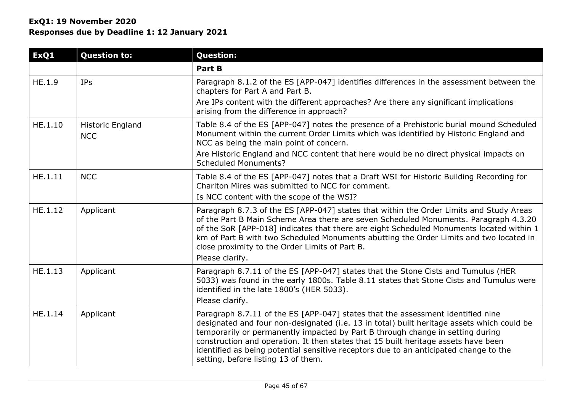| ExQ1    | <b>Question to:</b>                   | <b>Question:</b>                                                                                                                                                                                                                                                                                                                                                                                                                                                                      |
|---------|---------------------------------------|---------------------------------------------------------------------------------------------------------------------------------------------------------------------------------------------------------------------------------------------------------------------------------------------------------------------------------------------------------------------------------------------------------------------------------------------------------------------------------------|
|         |                                       | Part B                                                                                                                                                                                                                                                                                                                                                                                                                                                                                |
| HE.1.9  | <b>IPs</b>                            | Paragraph 8.1.2 of the ES [APP-047] identifies differences in the assessment between the<br>chapters for Part A and Part B.<br>Are IPs content with the different approaches? Are there any significant implications<br>arising from the difference in approach?                                                                                                                                                                                                                      |
| HE.1.10 | <b>Historic England</b><br><b>NCC</b> | Table 8.4 of the ES [APP-047] notes the presence of a Prehistoric burial mound Scheduled<br>Monument within the current Order Limits which was identified by Historic England and<br>NCC as being the main point of concern.<br>Are Historic England and NCC content that here would be no direct physical impacts on<br><b>Scheduled Monuments?</b>                                                                                                                                  |
| HE.1.11 | <b>NCC</b>                            | Table 8.4 of the ES [APP-047] notes that a Draft WSI for Historic Building Recording for<br>Charlton Mires was submitted to NCC for comment.<br>Is NCC content with the scope of the WSI?                                                                                                                                                                                                                                                                                             |
| HE.1.12 | Applicant                             | Paragraph 8.7.3 of the ES [APP-047] states that within the Order Limits and Study Areas<br>of the Part B Main Scheme Area there are seven Scheduled Monuments. Paragraph 4.3.20<br>of the SoR [APP-018] indicates that there are eight Scheduled Monuments located within 1<br>km of Part B with two Scheduled Monuments abutting the Order Limits and two located in<br>close proximity to the Order Limits of Part B.<br>Please clarify.                                            |
| HE.1.13 | Applicant                             | Paragraph 8.7.11 of the ES [APP-047] states that the Stone Cists and Tumulus (HER<br>5033) was found in the early 1800s. Table 8.11 states that Stone Cists and Tumulus were<br>identified in the late 1800's (HER 5033).<br>Please clarify.                                                                                                                                                                                                                                          |
| HE.1.14 | Applicant                             | Paragraph 8.7.11 of the ES [APP-047] states that the assessment identified nine<br>designated and four non-designated (i.e. 13 in total) built heritage assets which could be<br>temporarily or permanently impacted by Part B through change in setting during<br>construction and operation. It then states that 15 built heritage assets have been<br>identified as being potential sensitive receptors due to an anticipated change to the<br>setting, before listing 13 of them. |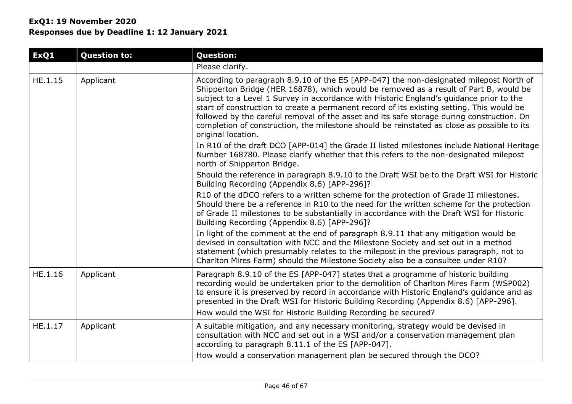|           | <b>Question:</b>                                                                                                                                                                                                                                                                                                                                                                                                                                                                                                                                                                         |
|-----------|------------------------------------------------------------------------------------------------------------------------------------------------------------------------------------------------------------------------------------------------------------------------------------------------------------------------------------------------------------------------------------------------------------------------------------------------------------------------------------------------------------------------------------------------------------------------------------------|
|           | Please clarify.                                                                                                                                                                                                                                                                                                                                                                                                                                                                                                                                                                          |
| Applicant | According to paragraph 8.9.10 of the ES [APP-047] the non-designated milepost North of<br>Shipperton Bridge (HER 16878), which would be removed as a result of Part B, would be<br>subject to a Level 1 Survey in accordance with Historic England's guidance prior to the<br>start of construction to create a permanent record of its existing setting. This would be<br>followed by the careful removal of the asset and its safe storage during construction. On<br>completion of construction, the milestone should be reinstated as close as possible to its<br>original location. |
|           | In R10 of the draft DCO [APP-014] the Grade II listed milestones include National Heritage<br>Number 168780. Please clarify whether that this refers to the non-designated milepost<br>north of Shipperton Bridge.                                                                                                                                                                                                                                                                                                                                                                       |
|           | Should the reference in paragraph 8.9.10 to the Draft WSI be to the Draft WSI for Historic<br>Building Recording (Appendix 8.6) [APP-296]?                                                                                                                                                                                                                                                                                                                                                                                                                                               |
|           | R10 of the dDCO refers to a written scheme for the protection of Grade II milestones.<br>Should there be a reference in R10 to the need for the written scheme for the protection<br>of Grade II milestones to be substantially in accordance with the Draft WSI for Historic<br>Building Recording (Appendix 8.6) [APP-296]?                                                                                                                                                                                                                                                            |
|           | In light of the comment at the end of paragraph 8.9.11 that any mitigation would be<br>devised in consultation with NCC and the Milestone Society and set out in a method<br>statement (which presumably relates to the milepost in the previous paragraph, not to<br>Charlton Mires Farm) should the Milestone Society also be a consultee under R10?                                                                                                                                                                                                                                   |
| Applicant | Paragraph 8.9.10 of the ES [APP-047] states that a programme of historic building<br>recording would be undertaken prior to the demolition of Charlton Mires Farm (WSP002)<br>to ensure it is preserved by record in accordance with Historic England's guidance and as<br>presented in the Draft WSI for Historic Building Recording (Appendix 8.6) [APP-296].<br>How would the WSI for Historic Building Recording be secured?                                                                                                                                                         |
| Applicant | A suitable mitigation, and any necessary monitoring, strategy would be devised in<br>consultation with NCC and set out in a WSI and/or a conservation management plan<br>according to paragraph 8.11.1 of the ES [APP-047].<br>How would a conservation management plan be secured through the DCO?                                                                                                                                                                                                                                                                                      |
|           |                                                                                                                                                                                                                                                                                                                                                                                                                                                                                                                                                                                          |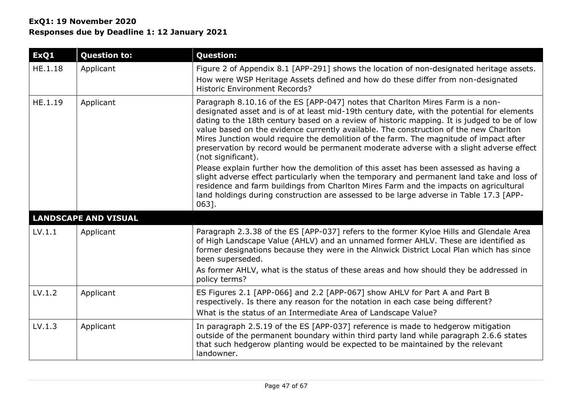| ExQ1    | <b>Question to:</b>         | <b>Question:</b>                                                                                                                                                                                                                                                                                                                                                                                                                                                                                                                                                                |
|---------|-----------------------------|---------------------------------------------------------------------------------------------------------------------------------------------------------------------------------------------------------------------------------------------------------------------------------------------------------------------------------------------------------------------------------------------------------------------------------------------------------------------------------------------------------------------------------------------------------------------------------|
| HE.1.18 | Applicant                   | Figure 2 of Appendix 8.1 [APP-291] shows the location of non-designated heritage assets.<br>How were WSP Heritage Assets defined and how do these differ from non-designated<br><b>Historic Environment Records?</b>                                                                                                                                                                                                                                                                                                                                                            |
| HE.1.19 | Applicant                   | Paragraph 8.10.16 of the ES [APP-047] notes that Charlton Mires Farm is a non-<br>designated asset and is of at least mid-19th century date, with the potential for elements<br>dating to the 18th century based on a review of historic mapping. It is judged to be of low<br>value based on the evidence currently available. The construction of the new Charlton<br>Mires Junction would require the demolition of the farm. The magnitude of impact after<br>preservation by record would be permanent moderate adverse with a slight adverse effect<br>(not significant). |
|         |                             | Please explain further how the demolition of this asset has been assessed as having a<br>slight adverse effect particularly when the temporary and permanent land take and loss of<br>residence and farm buildings from Charlton Mires Farm and the impacts on agricultural<br>land holdings during construction are assessed to be large adverse in Table 17.3 [APP-<br>$063$ ].                                                                                                                                                                                               |
|         | <b>LANDSCAPE AND VISUAL</b> |                                                                                                                                                                                                                                                                                                                                                                                                                                                                                                                                                                                 |
| LV.1.1  | Applicant                   | Paragraph 2.3.38 of the ES [APP-037] refers to the former Kyloe Hills and Glendale Area<br>of High Landscape Value (AHLV) and an unnamed former AHLV. These are identified as<br>former designations because they were in the Alnwick District Local Plan which has since<br>been superseded.<br>As former AHLV, what is the status of these areas and how should they be addressed in<br>policy terms?                                                                                                                                                                         |
| LV.1.2  | Applicant                   | ES Figures 2.1 [APP-066] and 2.2 [APP-067] show AHLV for Part A and Part B<br>respectively. Is there any reason for the notation in each case being different?<br>What is the status of an Intermediate Area of Landscape Value?                                                                                                                                                                                                                                                                                                                                                |
| LV.1.3  | Applicant                   | In paragraph 2.5.19 of the ES [APP-037] reference is made to hedgerow mitigation<br>outside of the permanent boundary within third party land while paragraph 2.6.6 states<br>that such hedgerow planting would be expected to be maintained by the relevant<br>landowner.                                                                                                                                                                                                                                                                                                      |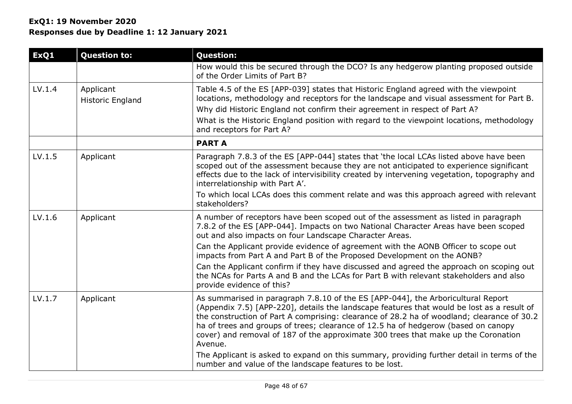| ExQ1   | <b>Question to:</b>                  | <b>Question:</b>                                                                                                                                                                                                                                                                                                                                                                                                                                                                                                                                                  |
|--------|--------------------------------------|-------------------------------------------------------------------------------------------------------------------------------------------------------------------------------------------------------------------------------------------------------------------------------------------------------------------------------------------------------------------------------------------------------------------------------------------------------------------------------------------------------------------------------------------------------------------|
|        |                                      | How would this be secured through the DCO? Is any hedgerow planting proposed outside<br>of the Order Limits of Part B?                                                                                                                                                                                                                                                                                                                                                                                                                                            |
| LV.1.4 | Applicant<br><b>Historic England</b> | Table 4.5 of the ES [APP-039] states that Historic England agreed with the viewpoint<br>locations, methodology and receptors for the landscape and visual assessment for Part B.<br>Why did Historic England not confirm their agreement in respect of Part A?<br>What is the Historic England position with regard to the viewpoint locations, methodology<br>and receptors for Part A?                                                                                                                                                                          |
|        |                                      | <b>PARTA</b>                                                                                                                                                                                                                                                                                                                                                                                                                                                                                                                                                      |
| LV.1.5 | Applicant                            | Paragraph 7.8.3 of the ES [APP-044] states that 'the local LCAs listed above have been<br>scoped out of the assessment because they are not anticipated to experience significant<br>effects due to the lack of intervisibility created by intervening vegetation, topography and<br>interrelationship with Part A'.<br>To which local LCAs does this comment relate and was this approach agreed with relevant                                                                                                                                                   |
|        |                                      | stakeholders?                                                                                                                                                                                                                                                                                                                                                                                                                                                                                                                                                     |
| LV.1.6 | Applicant                            | A number of receptors have been scoped out of the assessment as listed in paragraph<br>7.8.2 of the ES [APP-044]. Impacts on two National Character Areas have been scoped<br>out and also impacts on four Landscape Character Areas.                                                                                                                                                                                                                                                                                                                             |
|        |                                      | Can the Applicant provide evidence of agreement with the AONB Officer to scope out<br>impacts from Part A and Part B of the Proposed Development on the AONB?                                                                                                                                                                                                                                                                                                                                                                                                     |
|        |                                      | Can the Applicant confirm if they have discussed and agreed the approach on scoping out<br>the NCAs for Parts A and B and the LCAs for Part B with relevant stakeholders and also<br>provide evidence of this?                                                                                                                                                                                                                                                                                                                                                    |
| LV.1.7 | Applicant                            | As summarised in paragraph 7.8.10 of the ES [APP-044], the Arboricultural Report<br>(Appendix 7.5) [APP-220], details the landscape features that would be lost as a result of<br>the construction of Part A comprising: clearance of 28.2 ha of woodland; clearance of 30.2<br>ha of trees and groups of trees; clearance of 12.5 ha of hedgerow (based on canopy<br>cover) and removal of 187 of the approximate 300 trees that make up the Coronation<br>Avenue.<br>The Applicant is asked to expand on this summary, providing further detail in terms of the |
|        |                                      | number and value of the landscape features to be lost.                                                                                                                                                                                                                                                                                                                                                                                                                                                                                                            |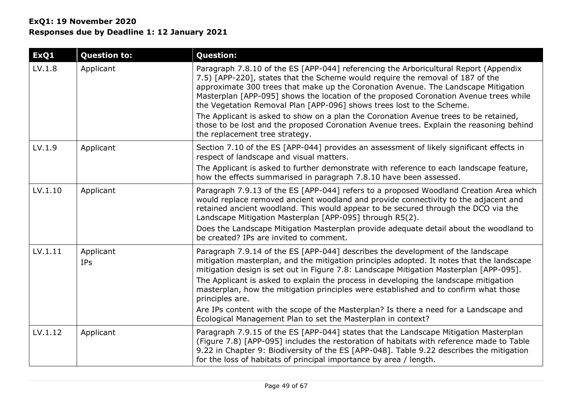# **ExQ1: 19 November 2020 Responses due by Deadline 1: 12 January 2021**

| ExQ1    | <b>Question to:</b>     | <b>Question:</b>                                                                                                                                                                                                                                                                                                                                                                                                               |
|---------|-------------------------|--------------------------------------------------------------------------------------------------------------------------------------------------------------------------------------------------------------------------------------------------------------------------------------------------------------------------------------------------------------------------------------------------------------------------------|
| LV.1.8  | Applicant               | Paragraph 7.8.10 of the ES [APP-044] referencing the Arboricultural Report (Appendix<br>7.5) [APP-220], states that the Scheme would require the removal of 187 of the<br>approximate 300 trees that make up the Coronation Avenue. The Landscape Mitigation<br>Masterplan [APP-095] shows the location of the proposed Coronation Avenue trees while<br>the Vegetation Removal Plan [APP-096] shows trees lost to the Scheme. |
|         |                         | The Applicant is asked to show on a plan the Coronation Avenue trees to be retained,<br>those to be lost and the proposed Coronation Avenue trees. Explain the reasoning behind<br>the replacement tree strategy.                                                                                                                                                                                                              |
| LV.1.9  | Applicant               | Section 7.10 of the ES [APP-044] provides an assessment of likely significant effects in<br>respect of landscape and visual matters.                                                                                                                                                                                                                                                                                           |
|         |                         | The Applicant is asked to further demonstrate with reference to each landscape feature,<br>how the effects summarised in paragraph 7.8.10 have been assessed.                                                                                                                                                                                                                                                                  |
| LV.1.10 | Applicant               | Paragraph 7.9.13 of the ES [APP-044] refers to a proposed Woodland Creation Area which<br>would replace removed ancient woodland and provide connectivity to the adjacent and<br>retained ancient woodland. This would appear to be secured through the DCO via the<br>Landscape Mitigation Masterplan [APP-095] through R5(2).                                                                                                |
|         |                         | Does the Landscape Mitigation Masterplan provide adequate detail about the woodland to<br>be created? IPs are invited to comment.                                                                                                                                                                                                                                                                                              |
| LV.1.11 | Applicant<br><b>IPs</b> | Paragraph 7.9.14 of the ES [APP-044] describes the development of the landscape<br>mitigation masterplan, and the mitigation principles adopted. It notes that the landscape<br>mitigation design is set out in Figure 7.8: Landscape Mitigation Masterplan [APP-095].                                                                                                                                                         |
|         |                         | The Applicant is asked to explain the process in developing the landscape mitigation<br>masterplan, how the mitigation principles were established and to confirm what those<br>principles are.                                                                                                                                                                                                                                |
|         |                         | Are IPs content with the scope of the Masterplan? Is there a need for a Landscape and<br>Ecological Management Plan to set the Masterplan in context?                                                                                                                                                                                                                                                                          |
| LV.1.12 | Applicant               | Paragraph 7.9.15 of the ES [APP-044] states that the Landscape Mitigation Masterplan<br>(Figure 7.8) [APP-095] includes the restoration of habitats with reference made to Table<br>9.22 in Chapter 9: Biodiversity of the ES [APP-048]. Table 9.22 describes the mitigation<br>for the loss of habitats of principal importance by area / length.                                                                             |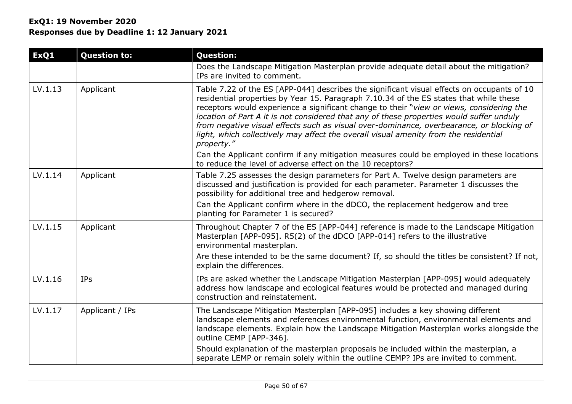| ExQ1    | <b>Question to:</b> | <b>Question:</b>                                                                                                                                                                                                                                                                                                                                                                                                                                                                                                                                                               |
|---------|---------------------|--------------------------------------------------------------------------------------------------------------------------------------------------------------------------------------------------------------------------------------------------------------------------------------------------------------------------------------------------------------------------------------------------------------------------------------------------------------------------------------------------------------------------------------------------------------------------------|
|         |                     | Does the Landscape Mitigation Masterplan provide adequate detail about the mitigation?<br>IPs are invited to comment.                                                                                                                                                                                                                                                                                                                                                                                                                                                          |
| LV.1.13 | Applicant           | Table 7.22 of the ES [APP-044] describes the significant visual effects on occupants of 10<br>residential properties by Year 15. Paragraph 7.10.34 of the ES states that while these<br>receptors would experience a significant change to their "view or views, considering the<br>location of Part A it is not considered that any of these properties would suffer unduly<br>from negative visual effects such as visual over-dominance, overbearance, or blocking of<br>light, which collectively may affect the overall visual amenity from the residential<br>property." |
|         |                     | Can the Applicant confirm if any mitigation measures could be employed in these locations<br>to reduce the level of adverse effect on the 10 receptors?                                                                                                                                                                                                                                                                                                                                                                                                                        |
| LV.1.14 | Applicant           | Table 7.25 assesses the design parameters for Part A. Twelve design parameters are<br>discussed and justification is provided for each parameter. Parameter 1 discusses the<br>possibility for additional tree and hedgerow removal.<br>Can the Applicant confirm where in the dDCO, the replacement hedgerow and tree<br>planting for Parameter 1 is secured?                                                                                                                                                                                                                 |
| LV.1.15 | Applicant           | Throughout Chapter 7 of the ES [APP-044] reference is made to the Landscape Mitigation<br>Masterplan [APP-095]. R5(2) of the dDCO [APP-014] refers to the illustrative<br>environmental masterplan.<br>Are these intended to be the same document? If, so should the titles be consistent? If not,<br>explain the differences.                                                                                                                                                                                                                                                 |
| LV.1.16 | <b>IPs</b>          | IPs are asked whether the Landscape Mitigation Masterplan [APP-095] would adequately<br>address how landscape and ecological features would be protected and managed during<br>construction and reinstatement.                                                                                                                                                                                                                                                                                                                                                                 |
| LV.1.17 | Applicant / IPs     | The Landscape Mitigation Masterplan [APP-095] includes a key showing different<br>landscape elements and references environmental function, environmental elements and<br>landscape elements. Explain how the Landscape Mitigation Masterplan works alongside the<br>outline CEMP [APP-346].                                                                                                                                                                                                                                                                                   |
|         |                     | Should explanation of the masterplan proposals be included within the masterplan, a<br>separate LEMP or remain solely within the outline CEMP? IPs are invited to comment.                                                                                                                                                                                                                                                                                                                                                                                                     |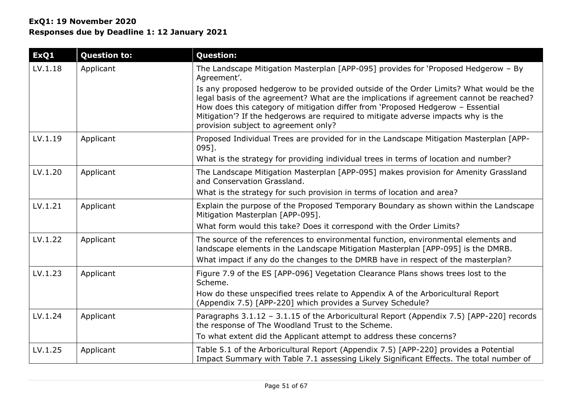| ExQ1    | <b>Question to:</b> | <b>Question:</b>                                                                                                                                                                                                                                                                                                                                                                                  |
|---------|---------------------|---------------------------------------------------------------------------------------------------------------------------------------------------------------------------------------------------------------------------------------------------------------------------------------------------------------------------------------------------------------------------------------------------|
| LV.1.18 | Applicant           | The Landscape Mitigation Masterplan [APP-095] provides for 'Proposed Hedgerow - By<br>Agreement'.                                                                                                                                                                                                                                                                                                 |
|         |                     | Is any proposed hedgerow to be provided outside of the Order Limits? What would be the<br>legal basis of the agreement? What are the implications if agreement cannot be reached?<br>How does this category of mitigation differ from 'Proposed Hedgerow - Essential<br>Mitigation'? If the hedgerows are required to mitigate adverse impacts why is the<br>provision subject to agreement only? |
| LV.1.19 | Applicant           | Proposed Individual Trees are provided for in the Landscape Mitigation Masterplan [APP-<br>095].                                                                                                                                                                                                                                                                                                  |
|         |                     | What is the strategy for providing individual trees in terms of location and number?                                                                                                                                                                                                                                                                                                              |
| LV.1.20 | Applicant           | The Landscape Mitigation Masterplan [APP-095] makes provision for Amenity Grassland<br>and Conservation Grassland.                                                                                                                                                                                                                                                                                |
|         |                     | What is the strategy for such provision in terms of location and area?                                                                                                                                                                                                                                                                                                                            |
| LV.1.21 | Applicant           | Explain the purpose of the Proposed Temporary Boundary as shown within the Landscape<br>Mitigation Masterplan [APP-095].                                                                                                                                                                                                                                                                          |
|         |                     | What form would this take? Does it correspond with the Order Limits?                                                                                                                                                                                                                                                                                                                              |
| LV.1.22 | Applicant           | The source of the references to environmental function, environmental elements and<br>landscape elements in the Landscape Mitigation Masterplan [APP-095] is the DMRB.                                                                                                                                                                                                                            |
|         |                     | What impact if any do the changes to the DMRB have in respect of the masterplan?                                                                                                                                                                                                                                                                                                                  |
| LV.1.23 | Applicant           | Figure 7.9 of the ES [APP-096] Vegetation Clearance Plans shows trees lost to the<br>Scheme.                                                                                                                                                                                                                                                                                                      |
|         |                     | How do these unspecified trees relate to Appendix A of the Arboricultural Report<br>(Appendix 7.5) [APP-220] which provides a Survey Schedule?                                                                                                                                                                                                                                                    |
| LV.1.24 | Applicant           | Paragraphs 3.1.12 - 3.1.15 of the Arboricultural Report (Appendix 7.5) [APP-220] records<br>the response of The Woodland Trust to the Scheme.                                                                                                                                                                                                                                                     |
|         |                     | To what extent did the Applicant attempt to address these concerns?                                                                                                                                                                                                                                                                                                                               |
| LV.1.25 | Applicant           | Table 5.1 of the Arboricultural Report (Appendix 7.5) [APP-220] provides a Potential<br>Impact Summary with Table 7.1 assessing Likely Significant Effects. The total number of                                                                                                                                                                                                                   |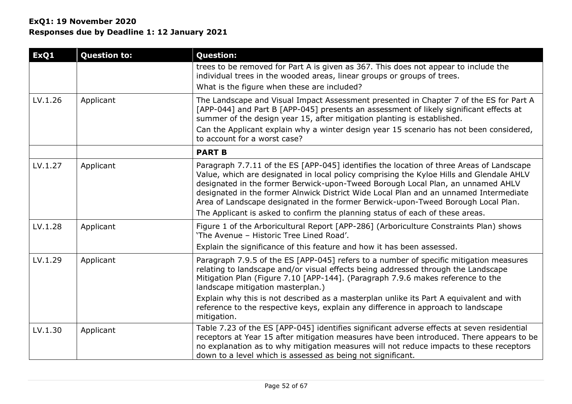| ExQ1    | <b>Question to:</b> | <b>Question:</b>                                                                                                                                                                                                                                                                                                                                                                                                                                                                                                                       |
|---------|---------------------|----------------------------------------------------------------------------------------------------------------------------------------------------------------------------------------------------------------------------------------------------------------------------------------------------------------------------------------------------------------------------------------------------------------------------------------------------------------------------------------------------------------------------------------|
|         |                     | trees to be removed for Part A is given as 367. This does not appear to include the<br>individual trees in the wooded areas, linear groups or groups of trees.<br>What is the figure when these are included?                                                                                                                                                                                                                                                                                                                          |
| LV.1.26 | Applicant           | The Landscape and Visual Impact Assessment presented in Chapter 7 of the ES for Part A<br>[APP-044] and Part B [APP-045] presents an assessment of likely significant effects at<br>summer of the design year 15, after mitigation planting is established.<br>Can the Applicant explain why a winter design year 15 scenario has not been considered,<br>to account for a worst case?                                                                                                                                                 |
|         |                     | <b>PART B</b>                                                                                                                                                                                                                                                                                                                                                                                                                                                                                                                          |
| LV.1.27 | Applicant           | Paragraph 7.7.11 of the ES [APP-045] identifies the location of three Areas of Landscape<br>Value, which are designated in local policy comprising the Kyloe Hills and Glendale AHLV<br>designated in the former Berwick-upon-Tweed Borough Local Plan, an unnamed AHLV<br>designated in the former Alnwick District Wide Local Plan and an unnamed Intermediate<br>Area of Landscape designated in the former Berwick-upon-Tweed Borough Local Plan.<br>The Applicant is asked to confirm the planning status of each of these areas. |
| LV.1.28 | Applicant           | Figure 1 of the Arboricultural Report [APP-286] (Arboriculture Constraints Plan) shows<br>'The Avenue - Historic Tree Lined Road'.<br>Explain the significance of this feature and how it has been assessed.                                                                                                                                                                                                                                                                                                                           |
| LV.1.29 | Applicant           | Paragraph 7.9.5 of the ES [APP-045] refers to a number of specific mitigation measures<br>relating to landscape and/or visual effects being addressed through the Landscape<br>Mitigation Plan (Figure 7.10 [APP-144]. (Paragraph 7.9.6 makes reference to the<br>landscape mitigation masterplan.)<br>Explain why this is not described as a masterplan unlike its Part A equivalent and with<br>reference to the respective keys, explain any difference in approach to landscape<br>mitigation.                                     |
| LV.1.30 | Applicant           | Table 7.23 of the ES [APP-045] identifies significant adverse effects at seven residential<br>receptors at Year 15 after mitigation measures have been introduced. There appears to be<br>no explanation as to why mitigation measures will not reduce impacts to these receptors<br>down to a level which is assessed as being not significant.                                                                                                                                                                                       |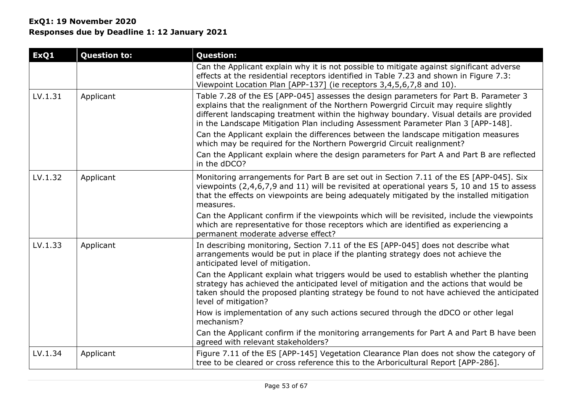| ExQ1    | <b>Question to:</b> | <b>Question:</b>                                                                                                                                                                                                                                                                                                                                                                                                                                                                                                                                                                                                                            |
|---------|---------------------|---------------------------------------------------------------------------------------------------------------------------------------------------------------------------------------------------------------------------------------------------------------------------------------------------------------------------------------------------------------------------------------------------------------------------------------------------------------------------------------------------------------------------------------------------------------------------------------------------------------------------------------------|
|         |                     | Can the Applicant explain why it is not possible to mitigate against significant adverse<br>effects at the residential receptors identified in Table 7.23 and shown in Figure 7.3:<br>Viewpoint Location Plan [APP-137] (ie receptors 3,4,5,6,7,8 and 10).                                                                                                                                                                                                                                                                                                                                                                                  |
| LV.1.31 | Applicant           | Table 7.28 of the ES [APP-045] assesses the design parameters for Part B. Parameter 3<br>explains that the realignment of the Northern Powergrid Circuit may require slightly<br>different landscaping treatment within the highway boundary. Visual details are provided<br>in the Landscape Mitigation Plan including Assessment Parameter Plan 3 [APP-148].<br>Can the Applicant explain the differences between the landscape mitigation measures<br>which may be required for the Northern Powergrid Circuit realignment?<br>Can the Applicant explain where the design parameters for Part A and Part B are reflected<br>in the dDCO? |
| LV.1.32 | Applicant           | Monitoring arrangements for Part B are set out in Section 7.11 of the ES [APP-045]. Six<br>viewpoints (2,4,6,7,9 and 11) will be revisited at operational years 5, 10 and 15 to assess<br>that the effects on viewpoints are being adequately mitigated by the installed mitigation<br>measures.                                                                                                                                                                                                                                                                                                                                            |
|         |                     | Can the Applicant confirm if the viewpoints which will be revisited, include the viewpoints<br>which are representative for those receptors which are identified as experiencing a<br>permanent moderate adverse effect?                                                                                                                                                                                                                                                                                                                                                                                                                    |
| LV.1.33 | Applicant           | In describing monitoring, Section 7.11 of the ES [APP-045] does not describe what<br>arrangements would be put in place if the planting strategy does not achieve the<br>anticipated level of mitigation.                                                                                                                                                                                                                                                                                                                                                                                                                                   |
|         |                     | Can the Applicant explain what triggers would be used to establish whether the planting<br>strategy has achieved the anticipated level of mitigation and the actions that would be<br>taken should the proposed planting strategy be found to not have achieved the anticipated<br>level of mitigation?                                                                                                                                                                                                                                                                                                                                     |
|         |                     | How is implementation of any such actions secured through the dDCO or other legal<br>mechanism?                                                                                                                                                                                                                                                                                                                                                                                                                                                                                                                                             |
|         |                     | Can the Applicant confirm if the monitoring arrangements for Part A and Part B have been<br>agreed with relevant stakeholders?                                                                                                                                                                                                                                                                                                                                                                                                                                                                                                              |
| LV.1.34 | Applicant           | Figure 7.11 of the ES [APP-145] Vegetation Clearance Plan does not show the category of<br>tree to be cleared or cross reference this to the Arboricultural Report [APP-286].                                                                                                                                                                                                                                                                                                                                                                                                                                                               |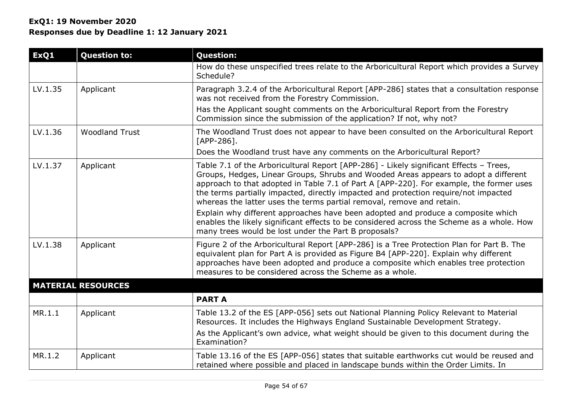| ExQ1    | <b>Question to:</b>       | <b>Question:</b>                                                                                                                                                                                                                                                                                                                                                                                                                         |
|---------|---------------------------|------------------------------------------------------------------------------------------------------------------------------------------------------------------------------------------------------------------------------------------------------------------------------------------------------------------------------------------------------------------------------------------------------------------------------------------|
|         |                           | How do these unspecified trees relate to the Arboricultural Report which provides a Survey<br>Schedule?                                                                                                                                                                                                                                                                                                                                  |
| LV.1.35 | Applicant                 | Paragraph 3.2.4 of the Arboricultural Report [APP-286] states that a consultation response<br>was not received from the Forestry Commission.                                                                                                                                                                                                                                                                                             |
|         |                           | Has the Applicant sought comments on the Arboricultural Report from the Forestry<br>Commission since the submission of the application? If not, why not?                                                                                                                                                                                                                                                                                 |
| LV.1.36 | <b>Woodland Trust</b>     | The Woodland Trust does not appear to have been consulted on the Arboricultural Report<br>$[APP-286]$ .                                                                                                                                                                                                                                                                                                                                  |
|         |                           | Does the Woodland trust have any comments on the Arboricultural Report?                                                                                                                                                                                                                                                                                                                                                                  |
| LV.1.37 | Applicant                 | Table 7.1 of the Arboricultural Report [APP-286] - Likely significant Effects - Trees,<br>Groups, Hedges, Linear Groups, Shrubs and Wooded Areas appears to adopt a different<br>approach to that adopted in Table 7.1 of Part A [APP-220]. For example, the former uses<br>the terms partially impacted, directly impacted and protection require/not impacted<br>whereas the latter uses the terms partial removal, remove and retain. |
|         |                           | Explain why different approaches have been adopted and produce a composite which<br>enables the likely significant effects to be considered across the Scheme as a whole. How<br>many trees would be lost under the Part B proposals?                                                                                                                                                                                                    |
| LV.1.38 | Applicant                 | Figure 2 of the Arboricultural Report [APP-286] is a Tree Protection Plan for Part B. The<br>equivalent plan for Part A is provided as Figure B4 [APP-220]. Explain why different<br>approaches have been adopted and produce a composite which enables tree protection<br>measures to be considered across the Scheme as a whole.                                                                                                       |
|         | <b>MATERIAL RESOURCES</b> |                                                                                                                                                                                                                                                                                                                                                                                                                                          |
|         |                           | <b>PART A</b>                                                                                                                                                                                                                                                                                                                                                                                                                            |
| MR.1.1  | Applicant                 | Table 13.2 of the ES [APP-056] sets out National Planning Policy Relevant to Material<br>Resources. It includes the Highways England Sustainable Development Strategy.                                                                                                                                                                                                                                                                   |
|         |                           | As the Applicant's own advice, what weight should be given to this document during the<br>Examination?                                                                                                                                                                                                                                                                                                                                   |
| MR.1.2  | Applicant                 | Table 13.16 of the ES [APP-056] states that suitable earthworks cut would be reused and<br>retained where possible and placed in landscape bunds within the Order Limits. In                                                                                                                                                                                                                                                             |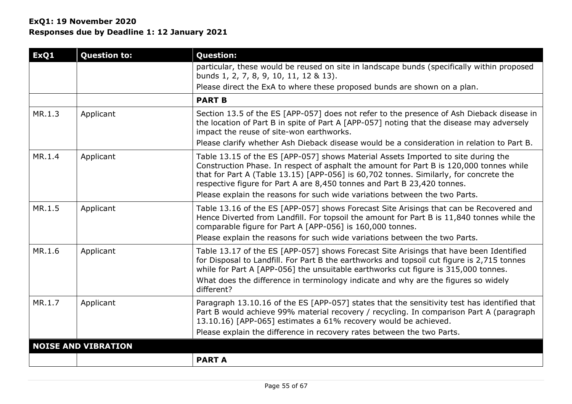| ExQ1   | <b>Question to:</b>        | <b>Question:</b>                                                                                                                                                                                                                                                                                                                                                               |
|--------|----------------------------|--------------------------------------------------------------------------------------------------------------------------------------------------------------------------------------------------------------------------------------------------------------------------------------------------------------------------------------------------------------------------------|
|        |                            | particular, these would be reused on site in landscape bunds (specifically within proposed<br>bunds 1, 2, 7, 8, 9, 10, 11, 12 & 13).                                                                                                                                                                                                                                           |
|        |                            | Please direct the ExA to where these proposed bunds are shown on a plan.                                                                                                                                                                                                                                                                                                       |
|        |                            | <b>PART B</b>                                                                                                                                                                                                                                                                                                                                                                  |
| MR.1.3 | Applicant                  | Section 13.5 of the ES [APP-057] does not refer to the presence of Ash Dieback disease in<br>the location of Part B in spite of Part A [APP-057] noting that the disease may adversely<br>impact the reuse of site-won earthworks.                                                                                                                                             |
|        |                            | Please clarify whether Ash Dieback disease would be a consideration in relation to Part B.                                                                                                                                                                                                                                                                                     |
| MR.1.4 | Applicant                  | Table 13.15 of the ES [APP-057] shows Material Assets Imported to site during the<br>Construction Phase. In respect of asphalt the amount for Part B is 120,000 tonnes while<br>that for Part A (Table 13.15) [APP-056] is 60,702 tonnes. Similarly, for concrete the<br>respective figure for Part A are 8,450 tonnes and Part B 23,420 tonnes.                               |
|        |                            | Please explain the reasons for such wide variations between the two Parts.                                                                                                                                                                                                                                                                                                     |
| MR.1.5 | Applicant                  | Table 13.16 of the ES [APP-057] shows Forecast Site Arisings that can be Recovered and<br>Hence Diverted from Landfill. For topsoil the amount for Part B is 11,840 tonnes while the<br>comparable figure for Part A [APP-056] is 160,000 tonnes.                                                                                                                              |
|        |                            | Please explain the reasons for such wide variations between the two Parts.                                                                                                                                                                                                                                                                                                     |
| MR.1.6 | Applicant                  | Table 13.17 of the ES [APP-057] shows Forecast Site Arisings that have been Identified<br>for Disposal to Landfill. For Part B the earthworks and topsoil cut figure is 2,715 tonnes<br>while for Part A [APP-056] the unsuitable earthworks cut figure is 315,000 tonnes.<br>What does the difference in terminology indicate and why are the figures so widely<br>different? |
| MR.1.7 | Applicant                  | Paragraph 13.10.16 of the ES [APP-057] states that the sensitivity test has identified that<br>Part B would achieve 99% material recovery / recycling. In comparison Part A (paragraph<br>13.10.16) [APP-065] estimates a 61% recovery would be achieved.                                                                                                                      |
|        |                            | Please explain the difference in recovery rates between the two Parts.                                                                                                                                                                                                                                                                                                         |
|        | <b>NOISE AND VIBRATION</b> |                                                                                                                                                                                                                                                                                                                                                                                |
|        |                            | <b>PART A</b>                                                                                                                                                                                                                                                                                                                                                                  |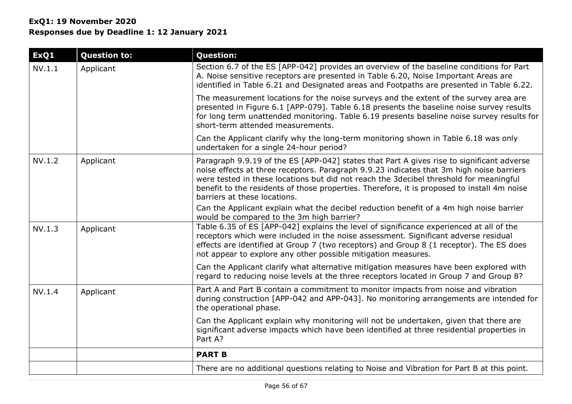# **ExQ1: 19 November 2020 Responses due by Deadline 1: 12 January 2021**

| ExQ1   | <b>Question to:</b> | <b>Question:</b>                                                                                                                                                                                                                                                                                                                                                                                               |
|--------|---------------------|----------------------------------------------------------------------------------------------------------------------------------------------------------------------------------------------------------------------------------------------------------------------------------------------------------------------------------------------------------------------------------------------------------------|
| NV.1.1 | Applicant           | Section 6.7 of the ES [APP-042] provides an overview of the baseline conditions for Part<br>A. Noise sensitive receptors are presented in Table 6.20, Noise Important Areas are<br>identified in Table 6.21 and Designated areas and Footpaths are presented in Table 6.22.                                                                                                                                    |
|        |                     | The measurement locations for the noise surveys and the extent of the survey area are<br>presented in Figure 6.1 [APP-079]. Table 6.18 presents the baseline noise survey results<br>for long term unattended monitoring. Table 6.19 presents baseline noise survey results for<br>short-term attended measurements.                                                                                           |
|        |                     | Can the Applicant clarify why the long-term monitoring shown in Table 6.18 was only<br>undertaken for a single 24-hour period?                                                                                                                                                                                                                                                                                 |
| NV.1.2 | Applicant           | Paragraph 9.9.19 of the ES [APP-042] states that Part A gives rise to significant adverse<br>noise effects at three receptors. Paragraph 9.9.23 indicates that 3m high noise barriers<br>were tested in these locations but did not reach the 3decibel threshold for meaningful<br>benefit to the residents of those properties. Therefore, it is proposed to install 4m noise<br>barriers at these locations. |
|        |                     | Can the Applicant explain what the decibel reduction benefit of a 4m high noise barrier<br>would be compared to the 3m high barrier?                                                                                                                                                                                                                                                                           |
| NV.1.3 | Applicant           | Table 6.35 of ES [APP-042] explains the level of significance experienced at all of the<br>receptors which were included in the noise assessment. Significant adverse residual<br>effects are identified at Group 7 (two receptors) and Group 8 (1 receptor). The ES does<br>not appear to explore any other possible mitigation measures.                                                                     |
|        |                     | Can the Applicant clarify what alternative mitigation measures have been explored with<br>regard to reducing noise levels at the three receptors located in Group 7 and Group 8?                                                                                                                                                                                                                               |
| NV.1.4 | Applicant           | Part A and Part B contain a commitment to monitor impacts from noise and vibration<br>during construction [APP-042 and APP-043]. No monitoring arrangements are intended for<br>the operational phase.                                                                                                                                                                                                         |
|        |                     | Can the Applicant explain why monitoring will not be undertaken, given that there are<br>significant adverse impacts which have been identified at three residential properties in<br>Part A?                                                                                                                                                                                                                  |
|        |                     | <b>PART B</b>                                                                                                                                                                                                                                                                                                                                                                                                  |
|        |                     | There are no additional questions relating to Noise and Vibration for Part B at this point.                                                                                                                                                                                                                                                                                                                    |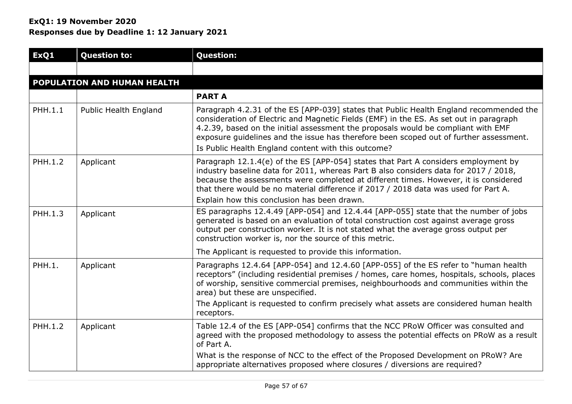| ExQ1    | <b>Question to:</b>         | <b>Question:</b>                                                                                                                                                                                                                                                                                                                                                                                                       |
|---------|-----------------------------|------------------------------------------------------------------------------------------------------------------------------------------------------------------------------------------------------------------------------------------------------------------------------------------------------------------------------------------------------------------------------------------------------------------------|
|         |                             |                                                                                                                                                                                                                                                                                                                                                                                                                        |
|         | POPULATION AND HUMAN HEALTH |                                                                                                                                                                                                                                                                                                                                                                                                                        |
|         |                             | <b>PART A</b>                                                                                                                                                                                                                                                                                                                                                                                                          |
| PHH.1.1 | Public Health England       | Paragraph 4.2.31 of the ES [APP-039] states that Public Health England recommended the<br>consideration of Electric and Magnetic Fields (EMF) in the ES. As set out in paragraph<br>4.2.39, based on the initial assessment the proposals would be compliant with EMF<br>exposure guidelines and the issue has therefore been scoped out of further assessment.<br>Is Public Health England content with this outcome? |
| PHH.1.2 | Applicant                   | Paragraph 12.1.4(e) of the ES [APP-054] states that Part A considers employment by<br>industry baseline data for 2011, whereas Part B also considers data for 2017 / 2018,<br>because the assessments were completed at different times. However, it is considered<br>that there would be no material difference if 2017 / 2018 data was used for Part A.<br>Explain how this conclusion has been drawn.               |
|         |                             | ES paragraphs 12.4.49 [APP-054] and 12.4.44 [APP-055] state that the number of jobs                                                                                                                                                                                                                                                                                                                                    |
| PHH.1.3 | Applicant                   | generated is based on an evaluation of total construction cost against average gross<br>output per construction worker. It is not stated what the average gross output per<br>construction worker is, nor the source of this metric.                                                                                                                                                                                   |
|         |                             | The Applicant is requested to provide this information.                                                                                                                                                                                                                                                                                                                                                                |
| PHH.1.  | Applicant                   | Paragraphs 12.4.64 [APP-054] and 12.4.60 [APP-055] of the ES refer to "human health<br>receptors" (including residential premises / homes, care homes, hospitals, schools, places<br>of worship, sensitive commercial premises, neighbourhoods and communities within the<br>area) but these are unspecified.                                                                                                          |
|         |                             | The Applicant is requested to confirm precisely what assets are considered human health<br>receptors.                                                                                                                                                                                                                                                                                                                  |
| PHH.1.2 | Applicant                   | Table 12.4 of the ES [APP-054] confirms that the NCC PRoW Officer was consulted and<br>agreed with the proposed methodology to assess the potential effects on PRoW as a result<br>of Part A.                                                                                                                                                                                                                          |
|         |                             | What is the response of NCC to the effect of the Proposed Development on PRoW? Are<br>appropriate alternatives proposed where closures / diversions are required?                                                                                                                                                                                                                                                      |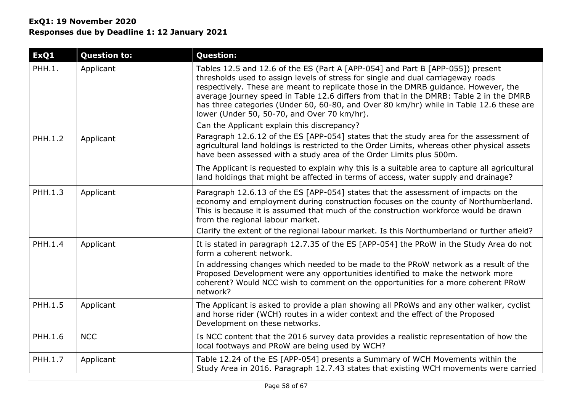# **ExQ1: 19 November 2020 Responses due by Deadline 1: 12 January 2021**

| ExQ1           | <b>Question to:</b> | <b>Question:</b>                                                                                                                                                                                                                                                                                                                                                                                                                                                                              |
|----------------|---------------------|-----------------------------------------------------------------------------------------------------------------------------------------------------------------------------------------------------------------------------------------------------------------------------------------------------------------------------------------------------------------------------------------------------------------------------------------------------------------------------------------------|
| PHH.1.         | Applicant           | Tables 12.5 and 12.6 of the ES (Part A [APP-054] and Part B [APP-055]) present<br>thresholds used to assign levels of stress for single and dual carriageway roads<br>respectively. These are meant to replicate those in the DMRB guidance. However, the<br>average journey speed in Table 12.6 differs from that in the DMRB: Table 2 in the DMRB<br>has three categories (Under 60, 60-80, and Over 80 km/hr) while in Table 12.6 these are<br>lower (Under 50, 50-70, and Over 70 km/hr). |
|                |                     | Can the Applicant explain this discrepancy?                                                                                                                                                                                                                                                                                                                                                                                                                                                   |
| <b>PHH.1.2</b> | Applicant           | Paragraph 12.6.12 of the ES [APP-054] states that the study area for the assessment of<br>agricultural land holdings is restricted to the Order Limits, whereas other physical assets<br>have been assessed with a study area of the Order Limits plus 500m.                                                                                                                                                                                                                                  |
|                |                     | The Applicant is requested to explain why this is a suitable area to capture all agricultural<br>land holdings that might be affected in terms of access, water supply and drainage?                                                                                                                                                                                                                                                                                                          |
| PHH.1.3        | Applicant           | Paragraph 12.6.13 of the ES [APP-054] states that the assessment of impacts on the<br>economy and employment during construction focuses on the county of Northumberland.<br>This is because it is assumed that much of the construction workforce would be drawn<br>from the regional labour market.                                                                                                                                                                                         |
|                |                     | Clarify the extent of the regional labour market. Is this Northumberland or further afield?                                                                                                                                                                                                                                                                                                                                                                                                   |
| PHH.1.4        | Applicant           | It is stated in paragraph 12.7.35 of the ES [APP-054] the PRoW in the Study Area do not<br>form a coherent network.<br>In addressing changes which needed to be made to the PRoW network as a result of the                                                                                                                                                                                                                                                                                   |
|                |                     | Proposed Development were any opportunities identified to make the network more<br>coherent? Would NCC wish to comment on the opportunities for a more coherent PRoW<br>network?                                                                                                                                                                                                                                                                                                              |
| PHH.1.5        | Applicant           | The Applicant is asked to provide a plan showing all PRoWs and any other walker, cyclist<br>and horse rider (WCH) routes in a wider context and the effect of the Proposed<br>Development on these networks.                                                                                                                                                                                                                                                                                  |
| PHH.1.6        | <b>NCC</b>          | Is NCC content that the 2016 survey data provides a realistic representation of how the<br>local footways and PRoW are being used by WCH?                                                                                                                                                                                                                                                                                                                                                     |
| PHH.1.7        | Applicant           | Table 12.24 of the ES [APP-054] presents a Summary of WCH Movements within the<br>Study Area in 2016. Paragraph 12.7.43 states that existing WCH movements were carried                                                                                                                                                                                                                                                                                                                       |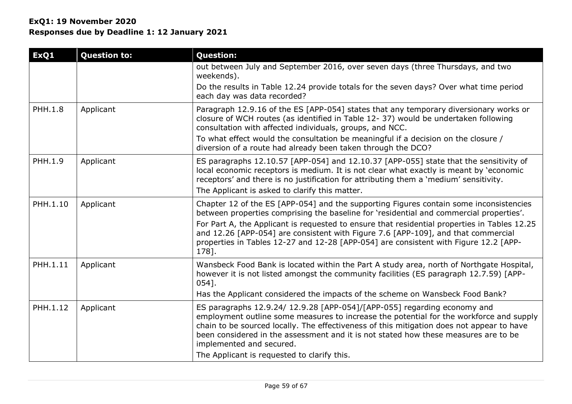| ExQ1           | <b>Question to:</b> | <b>Question:</b>                                                                                                                                                                                                                                                                                                                                                                                                                   |
|----------------|---------------------|------------------------------------------------------------------------------------------------------------------------------------------------------------------------------------------------------------------------------------------------------------------------------------------------------------------------------------------------------------------------------------------------------------------------------------|
|                |                     | out between July and September 2016, over seven days (three Thursdays, and two<br>weekends).                                                                                                                                                                                                                                                                                                                                       |
|                |                     | Do the results in Table 12.24 provide totals for the seven days? Over what time period<br>each day was data recorded?                                                                                                                                                                                                                                                                                                              |
| <b>PHH.1.8</b> | Applicant           | Paragraph 12.9.16 of the ES [APP-054] states that any temporary diversionary works or<br>closure of WCH routes (as identified in Table 12-37) would be undertaken following<br>consultation with affected individuals, groups, and NCC.                                                                                                                                                                                            |
|                |                     | To what effect would the consultation be meaningful if a decision on the closure /<br>diversion of a route had already been taken through the DCO?                                                                                                                                                                                                                                                                                 |
| PHH.1.9        | Applicant           | ES paragraphs 12.10.57 [APP-054] and 12.10.37 [APP-055] state that the sensitivity of<br>local economic receptors is medium. It is not clear what exactly is meant by 'economic<br>receptors' and there is no justification for attributing them a 'medium' sensitivity.                                                                                                                                                           |
|                |                     | The Applicant is asked to clarify this matter.                                                                                                                                                                                                                                                                                                                                                                                     |
| PHH.1.10       | Applicant           | Chapter 12 of the ES [APP-054] and the supporting Figures contain some inconsistencies<br>between properties comprising the baseline for 'residential and commercial properties'.                                                                                                                                                                                                                                                  |
|                |                     | For Part A, the Applicant is requested to ensure that residential properties in Tables 12.25<br>and 12.26 [APP-054] are consistent with Figure 7.6 [APP-109], and that commercial<br>properties in Tables 12-27 and 12-28 [APP-054] are consistent with Figure 12.2 [APP-<br>178].                                                                                                                                                 |
| PHH.1.11       | Applicant           | Wansbeck Food Bank is located within the Part A study area, north of Northgate Hospital,<br>however it is not listed amongst the community facilities (ES paragraph 12.7.59) [APP-<br>$054$ ].                                                                                                                                                                                                                                     |
|                |                     | Has the Applicant considered the impacts of the scheme on Wansbeck Food Bank?                                                                                                                                                                                                                                                                                                                                                      |
| PHH.1.12       | Applicant           | ES paragraphs 12.9.24/ 12.9.28 [APP-054]/[APP-055] regarding economy and<br>employment outline some measures to increase the potential for the workforce and supply<br>chain to be sourced locally. The effectiveness of this mitigation does not appear to have<br>been considered in the assessment and it is not stated how these measures are to be<br>implemented and secured.<br>The Applicant is requested to clarify this. |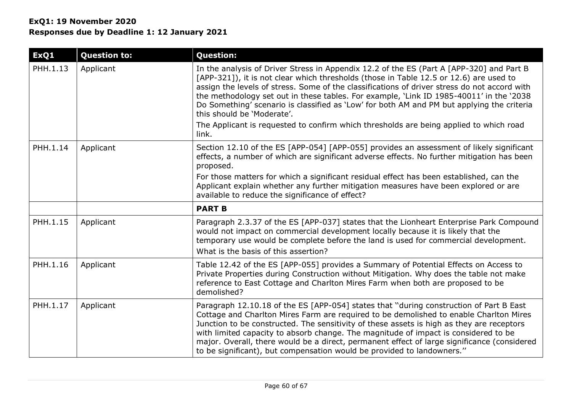| ExQ1     | <b>Question to:</b> | <b>Question:</b>                                                                                                                                                                                                                                                                                                                                                                                                                                                                                                                              |
|----------|---------------------|-----------------------------------------------------------------------------------------------------------------------------------------------------------------------------------------------------------------------------------------------------------------------------------------------------------------------------------------------------------------------------------------------------------------------------------------------------------------------------------------------------------------------------------------------|
| PHH.1.13 | Applicant           | In the analysis of Driver Stress in Appendix 12.2 of the ES (Part A [APP-320] and Part B<br>[APP-321]), it is not clear which thresholds (those in Table 12.5 or 12.6) are used to<br>assign the levels of stress. Some of the classifications of driver stress do not accord with<br>the methodology set out in these tables. For example, 'Link ID 1985-40011' in the '2038<br>Do Something' scenario is classified as 'Low' for both AM and PM but applying the criteria<br>this should be 'Moderate'.                                     |
|          |                     | The Applicant is requested to confirm which thresholds are being applied to which road<br>link.                                                                                                                                                                                                                                                                                                                                                                                                                                               |
| PHH.1.14 | Applicant           | Section 12.10 of the ES [APP-054] [APP-055] provides an assessment of likely significant<br>effects, a number of which are significant adverse effects. No further mitigation has been<br>proposed.                                                                                                                                                                                                                                                                                                                                           |
|          |                     | For those matters for which a significant residual effect has been established, can the<br>Applicant explain whether any further mitigation measures have been explored or are<br>available to reduce the significance of effect?                                                                                                                                                                                                                                                                                                             |
|          |                     | <b>PART B</b>                                                                                                                                                                                                                                                                                                                                                                                                                                                                                                                                 |
| PHH.1.15 | Applicant           | Paragraph 2.3.37 of the ES [APP-037] states that the Lionheart Enterprise Park Compound<br>would not impact on commercial development locally because it is likely that the<br>temporary use would be complete before the land is used for commercial development.<br>What is the basis of this assertion?                                                                                                                                                                                                                                    |
| PHH.1.16 | Applicant           | Table 12.42 of the ES [APP-055] provides a Summary of Potential Effects on Access to<br>Private Properties during Construction without Mitigation. Why does the table not make<br>reference to East Cottage and Charlton Mires Farm when both are proposed to be<br>demolished?                                                                                                                                                                                                                                                               |
| PHH.1.17 | Applicant           | Paragraph 12.10.18 of the ES [APP-054] states that "during construction of Part B East<br>Cottage and Charlton Mires Farm are required to be demolished to enable Charlton Mires<br>Junction to be constructed. The sensitivity of these assets is high as they are receptors<br>with limited capacity to absorb change. The magnitude of impact is considered to be<br>major. Overall, there would be a direct, permanent effect of large significance (considered<br>to be significant), but compensation would be provided to landowners." |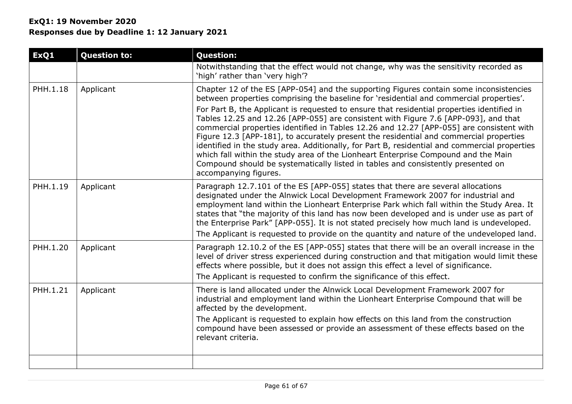| ExQ1     | <b>Question to:</b> | <b>Question:</b>                                                                                                                                                                                                                                                                                                                                                                                                                                                                                                                                                                                                                                                                                                                                                                                                                                                 |
|----------|---------------------|------------------------------------------------------------------------------------------------------------------------------------------------------------------------------------------------------------------------------------------------------------------------------------------------------------------------------------------------------------------------------------------------------------------------------------------------------------------------------------------------------------------------------------------------------------------------------------------------------------------------------------------------------------------------------------------------------------------------------------------------------------------------------------------------------------------------------------------------------------------|
|          |                     | Notwithstanding that the effect would not change, why was the sensitivity recorded as<br>'high' rather than 'very high'?                                                                                                                                                                                                                                                                                                                                                                                                                                                                                                                                                                                                                                                                                                                                         |
| PHH.1.18 | Applicant           | Chapter 12 of the ES [APP-054] and the supporting Figures contain some inconsistencies<br>between properties comprising the baseline for 'residential and commercial properties'.<br>For Part B, the Applicant is requested to ensure that residential properties identified in<br>Tables 12.25 and 12.26 [APP-055] are consistent with Figure 7.6 [APP-093], and that<br>commercial properties identified in Tables 12.26 and 12.27 [APP-055] are consistent with<br>Figure 12.3 [APP-181], to accurately present the residential and commercial properties<br>identified in the study area. Additionally, for Part B, residential and commercial properties<br>which fall within the study area of the Lionheart Enterprise Compound and the Main<br>Compound should be systematically listed in tables and consistently presented on<br>accompanying figures. |
| PHH.1.19 | Applicant           | Paragraph 12.7.101 of the ES [APP-055] states that there are several allocations<br>designated under the Alnwick Local Development Framework 2007 for industrial and<br>employment land within the Lionheart Enterprise Park which fall within the Study Area. It<br>states that "the majority of this land has now been developed and is under use as part of<br>the Enterprise Park" [APP-055]. It is not stated precisely how much land is undeveloped.<br>The Applicant is requested to provide on the quantity and nature of the undeveloped land.                                                                                                                                                                                                                                                                                                          |
| PHH.1.20 | Applicant           | Paragraph 12.10.2 of the ES [APP-055] states that there will be an overall increase in the<br>level of driver stress experienced during construction and that mitigation would limit these<br>effects where possible, but it does not assign this effect a level of significance.<br>The Applicant is requested to confirm the significance of this effect.                                                                                                                                                                                                                                                                                                                                                                                                                                                                                                      |
| PHH.1.21 | Applicant           | There is land allocated under the Alnwick Local Development Framework 2007 for<br>industrial and employment land within the Lionheart Enterprise Compound that will be<br>affected by the development.<br>The Applicant is requested to explain how effects on this land from the construction<br>compound have been assessed or provide an assessment of these effects based on the<br>relevant criteria.                                                                                                                                                                                                                                                                                                                                                                                                                                                       |
|          |                     |                                                                                                                                                                                                                                                                                                                                                                                                                                                                                                                                                                                                                                                                                                                                                                                                                                                                  |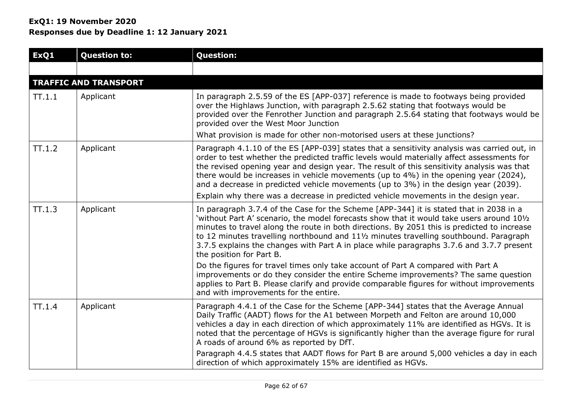| ExQ1      | <b>Question to:</b>          | <b>Question:</b>                                                                                                                                                                                                                                                                                                                                                                                                                                                                                                                                              |
|-----------|------------------------------|---------------------------------------------------------------------------------------------------------------------------------------------------------------------------------------------------------------------------------------------------------------------------------------------------------------------------------------------------------------------------------------------------------------------------------------------------------------------------------------------------------------------------------------------------------------|
|           |                              |                                                                                                                                                                                                                                                                                                                                                                                                                                                                                                                                                               |
|           | <b>TRAFFIC AND TRANSPORT</b> |                                                                                                                                                                                                                                                                                                                                                                                                                                                                                                                                                               |
| $\Pi.1.1$ | Applicant                    | In paragraph 2.5.59 of the ES [APP-037] reference is made to footways being provided<br>over the Highlaws Junction, with paragraph 2.5.62 stating that footways would be<br>provided over the Fenrother Junction and paragraph 2.5.64 stating that footways would be<br>provided over the West Moor Junction<br>What provision is made for other non-motorised users at these junctions?                                                                                                                                                                      |
|           |                              |                                                                                                                                                                                                                                                                                                                                                                                                                                                                                                                                                               |
| TT.1.2    | Applicant                    | Paragraph 4.1.10 of the ES [APP-039] states that a sensitivity analysis was carried out, in<br>order to test whether the predicted traffic levels would materially affect assessments for<br>the revised opening year and design year. The result of this sensitivity analysis was that<br>there would be increases in vehicle movements (up to 4%) in the opening year (2024),<br>and a decrease in predicted vehicle movements (up to 3%) in the design year (2039).<br>Explain why there was a decrease in predicted vehicle movements in the design year. |
| TT.1.3    | Applicant                    | In paragraph 3.7.4 of the Case for the Scheme [APP-344] it is stated that in 2038 in a<br>'without Part A' scenario, the model forecasts show that it would take users around 101/2<br>minutes to travel along the route in both directions. By 2051 this is predicted to increase<br>to 12 minutes travelling northbound and 111/2 minutes travelling southbound. Paragraph<br>3.7.5 explains the changes with Part A in place while paragraphs 3.7.6 and 3.7.7 present<br>the position for Part B.                                                          |
|           |                              | Do the figures for travel times only take account of Part A compared with Part A<br>improvements or do they consider the entire Scheme improvements? The same question<br>applies to Part B. Please clarify and provide comparable figures for without improvements<br>and with improvements for the entire.                                                                                                                                                                                                                                                  |
| $\Pi.1.4$ | Applicant                    | Paragraph 4.4.1 of the Case for the Scheme [APP-344] states that the Average Annual<br>Daily Traffic (AADT) flows for the A1 between Morpeth and Felton are around 10,000<br>vehicles a day in each direction of which approximately 11% are identified as HGVs. It is<br>noted that the percentage of HGVs is significantly higher than the average figure for rural<br>A roads of around 6% as reported by DfT.<br>Paragraph 4.4.5 states that AADT flows for Part B are around 5,000 vehicles a day in each                                                |
|           |                              | direction of which approximately 15% are identified as HGVs.                                                                                                                                                                                                                                                                                                                                                                                                                                                                                                  |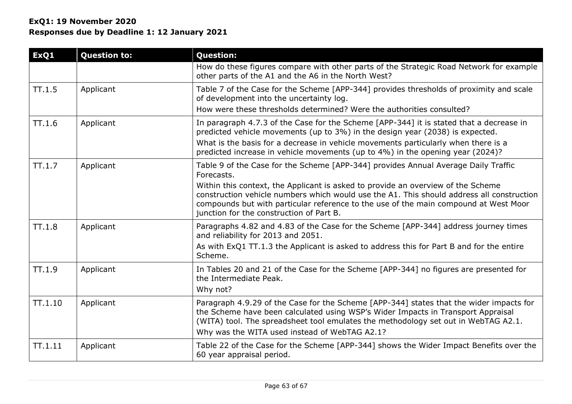| ExQ1      | <b>Question to:</b> | <b>Question:</b>                                                                                                                                                                                                                                                                                                   |
|-----------|---------------------|--------------------------------------------------------------------------------------------------------------------------------------------------------------------------------------------------------------------------------------------------------------------------------------------------------------------|
|           |                     | How do these figures compare with other parts of the Strategic Road Network for example<br>other parts of the A1 and the A6 in the North West?                                                                                                                                                                     |
| $\Pi.1.5$ | Applicant           | Table 7 of the Case for the Scheme [APP-344] provides thresholds of proximity and scale<br>of development into the uncertainty log.                                                                                                                                                                                |
|           |                     | How were these thresholds determined? Were the authorities consulted?                                                                                                                                                                                                                                              |
| TT.1.6    | Applicant           | In paragraph 4.7.3 of the Case for the Scheme [APP-344] it is stated that a decrease in<br>predicted vehicle movements (up to 3%) in the design year (2038) is expected.                                                                                                                                           |
|           |                     | What is the basis for a decrease in vehicle movements particularly when there is a<br>predicted increase in vehicle movements (up to 4%) in the opening year (2024)?                                                                                                                                               |
| $\Pi.1.7$ | Applicant           | Table 9 of the Case for the Scheme [APP-344] provides Annual Average Daily Traffic<br>Forecasts.                                                                                                                                                                                                                   |
|           |                     | Within this context, the Applicant is asked to provide an overview of the Scheme<br>construction vehicle numbers which would use the A1. This should address all construction<br>compounds but with particular reference to the use of the main compound at West Moor<br>junction for the construction of Part B.  |
| $\Pi.1.8$ | Applicant           | Paragraphs 4.82 and 4.83 of the Case for the Scheme [APP-344] address journey times<br>and reliability for 2013 and 2051.                                                                                                                                                                                          |
|           |                     | As with ExQ1 TT.1.3 the Applicant is asked to address this for Part B and for the entire<br>Scheme.                                                                                                                                                                                                                |
| TT.1.9    | Applicant           | In Tables 20 and 21 of the Case for the Scheme [APP-344] no figures are presented for<br>the Intermediate Peak.<br>Why not?                                                                                                                                                                                        |
| TT.1.10   | Applicant           | Paragraph 4.9.29 of the Case for the Scheme [APP-344] states that the wider impacts for<br>the Scheme have been calculated using WSP's Wider Impacts in Transport Appraisal<br>(WITA) tool. The spreadsheet tool emulates the methodology set out in WebTAG A2.1.<br>Why was the WITA used instead of WebTAG A2.1? |
| TT.1.11   | Applicant           | Table 22 of the Case for the Scheme [APP-344] shows the Wider Impact Benefits over the<br>60 year appraisal period.                                                                                                                                                                                                |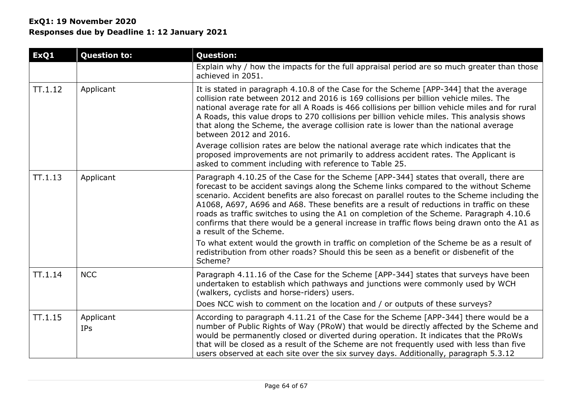| ExQ1    | <b>Question to:</b>     | <b>Question:</b>                                                                                                                                                                                                                                                                                                                                                                                                                                                                                                                                                                                |  |  |  |  |  |
|---------|-------------------------|-------------------------------------------------------------------------------------------------------------------------------------------------------------------------------------------------------------------------------------------------------------------------------------------------------------------------------------------------------------------------------------------------------------------------------------------------------------------------------------------------------------------------------------------------------------------------------------------------|--|--|--|--|--|
|         |                         | Explain why / how the impacts for the full appraisal period are so much greater than those<br>achieved in 2051.                                                                                                                                                                                                                                                                                                                                                                                                                                                                                 |  |  |  |  |  |
| TT.1.12 | Applicant               | It is stated in paragraph 4.10.8 of the Case for the Scheme [APP-344] that the average<br>collision rate between 2012 and 2016 is 169 collisions per billion vehicle miles. The<br>national average rate for all A Roads is 466 collisions per billion vehicle miles and for rural<br>A Roads, this value drops to 270 collisions per billion vehicle miles. This analysis shows<br>that along the Scheme, the average collision rate is lower than the national average<br>between 2012 and 2016.                                                                                              |  |  |  |  |  |
|         |                         | Average collision rates are below the national average rate which indicates that the<br>proposed improvements are not primarily to address accident rates. The Applicant is<br>asked to comment including with reference to Table 25.                                                                                                                                                                                                                                                                                                                                                           |  |  |  |  |  |
| TT.1.13 | Applicant               | Paragraph 4.10.25 of the Case for the Scheme [APP-344] states that overall, there are<br>forecast to be accident savings along the Scheme links compared to the without Scheme<br>scenario. Accident benefits are also forecast on parallel routes to the Scheme including the<br>A1068, A697, A696 and A68. These benefits are a result of reductions in traffic on these<br>roads as traffic switches to using the A1 on completion of the Scheme. Paragraph 4.10.6<br>confirms that there would be a general increase in traffic flows being drawn onto the A1 as<br>a result of the Scheme. |  |  |  |  |  |
|         |                         | To what extent would the growth in traffic on completion of the Scheme be as a result of<br>redistribution from other roads? Should this be seen as a benefit or disbenefit of the<br>Scheme?                                                                                                                                                                                                                                                                                                                                                                                                   |  |  |  |  |  |
| TT.1.14 | <b>NCC</b>              | Paragraph 4.11.16 of the Case for the Scheme [APP-344] states that surveys have been<br>undertaken to establish which pathways and junctions were commonly used by WCH<br>(walkers, cyclists and horse-riders) users.<br>Does NCC wish to comment on the location and / or outputs of these surveys?                                                                                                                                                                                                                                                                                            |  |  |  |  |  |
| TT.1.15 | Applicant<br><b>IPs</b> | According to paragraph 4.11.21 of the Case for the Scheme [APP-344] there would be a<br>number of Public Rights of Way (PRoW) that would be directly affected by the Scheme and<br>would be permanently closed or diverted during operation. It indicates that the PRoWs<br>that will be closed as a result of the Scheme are not frequently used with less than five<br>users observed at each site over the six survey days. Additionally, paragraph 5.3.12                                                                                                                                   |  |  |  |  |  |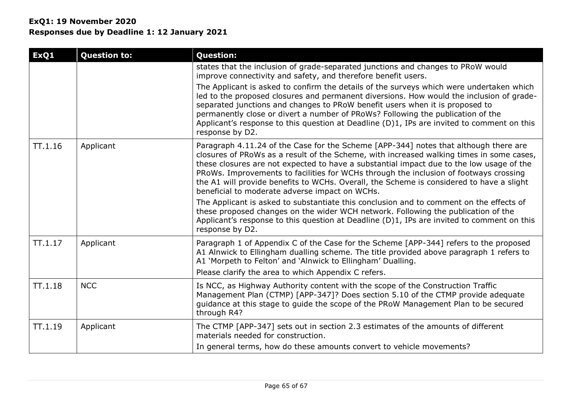# **ExQ1: 19 November 2020 Responses due by Deadline 1: 12 January 2021**

| ExQ1    | <b>Question to:</b> | <b>Question:</b>                                                                                                                                                                                                                                                                                                                                                                                                                                                                                                    |
|---------|---------------------|---------------------------------------------------------------------------------------------------------------------------------------------------------------------------------------------------------------------------------------------------------------------------------------------------------------------------------------------------------------------------------------------------------------------------------------------------------------------------------------------------------------------|
|         |                     | states that the inclusion of grade-separated junctions and changes to PRoW would<br>improve connectivity and safety, and therefore benefit users.                                                                                                                                                                                                                                                                                                                                                                   |
|         |                     | The Applicant is asked to confirm the details of the surveys which were undertaken which<br>led to the proposed closures and permanent diversions. How would the inclusion of grade-<br>separated junctions and changes to PRoW benefit users when it is proposed to<br>permanently close or divert a number of PRoWs? Following the publication of the<br>Applicant's response to this question at Deadline (D)1, IPs are invited to comment on this<br>response by D2.                                            |
| TT.1.16 | Applicant           | Paragraph 4.11.24 of the Case for the Scheme [APP-344] notes that although there are<br>closures of PRoWs as a result of the Scheme, with increased walking times in some cases,<br>these closures are not expected to have a substantial impact due to the low usage of the<br>PRoWs. Improvements to facilities for WCHs through the inclusion of footways crossing<br>the A1 will provide benefits to WCHs. Overall, the Scheme is considered to have a slight<br>beneficial to moderate adverse impact on WCHs. |
|         |                     | The Applicant is asked to substantiate this conclusion and to comment on the effects of<br>these proposed changes on the wider WCH network. Following the publication of the<br>Applicant's response to this question at Deadline (D)1, IPs are invited to comment on this<br>response by D2.                                                                                                                                                                                                                       |
| TT.1.17 | Applicant           | Paragraph 1 of Appendix C of the Case for the Scheme [APP-344] refers to the proposed<br>A1 Alnwick to Ellingham dualling scheme. The title provided above paragraph 1 refers to<br>A1 'Morpeth to Felton' and 'Alnwick to Ellingham' Dualling.<br>Please clarify the area to which Appendix C refers.                                                                                                                                                                                                              |
| TT.1.18 | <b>NCC</b>          | Is NCC, as Highway Authority content with the scope of the Construction Traffic<br>Management Plan (CTMP) [APP-347]? Does section 5.10 of the CTMP provide adequate<br>guidance at this stage to guide the scope of the PRoW Management Plan to be secured<br>through R4?                                                                                                                                                                                                                                           |
| TT.1.19 | Applicant           | The CTMP [APP-347] sets out in section 2.3 estimates of the amounts of different<br>materials needed for construction.                                                                                                                                                                                                                                                                                                                                                                                              |
|         |                     | In general terms, how do these amounts convert to vehicle movements?                                                                                                                                                                                                                                                                                                                                                                                                                                                |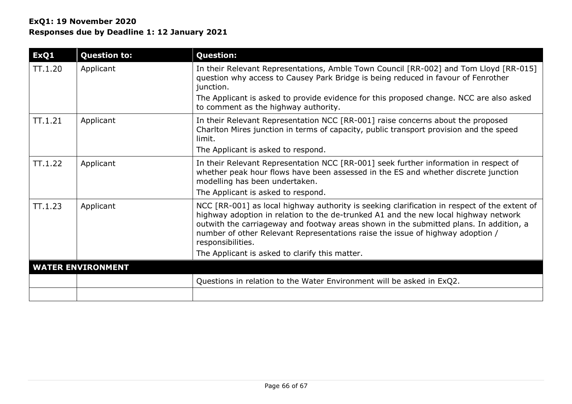| ExQ1       | <b>Question to:</b>      | <b>Question:</b>                                                                                                                                                                                                                                                                                                                                                                                                                       |  |  |  |
|------------|--------------------------|----------------------------------------------------------------------------------------------------------------------------------------------------------------------------------------------------------------------------------------------------------------------------------------------------------------------------------------------------------------------------------------------------------------------------------------|--|--|--|
| TT.1.20    | Applicant                | In their Relevant Representations, Amble Town Council [RR-002] and Tom Lloyd [RR-015]<br>question why access to Causey Park Bridge is being reduced in favour of Fenrother<br>junction.                                                                                                                                                                                                                                                |  |  |  |
|            |                          | The Applicant is asked to provide evidence for this proposed change. NCC are also asked<br>to comment as the highway authority.                                                                                                                                                                                                                                                                                                        |  |  |  |
| $\Pi.1.21$ | Applicant                | In their Relevant Representation NCC [RR-001] raise concerns about the proposed<br>Charlton Mires junction in terms of capacity, public transport provision and the speed<br>limit.                                                                                                                                                                                                                                                    |  |  |  |
|            |                          | The Applicant is asked to respond.                                                                                                                                                                                                                                                                                                                                                                                                     |  |  |  |
| TT.1.22    | Applicant                | In their Relevant Representation NCC [RR-001] seek further information in respect of<br>whether peak hour flows have been assessed in the ES and whether discrete junction<br>modelling has been undertaken.<br>The Applicant is asked to respond.                                                                                                                                                                                     |  |  |  |
| TT.1.23    | Applicant                | NCC [RR-001] as local highway authority is seeking clarification in respect of the extent of<br>highway adoption in relation to the de-trunked A1 and the new local highway network<br>outwith the carriageway and footway areas shown in the submitted plans. In addition, a<br>number of other Relevant Representations raise the issue of highway adoption /<br>responsibilities.<br>The Applicant is asked to clarify this matter. |  |  |  |
|            | <b>WATER ENVIRONMENT</b> |                                                                                                                                                                                                                                                                                                                                                                                                                                        |  |  |  |
|            |                          | Questions in relation to the Water Environment will be asked in ExQ2.                                                                                                                                                                                                                                                                                                                                                                  |  |  |  |
|            |                          |                                                                                                                                                                                                                                                                                                                                                                                                                                        |  |  |  |